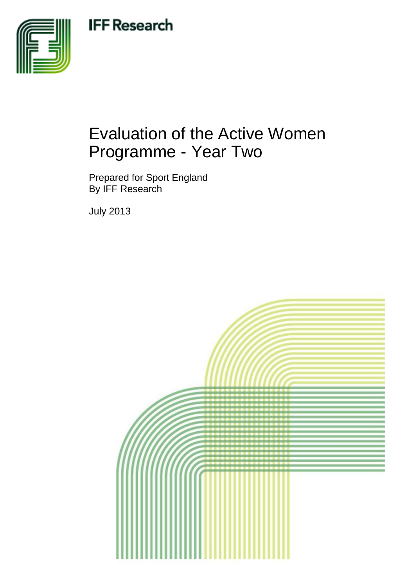# **IFF Research**



# Evaluation of the Active Women Programme - Year Two

Prepared for Sport England By IFF Research

July 2013

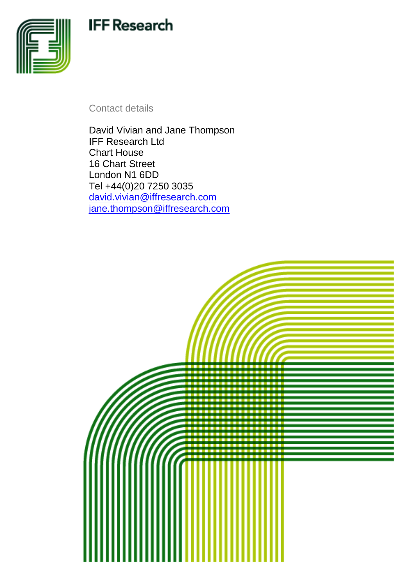# **IFF Research**



Contact details

David Vivian and Jane Thompson IFF Research Ltd Chart House 16 Chart Street London N1 6DD Tel +44(0)20 7250 3035 [david.vivian@iffresearch.com](mailto:david.vivian@iffresearch.com) [jane.thompson@iffresearch.com](mailto:jane.thompson@iffresearch.com)

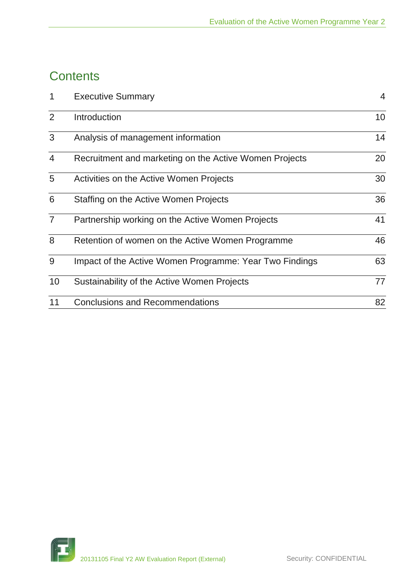## **Contents**

| $\mathbf 1$    | <b>Executive Summary</b>                                | 4  |
|----------------|---------------------------------------------------------|----|
| 2              | Introduction                                            | 10 |
| 3              | Analysis of management information                      | 14 |
| $\overline{4}$ | Recruitment and marketing on the Active Women Projects  | 20 |
| 5              | Activities on the Active Women Projects                 | 30 |
| 6              | Staffing on the Active Women Projects                   | 36 |
| $\overline{7}$ | Partnership working on the Active Women Projects        | 41 |
| 8              | Retention of women on the Active Women Programme        | 46 |
| 9              | Impact of the Active Women Programme: Year Two Findings | 63 |
| 10             | Sustainability of the Active Women Projects             | 77 |
| 11             | <b>Conclusions and Recommendations</b>                  | 82 |

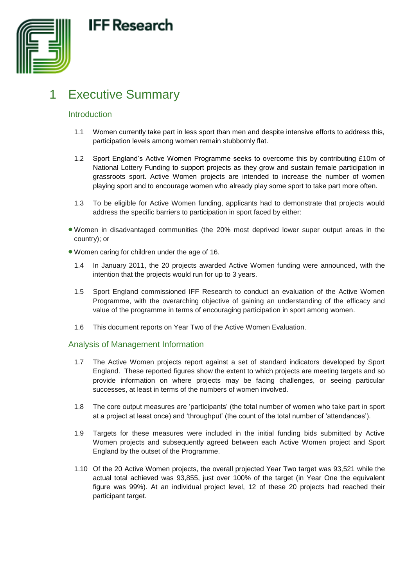



## <span id="page-3-0"></span>1 Executive Summary

## Introduction

- 1.1 Women currently take part in less sport than men and despite intensive efforts to address this, participation levels among women remain stubbornly flat.
- 1.2 Sport England's Active Women Programme seeks to overcome this by contributing £10m of National Lottery Funding to support projects as they grow and sustain female participation in grassroots sport. Active Women projects are intended to increase the number of women playing sport and to encourage women who already play some sport to take part more often.
- 1.3 To be eligible for Active Women funding, applicants had to demonstrate that projects would address the specific barriers to participation in sport faced by either:
- Women in disadvantaged communities (the 20% most deprived lower super output areas in the country); or
- Women caring for children under the age of 16.
	- 1.4 In January 2011, the 20 projects awarded Active Women funding were announced, with the intention that the projects would run for up to 3 years.
	- 1.5 Sport England commissioned IFF Research to conduct an evaluation of the Active Women Programme, with the overarching objective of gaining an understanding of the efficacy and value of the programme in terms of encouraging participation in sport among women.
	- 1.6 This document reports on Year Two of the Active Women Evaluation.

## Analysis of Management Information

- 1.7 The Active Women projects report against a set of standard indicators developed by Sport England. These reported figures show the extent to which projects are meeting targets and so provide information on where projects may be facing challenges, or seeing particular successes, at least in terms of the numbers of women involved.
- 1.8 The core output measures are 'participants' (the total number of women who take part in sport at a project at least once) and 'throughput' (the count of the total number of 'attendances').
- 1.9 Targets for these measures were included in the initial funding bids submitted by Active Women projects and subsequently agreed between each Active Women project and Sport England by the outset of the Programme.
- 1.10 Of the 20 Active Women projects, the overall projected Year Two target was 93,521 while the actual total achieved was 93,855, just over 100% of the target (in Year One the equivalent figure was 99%). At an individual project level, 12 of these 20 projects had reached their participant target.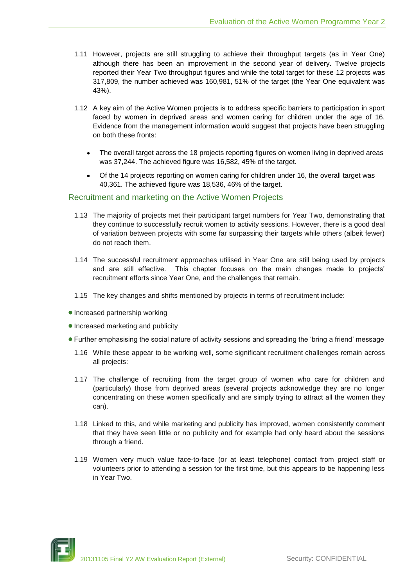- 1.11 However, projects are still struggling to achieve their throughput targets (as in Year One) although there has been an improvement in the second year of delivery. Twelve projects reported their Year Two throughput figures and while the total target for these 12 projects was 317,809, the number achieved was 160,981, 51% of the target (the Year One equivalent was 43%).
- 1.12 A key aim of the Active Women projects is to address specific barriers to participation in sport faced by women in deprived areas and women caring for children under the age of 16. Evidence from the management information would suggest that projects have been struggling on both these fronts:
	- The overall target across the 18 projects reporting figures on women living in deprived areas was 37,244. The achieved figure was 16,582, 45% of the target.
	- Of the 14 projects reporting on women caring for children under 16, the overall target was  $\bullet$ 40,361. The achieved figure was 18,536, 46% of the target.

### Recruitment and marketing on the Active Women Projects

- 1.13 The majority of projects met their participant target numbers for Year Two, demonstrating that they continue to successfully recruit women to activity sessions. However, there is a good deal of variation between projects with some far surpassing their targets while others (albeit fewer) do not reach them.
- 1.14 The successful recruitment approaches utilised in Year One are still being used by projects and are still effective. This chapter focuses on the main changes made to projects' recruitment efforts since Year One, and the challenges that remain.
- 1.15 The key changes and shifts mentioned by projects in terms of recruitment include:
- Increased partnership working
- Increased marketing and publicity
- Further emphasising the social nature of activity sessions and spreading the 'bring a friend' message
	- 1.16 While these appear to be working well, some significant recruitment challenges remain across all projects:
	- 1.17 The challenge of recruiting from the target group of women who care for children and (particularly) those from deprived areas (several projects acknowledge they are no longer concentrating on these women specifically and are simply trying to attract all the women they can).
	- 1.18 Linked to this, and while marketing and publicity has improved, women consistently comment that they have seen little or no publicity and for example had only heard about the sessions through a friend.
	- 1.19 Women very much value face-to-face (or at least telephone) contact from project staff or volunteers prior to attending a session for the first time, but this appears to be happening less in Year Two.

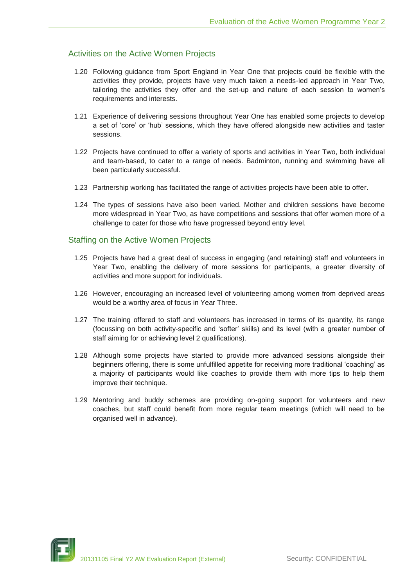## Activities on the Active Women Projects

- 1.20 Following guidance from Sport England in Year One that projects could be flexible with the activities they provide, projects have very much taken a needs-led approach in Year Two, tailoring the activities they offer and the set-up and nature of each session to women's requirements and interests.
- 1.21 Experience of delivering sessions throughout Year One has enabled some projects to develop a set of 'core' or 'hub' sessions, which they have offered alongside new activities and taster sessions.
- 1.22 Projects have continued to offer a variety of sports and activities in Year Two, both individual and team-based, to cater to a range of needs. Badminton, running and swimming have all been particularly successful.
- 1.23 Partnership working has facilitated the range of activities projects have been able to offer.
- 1.24 The types of sessions have also been varied. Mother and children sessions have become more widespread in Year Two, as have competitions and sessions that offer women more of a challenge to cater for those who have progressed beyond entry level.

## Staffing on the Active Women Projects

- 1.25 Projects have had a great deal of success in engaging (and retaining) staff and volunteers in Year Two, enabling the delivery of more sessions for participants, a greater diversity of activities and more support for individuals.
- 1.26 However, encouraging an increased level of volunteering among women from deprived areas would be a worthy area of focus in Year Three.
- 1.27 The training offered to staff and volunteers has increased in terms of its quantity, its range (focussing on both activity-specific and 'softer' skills) and its level (with a greater number of staff aiming for or achieving level 2 qualifications).
- 1.28 Although some projects have started to provide more advanced sessions alongside their beginners offering, there is some unfulfilled appetite for receiving more traditional 'coaching' as a majority of participants would like coaches to provide them with more tips to help them improve their technique.
- 1.29 Mentoring and buddy schemes are providing on-going support for volunteers and new coaches, but staff could benefit from more regular team meetings (which will need to be organised well in advance).

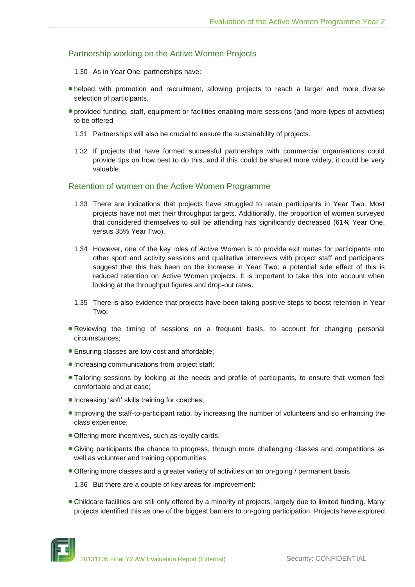## Partnership working on the Active Women Projects

- 1.30 As in Year One, partnerships have:
- helped with promotion and recruitment, allowing projects to reach a larger and more diverse selection of participants,
- provided funding, staff, equipment or facilities enabling more sessions (and more types of activities) to be offered
	- 1.31 Partnerships will also be crucial to ensure the sustainability of projects.
	- 1.32 If projects that have formed successful partnerships with commercial organisations could provide tips on how best to do this, and if this could be shared more widely, it could be very valuable.

### Retention of women on the Active Women Programme

- 1.33 There are indications that projects have struggled to retain participants in Year Two. Most projects have not met their throughput targets. Additionally, the proportion of women surveyed that considered themselves to still be attending has significantly decreased (61% Year One, versus 35% Year Two).
- 1.34 However, one of the key roles of Active Women is to provide exit routes for participants into other sport and activity sessions and qualitative interviews with project staff and participants suggest that this has been on the increase in Year Two; a potential side effect of this is reduced retention on Active Women projects. It is important to take this into account when looking at the throughput figures and drop-out rates.
- 1.35 There is also evidence that projects have been taking positive steps to boost retention in Year Two:
- **Reviewing the timing of sessions on a frequent basis, to account for changing personal** circumstances;
- Ensuring classes are low cost and affordable;
- Increasing communications from project staff;
- Tailoring sessions by looking at the needs and profile of participants, to ensure that women feel comfortable and at ease;
- Increasing 'soft' skills training for coaches;
- Improving the staff-to-participant ratio, by increasing the number of volunteers and so enhancing the class experience;
- Offering more incentives, such as loyalty cards;
- Giving participants the chance to progress, through more challenging classes and competitions as well as volunteer and training opportunities;
- Offering more classes and a greater variety of activities on an on-going / permanent basis.
	- 1.36 But there are a couple of key areas for improvement:
- Childcare facilities are still only offered by a minority of projects, largely due to limited funding. Many projects identified this as one of the biggest barriers to on-going participation. Projects have explored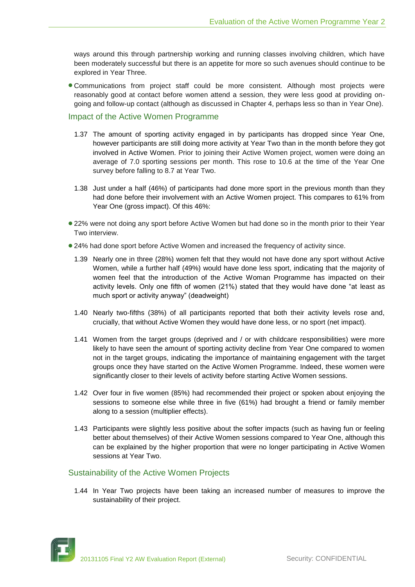ways around this through partnership working and running classes involving children, which have been moderately successful but there is an appetite for more so such avenues should continue to be explored in Year Three.

Communications from project staff could be more consistent. Although most projects were reasonably good at contact before women attend a session, they were less good at providing ongoing and follow-up contact (although as discussed in Chapter 4, perhaps less so than in Year One).

### Impact of the Active Women Programme

- 1.37 The amount of sporting activity engaged in by participants has dropped since Year One, however participants are still doing more activity at Year Two than in the month before they got involved in Active Women. Prior to joining their Active Women project, women were doing an average of 7.0 sporting sessions per month. This rose to 10.6 at the time of the Year One survey before falling to 8.7 at Year Two.
- 1.38 Just under a half (46%) of participants had done more sport in the previous month than they had done before their involvement with an Active Women project. This compares to 61% from Year One (gross impact). Of this 46%:
- 22% were not doing any sport before Active Women but had done so in the month prior to their Year Two interview.
- 24% had done sport before Active Women and increased the frequency of activity since.
	- 1.39 Nearly one in three (28%) women felt that they would not have done any sport without Active Women, while a further half (49%) would have done less sport, indicating that the majority of women feel that the introduction of the Active Woman Programme has impacted on their activity levels. Only one fifth of women (21%) stated that they would have done "at least as much sport or activity anyway" (deadweight)
	- 1.40 Nearly two-fifths (38%) of all participants reported that both their activity levels rose and, crucially, that without Active Women they would have done less, or no sport (net impact).
	- 1.41 Women from the target groups (deprived and / or with childcare responsibilities) were more likely to have seen the amount of sporting activity decline from Year One compared to women not in the target groups, indicating the importance of maintaining engagement with the target groups once they have started on the Active Women Programme. Indeed, these women were significantly closer to their levels of activity before starting Active Women sessions.
	- 1.42 Over four in five women (85%) had recommended their project or spoken about enjoying the sessions to someone else while three in five (61%) had brought a friend or family member along to a session (multiplier effects).
	- 1.43 Participants were slightly less positive about the softer impacts (such as having fun or feeling better about themselves) of their Active Women sessions compared to Year One, although this can be explained by the higher proportion that were no longer participating in Active Women sessions at Year Two.

## Sustainability of the Active Women Projects

1.44 In Year Two projects have been taking an increased number of measures to improve the sustainability of their project.

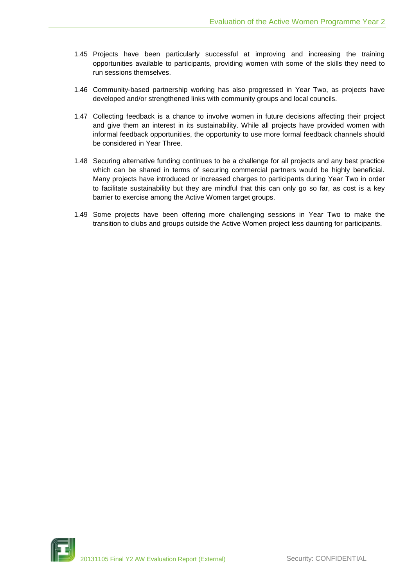- 1.45 Projects have been particularly successful at improving and increasing the training opportunities available to participants, providing women with some of the skills they need to run sessions themselves.
- 1.46 Community-based partnership working has also progressed in Year Two, as projects have developed and/or strengthened links with community groups and local councils.
- 1.47 Collecting feedback is a chance to involve women in future decisions affecting their project and give them an interest in its sustainability. While all projects have provided women with informal feedback opportunities, the opportunity to use more formal feedback channels should be considered in Year Three.
- 1.48 Securing alternative funding continues to be a challenge for all projects and any best practice which can be shared in terms of securing commercial partners would be highly beneficial. Many projects have introduced or increased charges to participants during Year Two in order to facilitate sustainability but they are mindful that this can only go so far, as cost is a key barrier to exercise among the Active Women target groups.
- 1.49 Some projects have been offering more challenging sessions in Year Two to make the transition to clubs and groups outside the Active Women project less daunting for participants.

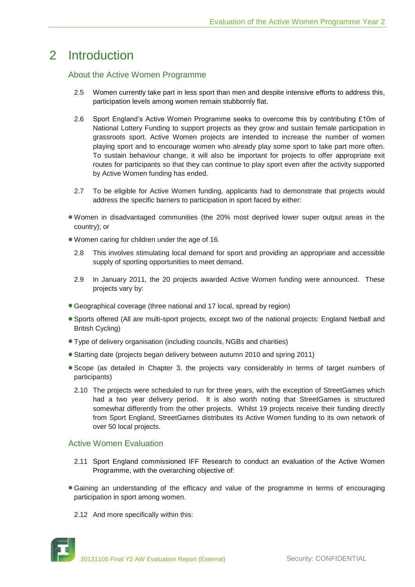## <span id="page-9-0"></span>2 Introduction

## About the Active Women Programme

- 2.5 Women currently take part in less sport than men and despite intensive efforts to address this, participation levels among women remain stubbornly flat.
- 2.6 Sport England's Active Women Programme seeks to overcome this by contributing £10m of National Lottery Funding to support projects as they grow and sustain female participation in grassroots sport. Active Women projects are intended to increase the number of women playing sport and to encourage women who already play some sport to take part more often. To sustain behaviour change, it will also be important for projects to offer appropriate exit routes for participants so that they can continue to play sport even after the activity supported by Active Women funding has ended.
- 2.7 To be eligible for Active Women funding, applicants had to demonstrate that projects would address the specific barriers to participation in sport faced by either:
- Women in disadvantaged communities (the 20% most deprived lower super output areas in the country); or
- Women caring for children under the age of 16.
	- 2.8 This involves stimulating local demand for sport and providing an appropriate and accessible supply of sporting opportunities to meet demand.
	- 2.9 In January 2011, the 20 projects awarded Active Women funding were announced. These projects vary by:
- Geographical coverage (three national and 17 local, spread by region)
- Sports offered (All are multi-sport projects, except two of the national projects: England Netball and British Cycling)
- Type of delivery organisation (including councils, NGBs and charities)
- Starting date (projects began delivery between autumn 2010 and spring 2011)
- Scope (as detailed in Chapter 3, the projects vary considerably in terms of target numbers of participants)
	- 2.10 The projects were scheduled to run for three years, with the exception of StreetGames which had a two year delivery period. It is also worth noting that StreetGames is structured somewhat differently from the other projects. Whilst 19 projects receive their funding directly from Sport England, StreetGames distributes its Active Women funding to its own network of over 50 local projects.

## Active Women Evaluation

- 2.11 Sport England commissioned IFF Research to conduct an evaluation of the Active Women Programme, with the overarching objective of:
- Gaining an understanding of the efficacy and value of the programme in terms of encouraging participation in sport among women.
	- 2.12 And more specifically within this: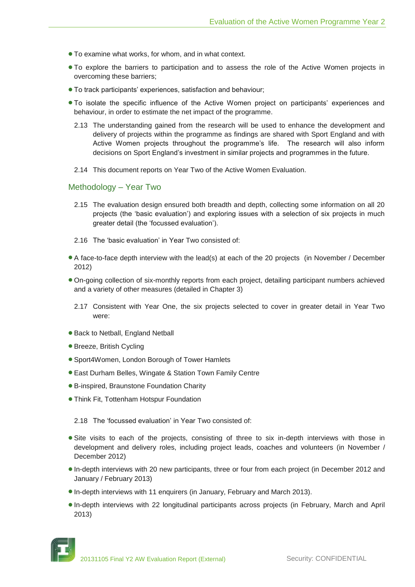- To examine what works, for whom, and in what context.
- To explore the barriers to participation and to assess the role of the Active Women projects in overcoming these barriers;
- To track participants' experiences, satisfaction and behaviour;
- To isolate the specific influence of the Active Women project on participants' experiences and behaviour, in order to estimate the net impact of the programme.
	- 2.13 The understanding gained from the research will be used to enhance the development and delivery of projects within the programme as findings are shared with Sport England and with Active Women projects throughout the programme's life. The research will also inform decisions on Sport England's investment in similar projects and programmes in the future.
	- 2.14 This document reports on Year Two of the Active Women Evaluation.

#### Methodology – Year Two

- 2.15 The evaluation design ensured both breadth and depth, collecting some information on all 20 projects (the 'basic evaluation') and exploring issues with a selection of six projects in much greater detail (the 'focussed evaluation').
- 2.16 The 'basic evaluation' in Year Two consisted of:
- A face-to-face depth interview with the lead(s) at each of the 20 projects (in November / December 2012)
- On-going collection of six-monthly reports from each project, detailing participant numbers achieved and a variety of other measures (detailed in Chapter 3)
	- 2.17 Consistent with Year One, the six projects selected to cover in greater detail in Year Two were:
- Back to Netball, England Netball
- Breeze, British Cycling
- Sport4Women, London Borough of Tower Hamlets
- East Durham Belles, Wingate & Station Town Family Centre
- B-inspired, Braunstone Foundation Charity
- Think Fit, Tottenham Hotspur Foundation

2.18 The 'focussed evaluation' in Year Two consisted of:

- **Site visits to each of the projects, consisting of three to six in-depth interviews with those in** development and delivery roles, including project leads, coaches and volunteers (in November / December 2012)
- In-depth interviews with 20 new participants, three or four from each project (in December 2012 and January / February 2013)
- In-depth interviews with 11 enquirers (in January, February and March 2013).
- In-depth interviews with 22 longitudinal participants across projects (in February, March and April 2013)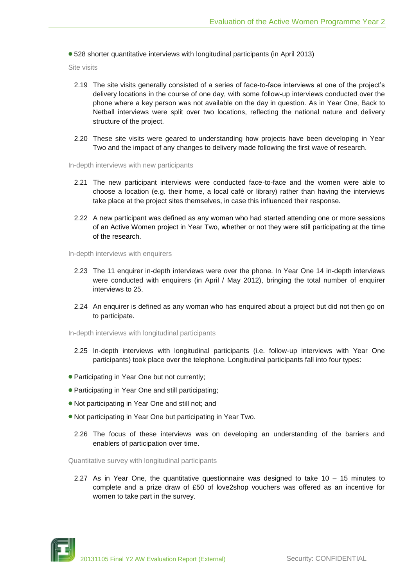528 shorter quantitative interviews with longitudinal participants (in April 2013)

Site visits

- 2.19 The site visits generally consisted of a series of face-to-face interviews at one of the project's delivery locations in the course of one day, with some follow-up interviews conducted over the phone where a key person was not available on the day in question. As in Year One, Back to Netball interviews were split over two locations, reflecting the national nature and delivery structure of the project.
- 2.20 These site visits were geared to understanding how projects have been developing in Year Two and the impact of any changes to delivery made following the first wave of research.

In-depth interviews with new participants

- 2.21 The new participant interviews were conducted face-to-face and the women were able to choose a location (e.g. their home, a local café or library) rather than having the interviews take place at the project sites themselves, in case this influenced their response.
- 2.22 A new participant was defined as any woman who had started attending one or more sessions of an Active Women project in Year Two, whether or not they were still participating at the time of the research.

In-depth interviews with enquirers

- 2.23 The 11 enquirer in-depth interviews were over the phone. In Year One 14 in-depth interviews were conducted with enquirers (in April / May 2012), bringing the total number of enquirer interviews to 25.
- 2.24 An enquirer is defined as any woman who has enquired about a project but did not then go on to participate.

In-depth interviews with longitudinal participants

- 2.25 In-depth interviews with longitudinal participants (i.e. follow-up interviews with Year One participants) took place over the telephone. Longitudinal participants fall into four types:
- Participating in Year One but not currently;
- Participating in Year One and still participating;
- Not participating in Year One and still not; and
- Not participating in Year One but participating in Year Two.
	- 2.26 The focus of these interviews was on developing an understanding of the barriers and enablers of participation over time.

Quantitative survey with longitudinal participants

2.27 As in Year One, the quantitative questionnaire was designed to take 10 – 15 minutes to complete and a prize draw of £50 of love2shop vouchers was offered as an incentive for women to take part in the survey.

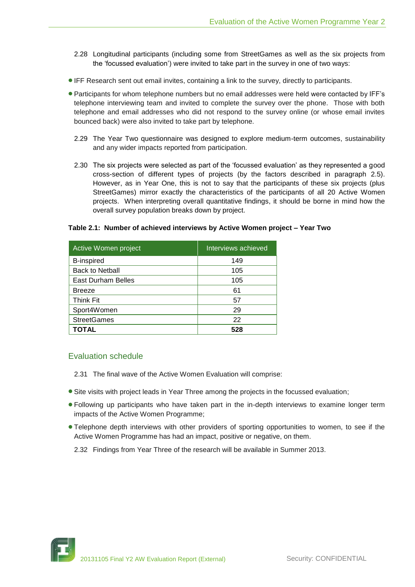- 2.28 Longitudinal participants (including some from StreetGames as well as the six projects from the 'focussed evaluation') were invited to take part in the survey in one of two ways:
- IFF Research sent out email invites, containing a link to the survey, directly to participants.
- Participants for whom telephone numbers but no email addresses were held were contacted by IFF's telephone interviewing team and invited to complete the survey over the phone. Those with both telephone and email addresses who did not respond to the survey online (or whose email invites bounced back) were also invited to take part by telephone.
	- 2.29 The Year Two questionnaire was designed to explore medium-term outcomes, sustainability and any wider impacts reported from participation.
	- 2.30 The six projects were selected as part of the 'focussed evaluation' as they represented a good cross-section of different types of projects (by the factors described in paragraph 2.5). However, as in Year One, this is not to say that the participants of these six projects (plus StreetGames) mirror exactly the characteristics of the participants of all 20 Active Women projects. When interpreting overall quantitative findings, it should be borne in mind how the overall survey population breaks down by project.

#### **Table 2.1: Number of achieved interviews by Active Women project – Year Two**

| Active Women project   | Interviews achieved |
|------------------------|---------------------|
| <b>B-inspired</b>      | 149                 |
| <b>Back to Netball</b> | 105                 |
| East Durham Belles     | 105                 |
| <b>Breeze</b>          | 61                  |
| <b>Think Fit</b>       | 57                  |
| Sport4Women            | 29                  |
| <b>StreetGames</b>     | 22                  |
| TOTAL                  | 528                 |

## Evaluation schedule

- 2.31 The final wave of the Active Women Evaluation will comprise:
- **Site visits with project leads in Year Three among the projects in the focussed evaluation;**
- Following up participants who have taken part in the in-depth interviews to examine longer term impacts of the Active Women Programme;
- Telephone depth interviews with other providers of sporting opportunities to women, to see if the Active Women Programme has had an impact, positive or negative, on them.
	- 2.32 Findings from Year Three of the research will be available in Summer 2013.

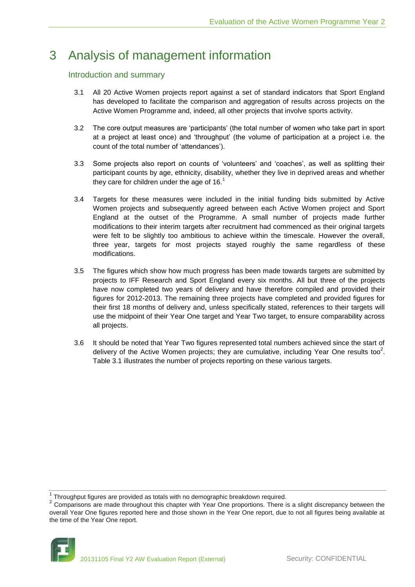## <span id="page-13-0"></span>3 Analysis of management information

## Introduction and summary

- 3.1 All 20 Active Women projects report against a set of standard indicators that Sport England has developed to facilitate the comparison and aggregation of results across projects on the Active Women Programme and, indeed, all other projects that involve sports activity.
- 3.2 The core output measures are 'participants' (the total number of women who take part in sport at a project at least once) and 'throughput' (the volume of participation at a project i.e. the count of the total number of 'attendances').
- 3.3 Some projects also report on counts of 'volunteers' and 'coaches', as well as splitting their participant counts by age, ethnicity, disability, whether they live in deprived areas and whether they care for children under the age of  $16<sup>1</sup>$
- 3.4 Targets for these measures were included in the initial funding bids submitted by Active Women projects and subsequently agreed between each Active Women project and Sport England at the outset of the Programme. A small number of projects made further modifications to their interim targets after recruitment had commenced as their original targets were felt to be slightly too ambitious to achieve within the timescale. However the overall, three year, targets for most projects stayed roughly the same regardless of these modifications.
- 3.5 The figures which show how much progress has been made towards targets are submitted by projects to IFF Research and Sport England every six months. All but three of the projects have now completed two years of delivery and have therefore compiled and provided their figures for 2012-2013. The remaining three projects have completed and provided figures for their first 18 months of delivery and, unless specifically stated, references to their targets will use the midpoint of their Year One target and Year Two target, to ensure comparability across all projects.
- 3.6 It should be noted that Year Two figures represented total numbers achieved since the start of delivery of the Active Women projects; they are cumulative, including Year One results too<sup>2</sup>. Table 3.1 illustrates the number of projects reporting on these various targets.

 $2$  Comparisons are made throughout this chapter with Year One proportions. There is a slight discrepancy between the overall Year One figures reported here and those shown in the Year One report, due to not all figures being available at the time of the Year One report.



 $\frac{1}{2}$  Throughput figures are provided as totals with no demographic breakdown required.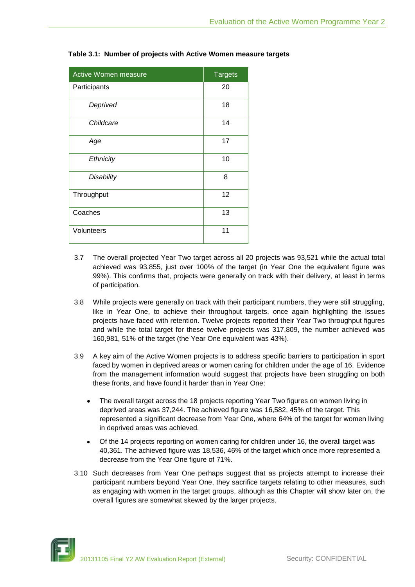| Active Women measure | <b>Targets</b> |
|----------------------|----------------|
| Participants         | 20             |
| Deprived             | 18             |
| Childcare            | 14             |
| Age                  | 17             |
| Ethnicity            | 10             |
| <b>Disability</b>    | 8              |
| Throughput           | 12             |
| Coaches              | 13             |
| Volunteers           | 11             |

**Table 3.1: Number of projects with Active Women measure targets**

- 3.7 The overall projected Year Two target across all 20 projects was 93,521 while the actual total achieved was 93,855, just over 100% of the target (in Year One the equivalent figure was 99%). This confirms that, projects were generally on track with their delivery, at least in terms of participation.
- 3.8 While projects were generally on track with their participant numbers, they were still struggling, like in Year One, to achieve their throughput targets, once again highlighting the issues projects have faced with retention. Twelve projects reported their Year Two throughput figures and while the total target for these twelve projects was 317,809, the number achieved was 160,981, 51% of the target (the Year One equivalent was 43%).
- 3.9 A key aim of the Active Women projects is to address specific barriers to participation in sport faced by women in deprived areas or women caring for children under the age of 16. Evidence from the management information would suggest that projects have been struggling on both these fronts, and have found it harder than in Year One:
	- The overall target across the 18 projects reporting Year Two figures on women living in deprived areas was 37,244. The achieved figure was 16,582, 45% of the target. This represented a significant decrease from Year One, where 64% of the target for women living in deprived areas was achieved.
	- Of the 14 projects reporting on women caring for children under 16, the overall target was 40,361. The achieved figure was 18,536, 46% of the target which once more represented a decrease from the Year One figure of 71%.
- 3.10 Such decreases from Year One perhaps suggest that as projects attempt to increase their participant numbers beyond Year One, they sacrifice targets relating to other measures, such as engaging with women in the target groups, although as this Chapter will show later on, the overall figures are somewhat skewed by the larger projects.

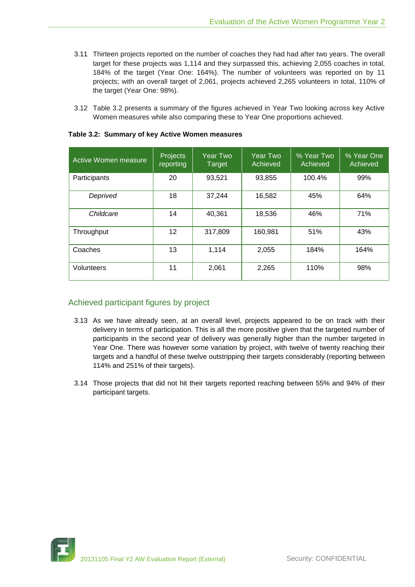- 3.11 Thirteen projects reported on the number of coaches they had had after two years. The overall target for these projects was 1,114 and they surpassed this, achieving 2,055 coaches in total, 184% of the target (Year One: 164%). The number of volunteers was reported on by 11 projects; with an overall target of 2,061, projects achieved 2,265 volunteers in total, 110% of the target (Year One: 98%).
- 3.12 Table 3.2 presents a summary of the figures achieved in Year Two looking across key Active Women measures while also comparing these to Year One proportions achieved.

| Active Women measure | <b>Projects</b><br>reporting | <b>Year Two</b><br>Target | <b>Year Two</b><br>Achieved | % Year Two<br>Achieved | % Year One<br>Achieved |
|----------------------|------------------------------|---------------------------|-----------------------------|------------------------|------------------------|
| Participants         | 20                           | 93,521                    | 93,855                      | 100.4%                 | 99%                    |
| Deprived             | 18                           | 37,244                    | 16,582                      | 45%                    | 64%                    |
| Childcare            | 14                           | 40,361                    | 18,536                      | 46%                    | 71%                    |
| Throughput           | 12                           | 317,809                   | 160,981                     | 51%                    | 43%                    |
| Coaches              | 13                           | 1,114                     | 2,055                       | 184%                   | 164%                   |
| Volunteers           | 11                           | 2,061                     | 2,265                       | 110%                   | 98%                    |

#### **Table 3.2: Summary of key Active Women measures**

## Achieved participant figures by project

- 3.13 As we have already seen, at an overall level, projects appeared to be on track with their delivery in terms of participation. This is all the more positive given that the targeted number of participants in the second year of delivery was generally higher than the number targeted in Year One. There was however some variation by project, with twelve of twenty reaching their targets and a handful of these twelve outstripping their targets considerably (reporting between 114% and 251% of their targets).
- 3.14 Those projects that did not hit their targets reported reaching between 55% and 94% of their participant targets.

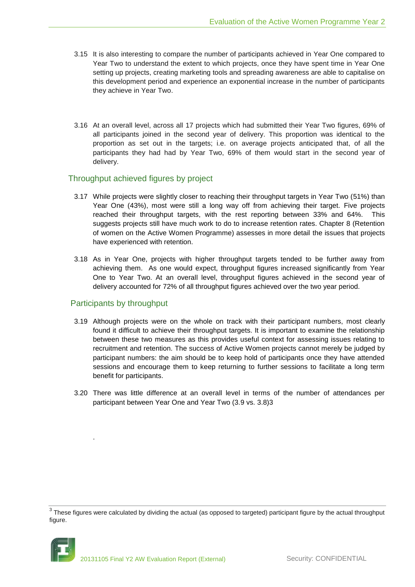- 3.15 It is also interesting to compare the number of participants achieved in Year One compared to Year Two to understand the extent to which projects, once they have spent time in Year One setting up projects, creating marketing tools and spreading awareness are able to capitalise on this development period and experience an exponential increase in the number of participants they achieve in Year Two.
- 3.16 At an overall level, across all 17 projects which had submitted their Year Two figures, 69% of all participants joined in the second year of delivery. This proportion was identical to the proportion as set out in the targets; i.e. on average projects anticipated that, of all the participants they had had by Year Two, 69% of them would start in the second year of delivery.

## Throughput achieved figures by project

- 3.17 While projects were slightly closer to reaching their throughput targets in Year Two (51%) than Year One (43%), most were still a long way off from achieving their target. Five projects reached their throughput targets, with the rest reporting between 33% and 64%. This suggests projects still have much work to do to increase retention rates. Chapter 8 (Retention of women on the Active Women Programme) assesses in more detail the issues that projects have experienced with retention.
- 3.18 As in Year One, projects with higher throughput targets tended to be further away from achieving them. As one would expect, throughput figures increased significantly from Year One to Year Two. At an overall level, throughput figures achieved in the second year of delivery accounted for 72% of all throughput figures achieved over the two year period.

## Participants by throughput

.

- 3.19 Although projects were on the whole on track with their participant numbers, most clearly found it difficult to achieve their throughput targets. It is important to examine the relationship between these two measures as this provides useful context for assessing issues relating to recruitment and retention. The success of Active Women projects cannot merely be judged by participant numbers: the aim should be to keep hold of participants once they have attended sessions and encourage them to keep returning to further sessions to facilitate a long term benefit for participants.
- 3.20 There was little difference at an overall level in terms of the number of attendances per participant between Year One and Year Two (3.9 vs. 3.8)3

 $^3$  These figures were calculated by dividing the actual (as opposed to targeted) participant figure by the actual throughput figure.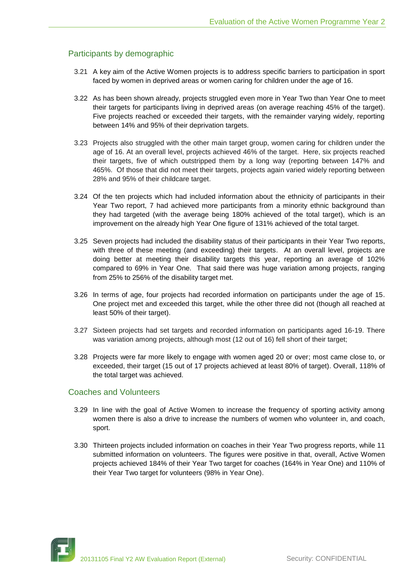## Participants by demographic

- 3.21 A key aim of the Active Women projects is to address specific barriers to participation in sport faced by women in deprived areas or women caring for children under the age of 16.
- 3.22 As has been shown already, projects struggled even more in Year Two than Year One to meet their targets for participants living in deprived areas (on average reaching 45% of the target). Five projects reached or exceeded their targets, with the remainder varying widely, reporting between 14% and 95% of their deprivation targets.
- 3.23 Projects also struggled with the other main target group, women caring for children under the age of 16. At an overall level, projects achieved 46% of the target. Here, six projects reached their targets, five of which outstripped them by a long way (reporting between 147% and 465%. Of those that did not meet their targets, projects again varied widely reporting between 28% and 95% of their childcare target.
- 3.24 Of the ten projects which had included information about the ethnicity of participants in their Year Two report, 7 had achieved more participants from a minority ethnic background than they had targeted (with the average being 180% achieved of the total target), which is an improvement on the already high Year One figure of 131% achieved of the total target.
- 3.25 Seven projects had included the disability status of their participants in their Year Two reports, with three of these meeting (and exceeding) their targets. At an overall level, projects are doing better at meeting their disability targets this year, reporting an average of 102% compared to 69% in Year One. That said there was huge variation among projects, ranging from 25% to 256% of the disability target met.
- 3.26 In terms of age, four projects had recorded information on participants under the age of 15. One project met and exceeded this target, while the other three did not (though all reached at least 50% of their target).
- 3.27 Sixteen projects had set targets and recorded information on participants aged 16-19. There was variation among projects, although most (12 out of 16) fell short of their target;
- 3.28 Projects were far more likely to engage with women aged 20 or over; most came close to, or exceeded, their target (15 out of 17 projects achieved at least 80% of target). Overall, 118% of the total target was achieved.

#### Coaches and Volunteers

- 3.29 In line with the goal of Active Women to increase the frequency of sporting activity among women there is also a drive to increase the numbers of women who volunteer in, and coach, sport.
- 3.30 Thirteen projects included information on coaches in their Year Two progress reports, while 11 submitted information on volunteers. The figures were positive in that, overall, Active Women projects achieved 184% of their Year Two target for coaches (164% in Year One) and 110% of their Year Two target for volunteers (98% in Year One).

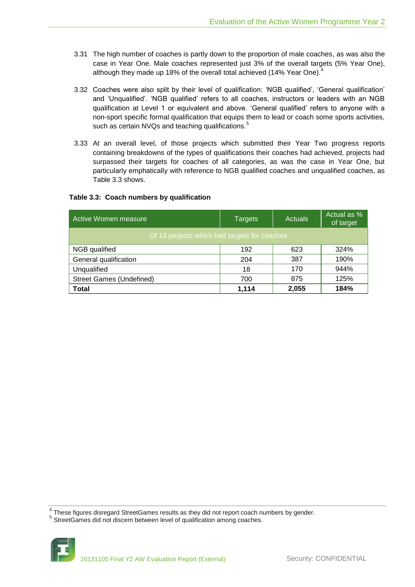- 3.31 The high number of coaches is partly down to the proportion of male coaches, as was also the case in Year One. Male coaches represented just 3% of the overall targets (5% Year One), although they made up 18% of the overall total achieved (14% Year One).<sup>4</sup>
- 3.32 Coaches were also split by their level of qualification: 'NGB qualified', 'General qualification' and 'Unqualified'. 'NGB qualified' refers to all coaches, instructors or leaders with an NGB qualification at Level 1 or equivalent and above. 'General qualified' refers to anyone with a non-sport specific formal qualification that equips them to lead or coach some sports activities, such as certain NVQs and teaching qualifications.<sup>5</sup>
- 3.33 At an overall level, of those projects which submitted their Year Two progress reports containing breakdowns of the types of qualifications their coaches had achieved, projects had surpassed their targets for coaches of all categories, as was the case in Year One, but particularly emphatically with reference to NGB qualified coaches and unqualified coaches, as Table 3.3 shows.

### **Table 3.3: Coach numbers by qualification**

| Active Women measure                         | <b>Targets</b> | Actuals | Actual as %<br>of target |
|----------------------------------------------|----------------|---------|--------------------------|
| Of 13 projects which had targets for coaches |                |         |                          |
| NGB qualified                                | 192            | 623     | 324%                     |
| General qualification                        | 204            | 387     | 190%                     |
| Unqualified                                  | 18             | 170     | 944%                     |
| <b>Street Games (Undefined)</b>              | 700            | 875     | 125%                     |
| <b>Total</b>                                 | 1.114          | 2,055   | 184%                     |

 $^4$  These figures disregard StreetGames results as they did not report coach numbers by gender.

<sup>&</sup>lt;sup>5</sup> StreetGames did not discern between level of qualification among coaches.

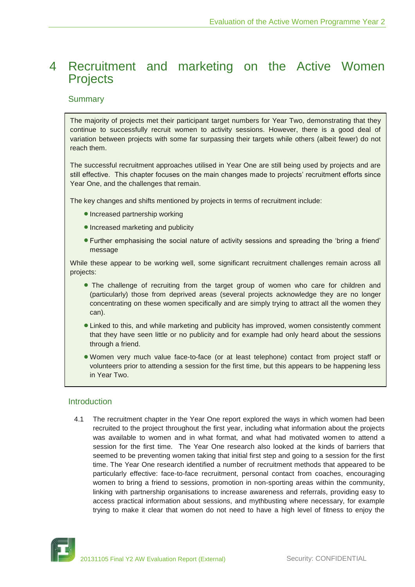## <span id="page-19-0"></span>4 Recruitment and marketing on the Active Women **Projects**

### **Summary**

The majority of projects met their participant target numbers for Year Two, demonstrating that they continue to successfully recruit women to activity sessions. However, there is a good deal of variation between projects with some far surpassing their targets while others (albeit fewer) do not reach them.

The successful recruitment approaches utilised in Year One are still being used by projects and are still effective. This chapter focuses on the main changes made to projects' recruitment efforts since Year One, and the challenges that remain.

The key changes and shifts mentioned by projects in terms of recruitment include:

- Increased partnership working
- Increased marketing and publicity
- Further emphasising the social nature of activity sessions and spreading the 'bring a friend' message

While these appear to be working well, some significant recruitment challenges remain across all projects:

- The challenge of recruiting from the target group of women who care for children and (particularly) those from deprived areas (several projects acknowledge they are no longer concentrating on these women specifically and are simply trying to attract all the women they can).
- Linked to this, and while marketing and publicity has improved, women consistently comment that they have seen little or no publicity and for example had only heard about the sessions through a friend.
- Women very much value face-to-face (or at least telephone) contact from project staff or volunteers prior to attending a session for the first time, but this appears to be happening less in Year Two.

## Introduction

4.1 The recruitment chapter in the Year One report explored the ways in which women had been recruited to the project throughout the first year, including what information about the projects was available to women and in what format, and what had motivated women to attend a session for the first time. The Year One research also looked at the kinds of barriers that seemed to be preventing women taking that initial first step and going to a session for the first time. The Year One research identified a number of recruitment methods that appeared to be particularly effective: face-to-face recruitment, personal contact from coaches, encouraging women to bring a friend to sessions, promotion in non-sporting areas within the community, linking with partnership organisations to increase awareness and referrals, providing easy to access practical information about sessions, and mythbusting where necessary, for example trying to make it clear that women do not need to have a high level of fitness to enjoy the

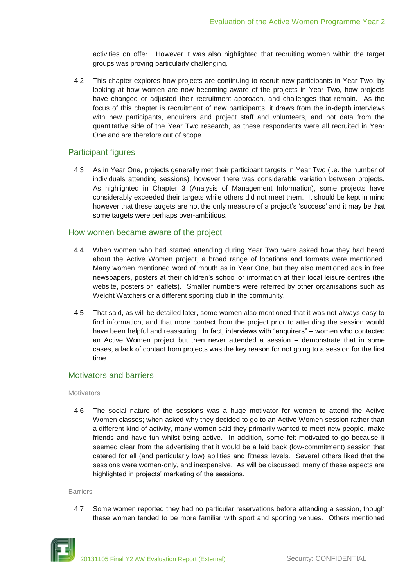activities on offer. However it was also highlighted that recruiting women within the target groups was proving particularly challenging.

4.2 This chapter explores how projects are continuing to recruit new participants in Year Two, by looking at how women are now becoming aware of the projects in Year Two, how projects have changed or adjusted their recruitment approach, and challenges that remain. As the focus of this chapter is recruitment of new participants, it draws from the in-depth interviews with new participants, enquirers and project staff and volunteers, and not data from the quantitative side of the Year Two research, as these respondents were all recruited in Year One and are therefore out of scope.

## Participant figures

4.3 As in Year One, projects generally met their participant targets in Year Two (i.e. the number of individuals attending sessions), however there was considerable variation between projects. As highlighted in Chapter 3 (Analysis of Management Information), some projects have considerably exceeded their targets while others did not meet them. It should be kept in mind however that these targets are not the only measure of a project's 'success' and it may be that some targets were perhaps over-ambitious.

## How women became aware of the project

- 4.4 When women who had started attending during Year Two were asked how they had heard about the Active Women project, a broad range of locations and formats were mentioned. Many women mentioned word of mouth as in Year One, but they also mentioned ads in free newspapers, posters at their children's school or information at their local leisure centres (the website, posters or leaflets). Smaller numbers were referred by other organisations such as Weight Watchers or a different sporting club in the community.
- 4.5 That said, as will be detailed later, some women also mentioned that it was not always easy to find information, and that more contact from the project prior to attending the session would have been helpful and reassuring. In fact, interviews with "enquirers" – women who contacted an Active Women project but then never attended a session – demonstrate that in some cases, a lack of contact from projects was the key reason for not going to a session for the first time.

## Motivators and barriers

#### **Motivators**

4.6 The social nature of the sessions was a huge motivator for women to attend the Active Women classes; when asked why they decided to go to an Active Women session rather than a different kind of activity, many women said they primarily wanted to meet new people, make friends and have fun whilst being active. In addition, some felt motivated to go because it seemed clear from the advertising that it would be a laid back (low-commitment) session that catered for all (and particularly low) abilities and fitness levels. Several others liked that the sessions were women-only, and inexpensive. As will be discussed, many of these aspects are highlighted in projects' marketing of the sessions.

#### Barriers

4.7 Some women reported they had no particular reservations before attending a session, though these women tended to be more familiar with sport and sporting venues. Others mentioned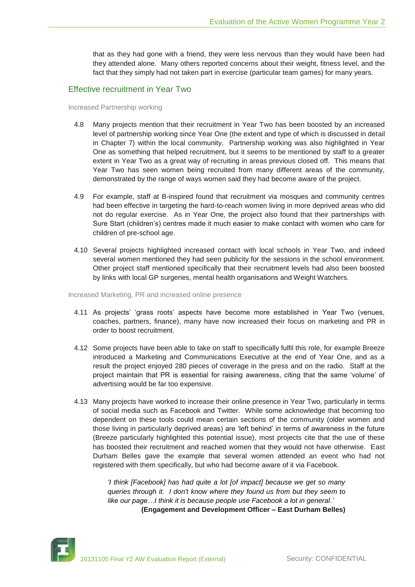that as they had gone with a friend, they were less nervous than they would have been had they attended alone. Many others reported concerns about their weight, fitness level, and the fact that they simply had not taken part in exercise (particular team games) for many years.

## Effective recruitment in Year Two

#### Increased Partnership working

- 4.8 Many projects mention that their recruitment in Year Two has been boosted by an increased level of partnership working since Year One (the extent and type of which is discussed in detail in Chapter 7) within the local community. Partnership working was also highlighted in Year One as something that helped recruitment, but it seems to be mentioned by staff to a greater extent in Year Two as a great way of recruiting in areas previous closed off. This means that Year Two has seen women being recruited from many different areas of the community, demonstrated by the range of ways women said they had become aware of the project.
- 4.9 For example, staff at B-inspired found that recruitment via mosques and community centres had been effective in targeting the hard-to-reach women living in more deprived areas who did not do regular exercise. As in Year One, the project also found that their partnerships with Sure Start (children's) centres made it much easier to make contact with women who care for children of pre-school age.
- 4.10 Several projects highlighted increased contact with local schools in Year Two, and indeed several women mentioned they had seen publicity for the sessions in the school environment. Other project staff mentioned specifically that their recruitment levels had also been boosted by links with local GP surgeries, mental health organisations and Weight Watchers.

Increased Marketing, PR and increased online presence

- 4.11 As projects' 'grass roots' aspects have become more established in Year Two (venues, coaches, partners, finance), many have now increased their focus on marketing and PR in order to boost recruitment.
- 4.12 Some projects have been able to take on staff to specifically fulfil this role, for example Breeze introduced a Marketing and Communications Executive at the end of Year One, and as a result the project enjoyed 280 pieces of coverage in the press and on the radio. Staff at the project maintain that PR is essential for raising awareness, citing that the same 'volume' of advertising would be far too expensive.
- 4.13 Many projects have worked to increase their online presence in Year Two, particularly in terms of social media such as Facebook and Twitter. While some acknowledge that becoming too dependent on these tools could mean certain sections of the community (older women and those living in particularly deprived areas) are 'left behind' in terms of awareness in the future (Breeze particularly highlighted this potential issue), most projects cite that the use of these has boosted their recruitment and reached women that they would not have otherwise. East Durham Belles gave the example that several women attended an event who had not registered with them specifically, but who had become aware of it via Facebook.

*'I think [Facebook] has had quite a lot [of impact] because we get so many queries through it. I don't know where they found us from but they seem to like our page…I think it is because people use Facebook a lot in general.'* **(Engagement and Development Officer – East Durham Belles)**

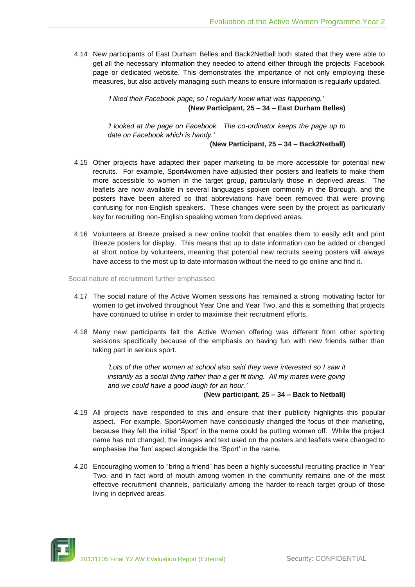4.14 New participants of East Durham Belles and Back2Netball both stated that they were able to get all the necessary information they needed to attend either through the projects' Facebook page or dedicated website. This demonstrates the importance of not only employing these measures, but also actively managing such means to ensure information is regularly updated.

> *'I liked their Facebook page; so I regularly knew what was happening.'* **(New Participant, 25 – 34 – East Durham Belles)**

> *'I looked at the page on Facebook. The co-ordinator keeps the page up to date on Facebook which is handy.'*

> > **(New Participant, 25 – 34 – Back2Netball)**

- 4.15 Other projects have adapted their paper marketing to be more accessible for potential new recruits. For example, Sport4women have adjusted their posters and leaflets to make them more accessible to women in the target group, particularly those in deprived areas. The leaflets are now available in several languages spoken commonly in the Borough, and the posters have been altered so that abbreviations have been removed that were proving confusing for non-English speakers. These changes were seen by the project as particularly key for recruiting non-English speaking women from deprived areas.
- 4.16 Volunteers at Breeze praised a new online toolkit that enables them to easily edit and print Breeze posters for display. This means that up to date information can be added or changed at short notice by volunteers, meaning that potential new recruits seeing posters will always have access to the most up to date information without the need to go online and find it.

Social nature of recruitment further emphasised

- 4.17 The social nature of the Active Women sessions has remained a strong motivating factor for women to get involved throughout Year One and Year Two, and this is something that projects have continued to utilise in order to maximise their recruitment efforts.
- 4.18 Many new participants felt the Active Women offering was different from other sporting sessions specifically because of the emphasis on having fun with new friends rather than taking part in serious sport.

'Lots of the other women at school also said they were interested so I saw it *instantly as a social thing rather than a get fit thing. All my mates were going and we could have a good laugh for an hour.'*

#### **(New participant, 25 – 34 – Back to Netball)**

- 4.19 All projects have responded to this and ensure that their publicity highlights this popular aspect. For example, Sport4women have consciously changed the focus of their marketing, because they felt the initial 'Sport' in the name could be putting women off. While the project name has not changed, the images and text used on the posters and leaflets were changed to emphasise the 'fun' aspect alongside the 'Sport' in the name.
- 4.20 Encouraging women to "bring a friend" has been a highly successful recruiting practice in Year Two, and in fact word of mouth among women in the community remains one of the most effective recruitment channels, particularly among the harder-to-reach target group of those living in deprived areas.

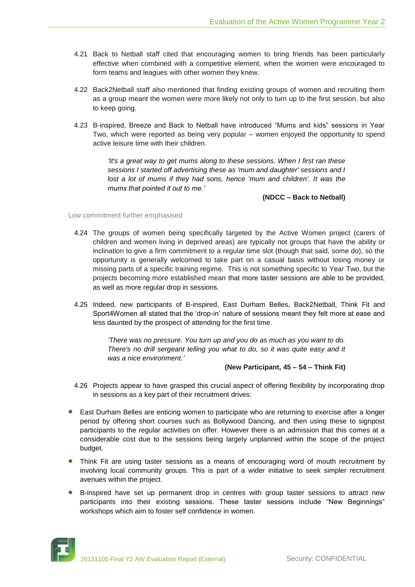- 4.21 Back to Netball staff cited that encouraging women to bring friends has been particularly effective when combined with a competitive element, when the women were encouraged to form teams and leagues with other women they knew.
- 4.22 Back2Netball staff also mentioned that finding existing groups of women and recruiting them as a group meant the women were more likely not only to turn up to the first session, but also to keep going.
- 4.23 B-inspired, Breeze and Back to Netball have introduced "Mums and kids" sessions in Year Two, which were reported as being very popular – women enjoyed the opportunity to spend active leisure time with their children.

*'It's a great way to get mums along to these sessions. When I first ran these sessions I started off advertising these as 'mum and daughter' sessions and I*  lost a lot of mums if they had sons, hence 'mum and children'. It was the *mums that pointed it out to me.'*

**(NDCC – Back to Netball)**

Low commitment further emphasised

- 4.24 The groups of women being specifically targeted by the Active Women project (carers of children and women living in deprived areas) are typically not groups that have the ability or inclination to give a firm commitment to a regular time slot (though that said, some do), so the opportunity is generally welcomed to take part on a casual basis without losing money or missing parts of a specific training regime. This is not something specific to Year Two, but the projects becoming more established mean that more taster sessions are able to be provided, as well as more regular drop in sessions.
- 4.25 Indeed, new participants of B-inspired, East Durham Belles, Back2Netball, Think Fit and Sport4Women all stated that the 'drop-in' nature of sessions meant they felt more at ease and less daunted by the prospect of attending for the first time.

*'There was no pressure. You turn up and you do as much as you want to do. There's no drill sergeant telling you what to do, so it was quite easy and it was a nice environment.'*

#### **(New Participant, 45 – 54 – Think Fit)**

- 4.26 Projects appear to have grasped this crucial aspect of offering flexibility by incorporating drop in sessions as a key part of their recruitment drives:
- East Durham Belles are enticing women to participate who are returning to exercise after a longer period by offering short courses such as Bollywood Dancing, and then using these to signpost participants to the regular activities on offer. However there is an admission that this comes at a considerable cost due to the sessions being largely unplanned within the scope of the project budget.
- Think Fit are using taster sessions as a means of encouraging word of mouth recruitment by involving local community groups. This is part of a wider initiative to seek simpler recruitment avenues within the project.
- B-inspired have set up permanent drop in centres with group taster sessions to attract new participants into their existing sessions. These taster sessions include "New Beginnings" workshops which aim to foster self confidence in women.

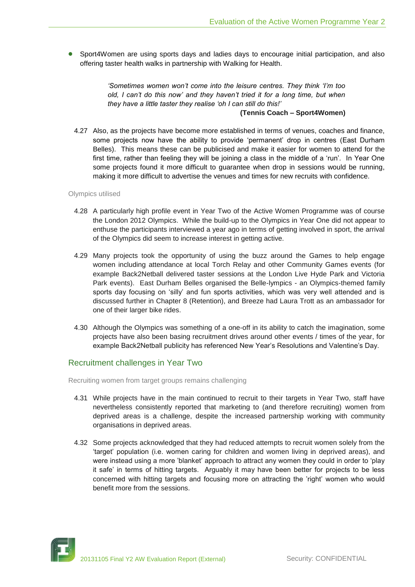Sport4Women are using sports days and ladies days to encourage initial participation, and also offering taster health walks in partnership with Walking for Health.

> *'Sometimes women won't come into the leisure centres. They think 'I'm too old, I can't do this now' and they haven't tried it for a long time, but when they have a little taster they realise 'oh I can still do this!'*

#### **(Tennis Coach – Sport4Women)**

4.27 Also, as the projects have become more established in terms of venues, coaches and finance, some projects now have the ability to provide 'permanent' drop in centres (East Durham Belles). This means these can be publicised and make it easier for women to attend for the first time, rather than feeling they will be joining a class in the middle of a 'run'. In Year One some projects found it more difficult to guarantee when drop in sessions would be running, making it more difficult to advertise the venues and times for new recruits with confidence.

Olympics utilised

- 4.28 A particularly high profile event in Year Two of the Active Women Programme was of course the London 2012 Olympics. While the build-up to the Olympics in Year One did not appear to enthuse the participants interviewed a year ago in terms of getting involved in sport, the arrival of the Olympics did seem to increase interest in getting active.
- 4.29 Many projects took the opportunity of using the buzz around the Games to help engage women including attendance at local Torch Relay and other Community Games events (for example Back2Netball delivered taster sessions at the London Live Hyde Park and Victoria Park events). East Durham Belles organised the Belle-lympics - an Olympics-themed family sports day focusing on 'silly' and fun sports activities, which was very well attended and is discussed further in Chapter 8 (Retention), and Breeze had Laura Trott as an ambassador for one of their larger bike rides.
- 4.30 Although the Olympics was something of a one-off in its ability to catch the imagination, some projects have also been basing recruitment drives around other events / times of the year, for example Back2Netball publicity has referenced New Year's Resolutions and Valentine's Day.

## Recruitment challenges in Year Two

Recruiting women from target groups remains challenging

- 4.31 While projects have in the main continued to recruit to their targets in Year Two, staff have nevertheless consistently reported that marketing to (and therefore recruiting) women from deprived areas is a challenge, despite the increased partnership working with community organisations in deprived areas.
- 4.32 Some projects acknowledged that they had reduced attempts to recruit women solely from the 'target' population (i.e. women caring for children and women living in deprived areas), and were instead using a more 'blanket' approach to attract any women they could in order to 'play it safe' in terms of hitting targets. Arguably it may have been better for projects to be less concerned with hitting targets and focusing more on attracting the 'right' women who would benefit more from the sessions.

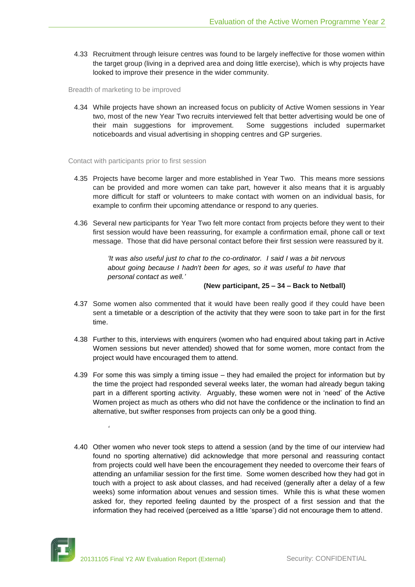4.33 Recruitment through leisure centres was found to be largely ineffective for those women within the target group (living in a deprived area and doing little exercise), which is why projects have looked to improve their presence in the wider community.

Breadth of marketing to be improved

4.34 While projects have shown an increased focus on publicity of Active Women sessions in Year two, most of the new Year Two recruits interviewed felt that better advertising would be one of their main suggestions for improvement. Some suggestions included supermarket noticeboards and visual advertising in shopping centres and GP surgeries.

Contact with participants prior to first session

- 4.35 Projects have become larger and more established in Year Two. This means more sessions can be provided and more women can take part, however it also means that it is arguably more difficult for staff or volunteers to make contact with women on an individual basis, for example to confirm their upcoming attendance or respond to any queries.
- 4.36 Several new participants for Year Two felt more contact from projects before they went to their first session would have been reassuring, for example a confirmation email, phone call or text message. Those that did have personal contact before their first session were reassured by it.

*'It was also useful just to chat to the co-ordinator. I said I was a bit nervous about going because I hadn't been for ages, so it was useful to have that personal contact as well.'*

#### **(New participant, 25 – 34 – Back to Netball)**

- 4.37 Some women also commented that it would have been really good if they could have been sent a timetable or a description of the activity that they were soon to take part in for the first time.
- 4.38 Further to this, interviews with enquirers (women who had enquired about taking part in Active Women sessions but never attended) showed that for some women, more contact from the project would have encouraged them to attend.
- 4.39 For some this was simply a timing issue they had emailed the project for information but by the time the project had responded several weeks later, the woman had already begun taking part in a different sporting activity. Arguably, these women were not in 'need' of the Active Women project as much as others who did not have the confidence or the inclination to find an alternative, but swifter responses from projects can only be a good thing.
- 4.40 Other women who never took steps to attend a session (and by the time of our interview had found no sporting alternative) did acknowledge that more personal and reassuring contact from projects could well have been the encouragement they needed to overcome their fears of attending an unfamiliar session for the first time. Some women described how they had got in touch with a project to ask about classes, and had received (generally after a delay of a few weeks) some information about venues and session times. While this is what these women asked for, they reported feeling daunted by the prospect of a first session and that the information they had received (perceived as a little 'sparse') did not encourage them to attend.



*'*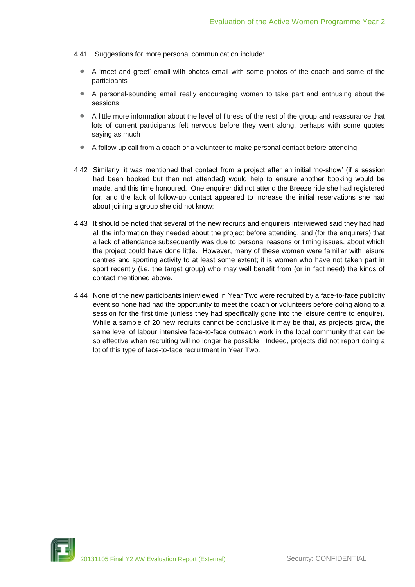- 4.41 .Suggestions for more personal communication include:
	- A 'meet and greet' email with photos email with some photos of the coach and some of the participants
	- A personal-sounding email really encouraging women to take part and enthusing about the sessions
	- A little more information about the level of fitness of the rest of the group and reassurance that lots of current participants felt nervous before they went along, perhaps with some quotes saying as much
	- A follow up call from a coach or a volunteer to make personal contact before attending
- 4.42 Similarly, it was mentioned that contact from a project after an initial 'no-show' (if a session had been booked but then not attended) would help to ensure another booking would be made, and this time honoured. One enquirer did not attend the Breeze ride she had registered for, and the lack of follow-up contact appeared to increase the initial reservations she had about joining a group she did not know:
- 4.43 It should be noted that several of the new recruits and enquirers interviewed said they had had all the information they needed about the project before attending, and (for the enquirers) that a lack of attendance subsequently was due to personal reasons or timing issues, about which the project could have done little. However, many of these women were familiar with leisure centres and sporting activity to at least some extent; it is women who have not taken part in sport recently (i.e. the target group) who may well benefit from (or in fact need) the kinds of contact mentioned above.
- 4.44 None of the new participants interviewed in Year Two were recruited by a face-to-face publicity event so none had had the opportunity to meet the coach or volunteers before going along to a session for the first time (unless they had specifically gone into the leisure centre to enquire). While a sample of 20 new recruits cannot be conclusive it may be that, as projects grow, the same level of labour intensive face-to-face outreach work in the local community that can be so effective when recruiting will no longer be possible. Indeed, projects did not report doing a lot of this type of face-to-face recruitment in Year Two.

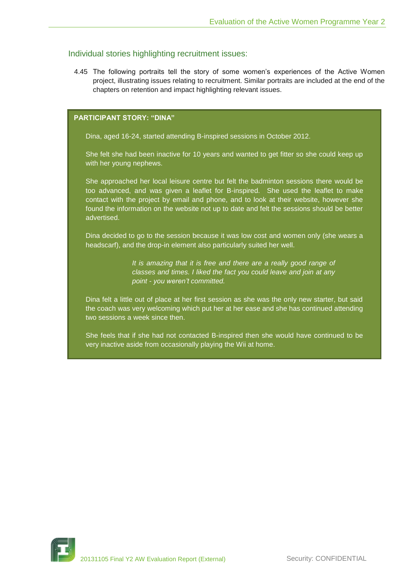## Individual stories highlighting recruitment issues:

4.45 The following portraits tell the story of some women's experiences of the Active Women project, illustrating issues relating to recruitment. Similar portraits are included at the end of the chapters on retention and impact highlighting relevant issues.

## **PARTICIPANT STORY: "DINA"**

Dina, aged 16-24, started attending B-inspired sessions in October 2012.

She felt she had been inactive for 10 years and wanted to get fitter so she could keep up with her young nephews.

She approached her local leisure centre but felt the badminton sessions there would be too advanced, and was given a leaflet for B-inspired. She used the leaflet to make contact with the project by email and phone, and to look at their website, however she found the information on the website not up to date and felt the sessions should be better advertised.

Dina decided to go to the session because it was low cost and women only (she wears a headscarf), and the drop-in element also particularly suited her well.

> *It is amazing that it is free and there are a really good range of classes and times. I liked the fact you could leave and join at any point - you weren't committed.*

Dina felt a little out of place at her first session as she was the only new starter, but said the coach was very welcoming which put her at her ease and she has continued attending two sessions a week since then.

She feels that if she had not contacted B-inspired then she would have continued to be very inactive aside from occasionally playing the Wii at home.

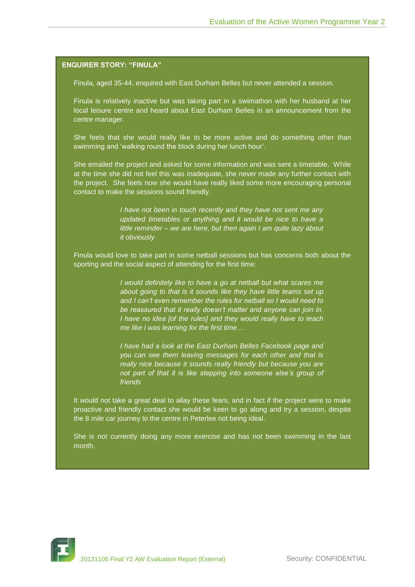#### **ENQUIRER STORY: "FINULA"**

Finula, aged 35-44, enquired with East Durham Belles but never attended a session.

Finula is relatively inactive but was taking part in a swimathon with her husband at her local leisure centre and heard about East Durham Belles in an announcement from the centre manager.

She feels that she would really like to be more active and do something other than swimming and 'walking round the block during her lunch hour'.

She emailed the project and asked for some information and was sent a timetable. While at the time she did not feel this was inadequate, she never made any further contact with the project. She feels now she would have really liked some more encouraging personal contact to make the sessions sound friendly.

> *I have not been in touch recently and they have not sent me any updated timetables or anything and it would be nice to have a little reminder – we are here, but then again I am quite lazy about it obviously*

Finula would love to take part in some netball sessions but has concerns both about the sporting and the social aspect of attending for the first time:

> *I would definitely like to have a go at netball but what scares me about going to that is it sounds like they have little teams set up and I can't even remember the rules for netball so I would need to be reassured that it really doesn't matter and anyone can join in. I have no idea [of the rules] and they would really have to teach me like I was learning for the first time ...*

> *I have had a look at the East Durham Belles Facebook page and you can see them leaving messages for each other and that is really nice because it sounds really friendly but because you are not part of that it is like stepping into someone else's group of friends*

It would not take a great deal to allay these fears, and in fact if the project were to make proactive and friendly contact she would be keen to go along and try a session, despite the 8 mile car journey to the centre in Peterlee not being ideal.

She is not currently doing any more exercise and has not been swimming in the last month.

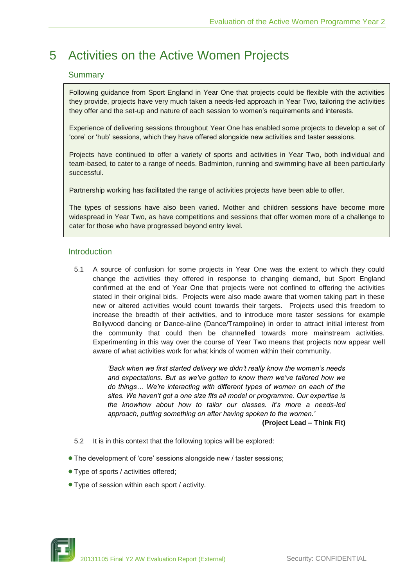## <span id="page-29-0"></span>5 Activities on the Active Women Projects

## **Summary**

Following guidance from Sport England in Year One that projects could be flexible with the activities they provide, projects have very much taken a needs-led approach in Year Two, tailoring the activities they offer and the set-up and nature of each session to women's requirements and interests.

Experience of delivering sessions throughout Year One has enabled some projects to develop a set of 'core' or 'hub' sessions, which they have offered alongside new activities and taster sessions.

Projects have continued to offer a variety of sports and activities in Year Two, both individual and team-based, to cater to a range of needs. Badminton, running and swimming have all been particularly successful.

Partnership working has facilitated the range of activities projects have been able to offer.

The types of sessions have also been varied. Mother and children sessions have become more widespread in Year Two, as have competitions and sessions that offer women more of a challenge to cater for those who have progressed beyond entry level.

## Introduction

5.1 A source of confusion for some projects in Year One was the extent to which they could change the activities they offered in response to changing demand, but Sport England confirmed at the end of Year One that projects were not confined to offering the activities stated in their original bids. Projects were also made aware that women taking part in these new or altered activities would count towards their targets. Projects used this freedom to increase the breadth of their activities, and to introduce more taster sessions for example Bollywood dancing or Dance-aline (Dance/Trampoline) in order to attract initial interest from the community that could then be channelled towards more mainstream activities. Experimenting in this way over the course of Year Two means that projects now appear well aware of what activities work for what kinds of women within their community.

> *'Back when we first started delivery we didn't really know the women's needs and expectations. But as we've gotten to know them we've tailored how we do things… We're interacting with different types of women on each of the sites. We haven't got a one size fits all model or programme. Our expertise is the knowhow about how to tailor our classes. It's more a needs-led approach, putting something on after having spoken to the women.'*

**(Project Lead – Think Fit)**

- 5.2 It is in this context that the following topics will be explored:
- The development of 'core' sessions alongside new / taster sessions;
- Type of sports / activities offered;
- Type of session within each sport / activity.

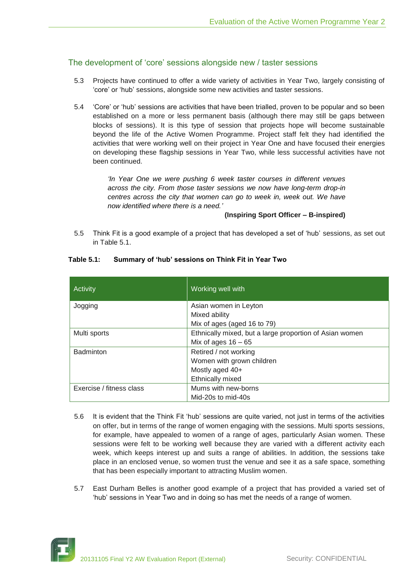## The development of 'core' sessions alongside new / taster sessions

- 5.3 Projects have continued to offer a wide variety of activities in Year Two, largely consisting of 'core' or 'hub' sessions, alongside some new activities and taster sessions.
- 5.4 'Core' or 'hub' sessions are activities that have been trialled, proven to be popular and so been established on a more or less permanent basis (although there may still be gaps between blocks of sessions). It is this type of session that projects hope will become sustainable beyond the life of the Active Women Programme. Project staff felt they had identified the activities that were working well on their project in Year One and have focused their energies on developing these flagship sessions in Year Two, while less successful activities have not been continued.

*'In Year One we were pushing 6 week taster courses in different venues across the city. From those taster sessions we now have long-term drop-in centres across the city that women can go to week in, week out. We have now identified where there is a need.'*

#### **(Inspiring Sport Officer – B-inspired)**

5.5 Think Fit is a good example of a project that has developed a set of 'hub' sessions, as set out in Table 5.1.

| Activity                 | Working well with                                       |
|--------------------------|---------------------------------------------------------|
| Jogging                  | Asian women in Leyton                                   |
|                          | Mixed ability                                           |
|                          | Mix of ages (aged 16 to 79)                             |
| Multi sports             | Ethnically mixed, but a large proportion of Asian women |
|                          | Mix of ages $16 - 65$                                   |
| <b>Badminton</b>         | Retired / not working                                   |
|                          | Women with grown children                               |
|                          | Mostly aged 40+                                         |
|                          | Ethnically mixed                                        |
| Exercise / fitness class | Mums with new-borns                                     |
|                          | Mid-20s to mid-40s                                      |

#### **Table 5.1: Summary of 'hub' sessions on Think Fit in Year Two**

- 5.6 It is evident that the Think Fit 'hub' sessions are quite varied, not just in terms of the activities on offer, but in terms of the range of women engaging with the sessions. Multi sports sessions, for example, have appealed to women of a range of ages, particularly Asian women. These sessions were felt to be working well because they are varied with a different activity each week, which keeps interest up and suits a range of abilities. In addition, the sessions take place in an enclosed venue, so women trust the venue and see it as a safe space, something that has been especially important to attracting Muslim women.
- 5.7 East Durham Belles is another good example of a project that has provided a varied set of 'hub' sessions in Year Two and in doing so has met the needs of a range of women.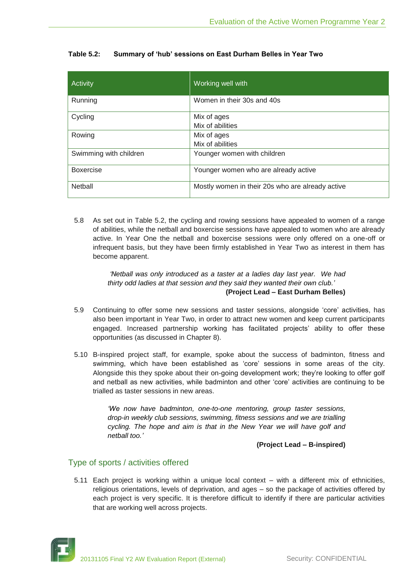| Activity               | Working well with                                |
|------------------------|--------------------------------------------------|
| Running                | Women in their 30s and 40s                       |
| Cycling                | Mix of ages                                      |
|                        | Mix of abilities                                 |
| Rowing                 | Mix of ages                                      |
|                        | Mix of abilities                                 |
| Swimming with children | Younger women with children                      |
| <b>Boxercise</b>       | Younger women who are already active             |
| Netball                | Mostly women in their 20s who are already active |

## **Table 5.2: Summary of 'hub' sessions on East Durham Belles in Year Two**

5.8 As set out in Table 5.2, the cycling and rowing sessions have appealed to women of a range of abilities, while the netball and boxercise sessions have appealed to women who are already active. In Year One the netball and boxercise sessions were only offered on a one-off or infrequent basis, but they have been firmly established in Year Two as interest in them has become apparent.

#### *'Netball was only introduced as a taster at a ladies day last year. We had thirty odd ladies at that session and they said they wanted their own club.'* **(Project Lead – East Durham Belles)**

- 5.9 Continuing to offer some new sessions and taster sessions, alongside 'core' activities, has also been important in Year Two, in order to attract new women and keep current participants engaged. Increased partnership working has facilitated projects' ability to offer these opportunities (as discussed in Chapter 8).
- 5.10 B-inspired project staff, for example, spoke about the success of badminton, fitness and swimming, which have been established as 'core' sessions in some areas of the city. Alongside this they spoke about their on-going development work; they're looking to offer golf and netball as new activities, while badminton and other 'core' activities are continuing to be trialled as taster sessions in new areas.

*'We now have badminton, one-to-one mentoring, group taster sessions, drop-in weekly club sessions, swimming, fitness sessions and we are trialling cycling. The hope and aim is that in the New Year we will have golf and netball too.'*

#### **(Project Lead – B-inspired)**

## Type of sports / activities offered

5.11 Each project is working within a unique local context – with a different mix of ethnicities, religious orientations, levels of deprivation, and ages – so the package of activities offered by each project is very specific. It is therefore difficult to identify if there are particular activities that are working well across projects.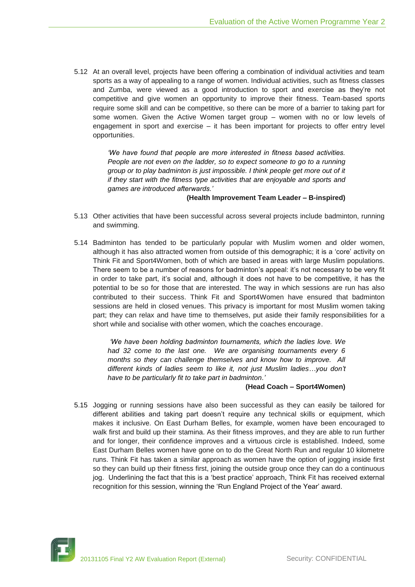5.12 At an overall level, projects have been offering a combination of individual activities and team sports as a way of appealing to a range of women. Individual activities, such as fitness classes and Zumba, were viewed as a good introduction to sport and exercise as they're not competitive and give women an opportunity to improve their fitness. Team-based sports require some skill and can be competitive, so there can be more of a barrier to taking part for some women. Given the Active Women target group – women with no or low levels of engagement in sport and exercise – it has been important for projects to offer entry level opportunities.

> *'We have found that people are more interested in fitness based activities. People are not even on the ladder, so to expect someone to go to a running group or to play badminton is just impossible. I think people get more out of it if they start with the fitness type activities that are enjoyable and sports and games are introduced afterwards.'*

#### **(Health Improvement Team Leader – B-inspired)**

- 5.13 Other activities that have been successful across several projects include badminton, running and swimming.
- 5.14 Badminton has tended to be particularly popular with Muslim women and older women, although it has also attracted women from outside of this demographic; it is a 'core' activity on Think Fit and Sport4Women, both of which are based in areas with large Muslim populations. There seem to be a number of reasons for badminton's appeal: it's not necessary to be very fit in order to take part, it's social and, although it does not have to be competitive, it has the potential to be so for those that are interested. The way in which sessions are run has also contributed to their success. Think Fit and Sport4Women have ensured that badminton sessions are held in closed venues. This privacy is important for most Muslim women taking part; they can relax and have time to themselves, put aside their family responsibilities for a short while and socialise with other women, which the coaches encourage.

*'We have been holding badminton tournaments, which the ladies love. We had 32 come to the last one. We are organising tournaments every 6 months so they can challenge themselves and know how to improve. All different kinds of ladies seem to like it, not just Muslim ladies…you don't have to be particularly fit to take part in badminton.'*

#### **(Head Coach – Sport4Women)**

5.15 Jogging or running sessions have also been successful as they can easily be tailored for different abilities and taking part doesn't require any technical skills or equipment, which makes it inclusive. On East Durham Belles, for example, women have been encouraged to walk first and build up their stamina. As their fitness improves, and they are able to run further and for longer, their confidence improves and a virtuous circle is established. Indeed, some East Durham Belles women have gone on to do the Great North Run and regular 10 kilometre runs. Think Fit has taken a similar approach as women have the option of jogging inside first so they can build up their fitness first, joining the outside group once they can do a continuous jog. Underlining the fact that this is a 'best practice' approach, Think Fit has received external recognition for this session, winning the 'Run England Project of the Year' award.

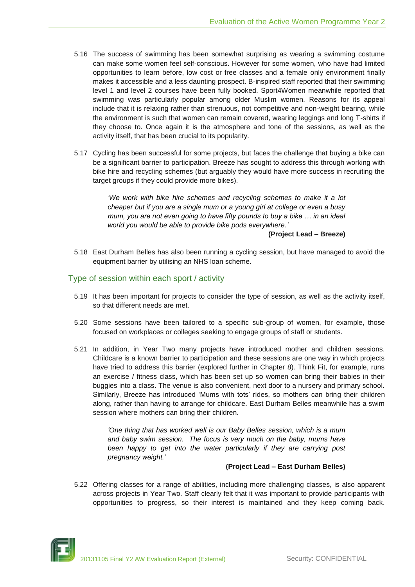- 5.16 The success of swimming has been somewhat surprising as wearing a swimming costume can make some women feel self-conscious. However for some women, who have had limited opportunities to learn before, low cost or free classes and a female only environment finally makes it accessible and a less daunting prospect. B-inspired staff reported that their swimming level 1 and level 2 courses have been fully booked. Sport4Women meanwhile reported that swimming was particularly popular among older Muslim women. Reasons for its appeal include that it is relaxing rather than strenuous, not competitive and non-weight bearing, while the environment is such that women can remain covered, wearing leggings and long T-shirts if they choose to. Once again it is the atmosphere and tone of the sessions, as well as the activity itself, that has been crucial to its popularity.
- 5.17 Cycling has been successful for some projects, but faces the challenge that buying a bike can be a significant barrier to participation. Breeze has sought to address this through working with bike hire and recycling schemes (but arguably they would have more success in recruiting the target groups if they could provide more bikes).

*'We work with bike hire schemes and recycling schemes to make it a lot cheaper but if you are a single mum or a young girl at college or even a busy mum, you are not even going to have fifty pounds to buy a bike … in an ideal world you would be able to provide bike pods everywhere.'* 

**(Project Lead – Breeze)**

5.18 East Durham Belles has also been running a cycling session, but have managed to avoid the equipment barrier by utilising an NHS loan scheme.

### Type of session within each sport / activity

- 5.19 It has been important for projects to consider the type of session, as well as the activity itself, so that different needs are met.
- 5.20 Some sessions have been tailored to a specific sub-group of women, for example, those focused on workplaces or colleges seeking to engage groups of staff or students.
- 5.21 In addition, in Year Two many projects have introduced mother and children sessions. Childcare is a known barrier to participation and these sessions are one way in which projects have tried to address this barrier (explored further in Chapter 8). Think Fit, for example, runs an exercise / fitness class, which has been set up so women can bring their babies in their buggies into a class. The venue is also convenient, next door to a nursery and primary school. Similarly, Breeze has introduced 'Mums with tots' rides, so mothers can bring their children along, rather than having to arrange for childcare. East Durham Belles meanwhile has a swim session where mothers can bring their children.

*'One thing that has worked well is our Baby Belles session, which is a mum and baby swim session. The focus is very much on the baby, mums have been happy to get into the water particularly if they are carrying post pregnancy weight.'*

#### **(Project Lead – East Durham Belles)**

5.22 Offering classes for a range of abilities, including more challenging classes, is also apparent across projects in Year Two. Staff clearly felt that it was important to provide participants with opportunities to progress, so their interest is maintained and they keep coming back.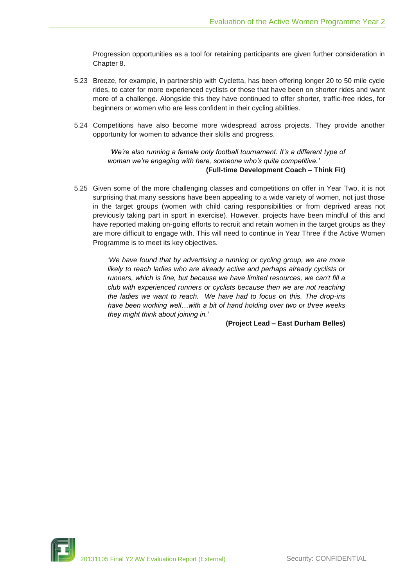Progression opportunities as a tool for retaining participants are given further consideration in Chapter 8.

- 5.23 Breeze, for example, in partnership with Cycletta, has been offering longer 20 to 50 mile cycle rides, to cater for more experienced cyclists or those that have been on shorter rides and want more of a challenge. Alongside this they have continued to offer shorter, traffic-free rides, for beginners or women who are less confident in their cycling abilities.
- 5.24 Competitions have also become more widespread across projects. They provide another opportunity for women to advance their skills and progress.

#### *'We're also running a female only football tournament. It's a different type of woman we're engaging with here, someone who's quite competitive.'*  **(Full-time Development Coach – Think Fit)**

5.25 Given some of the more challenging classes and competitions on offer in Year Two, it is not surprising that many sessions have been appealing to a wide variety of women, not just those in the target groups (women with child caring responsibilities or from deprived areas not previously taking part in sport in exercise). However, projects have been mindful of this and have reported making on-going efforts to recruit and retain women in the target groups as they are more difficult to engage with. This will need to continue in Year Three if the Active Women Programme is to meet its key objectives.

> *'We have found that by advertising a running or cycling group, we are more likely to reach ladies who are already active and perhaps already cyclists or runners, which is fine, but because we have limited resources, we can't fill a club with experienced runners or cyclists because then we are not reaching the ladies we want to reach. We have had to focus on this. The drop-ins have been working well…with a bit of hand holding over two or three weeks they might think about joining in.'*

> > **(Project Lead – East Durham Belles)**

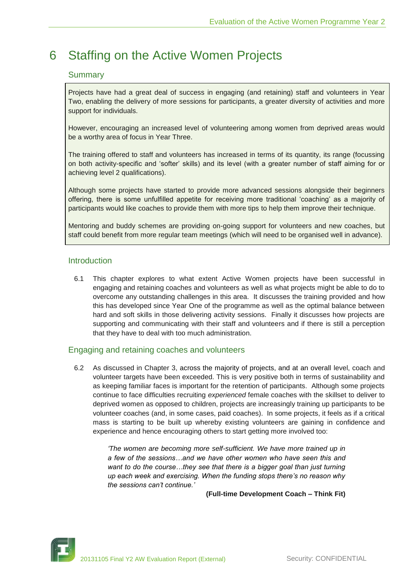## <span id="page-35-0"></span>6 Staffing on the Active Women Projects

## **Summary**

Projects have had a great deal of success in engaging (and retaining) staff and volunteers in Year Two, enabling the delivery of more sessions for participants, a greater diversity of activities and more support for individuals.

However, encouraging an increased level of volunteering among women from deprived areas would be a worthy area of focus in Year Three.

The training offered to staff and volunteers has increased in terms of its quantity, its range (focussing on both activity-specific and 'softer' skills) and its level (with a greater number of staff aiming for or achieving level 2 qualifications).

Although some projects have started to provide more advanced sessions alongside their beginners offering, there is some unfulfilled appetite for receiving more traditional 'coaching' as a majority of participants would like coaches to provide them with more tips to help them improve their technique.

Mentoring and buddy schemes are providing on-going support for volunteers and new coaches, but staff could benefit from more regular team meetings (which will need to be organised well in advance).

## **Introduction**

6.1 This chapter explores to what extent Active Women projects have been successful in engaging and retaining coaches and volunteers as well as what projects might be able to do to overcome any outstanding challenges in this area. It discusses the training provided and how this has developed since Year One of the programme as well as the optimal balance between hard and soft skills in those delivering activity sessions. Finally it discusses how projects are supporting and communicating with their staff and volunteers and if there is still a perception that they have to deal with too much administration.

## Engaging and retaining coaches and volunteers

6.2 As discussed in Chapter 3, across the majority of projects, and at an overall level, coach and volunteer targets have been exceeded. This is very positive both in terms of sustainability and as keeping familiar faces is important for the retention of participants. Although some projects continue to face difficulties recruiting *experienced* female coaches with the skillset to deliver to deprived women as opposed to children, projects are increasingly training up participants to be volunteer coaches (and, in some cases, paid coaches). In some projects, it feels as if a critical mass is starting to be built up whereby existing volunteers are gaining in confidence and experience and hence encouraging others to start getting more involved too:

> *'The women are becoming more self-sufficient. We have more trained up in a few of the sessions…and we have other women who have seen this and*  want to do the course...they see that there is a bigger goal than just turning *up each week and exercising. When the funding stops there's no reason why the sessions can't continue.'*

#### **(Full-time Development Coach – Think Fit)**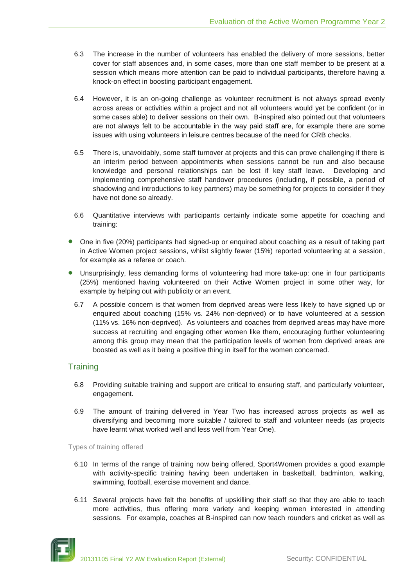- 6.3 The increase in the number of volunteers has enabled the delivery of more sessions, better cover for staff absences and, in some cases, more than one staff member to be present at a session which means more attention can be paid to individual participants, therefore having a knock-on effect in boosting participant engagement.
- 6.4 However, it is an on-going challenge as volunteer recruitment is not always spread evenly across areas or activities within a project and not all volunteers would yet be confident (or in some cases able) to deliver sessions on their own. B-inspired also pointed out that volunteers are not always felt to be accountable in the way paid staff are, for example there are some issues with using volunteers in leisure centres because of the need for CRB checks.
- 6.5 There is, unavoidably, some staff turnover at projects and this can prove challenging if there is an interim period between appointments when sessions cannot be run and also because knowledge and personal relationships can be lost if key staff leave. Developing and implementing comprehensive staff handover procedures (including, if possible, a period of shadowing and introductions to key partners) may be something for projects to consider if they have not done so already.
- 6.6 Quantitative interviews with participants certainly indicate some appetite for coaching and training:
- One in five (20%) participants had signed-up or enquired about coaching as a result of taking part in Active Women project sessions, whilst slightly fewer (15%) reported volunteering at a session, for example as a referee or coach.
- Unsurprisingly, less demanding forms of volunteering had more take-up: one in four participants (25%) mentioned having volunteered on their Active Women project in some other way, for example by helping out with publicity or an event.
	- 6.7 A possible concern is that women from deprived areas were less likely to have signed up or enquired about coaching (15% vs. 24% non-deprived) or to have volunteered at a session (11% vs. 16% non-deprived). As volunteers and coaches from deprived areas may have more success at recruiting and engaging other women like them, encouraging further volunteering among this group may mean that the participation levels of women from deprived areas are boosted as well as it being a positive thing in itself for the women concerned.

# **Training**

- 6.8 Providing suitable training and support are critical to ensuring staff, and particularly volunteer, engagement.
- 6.9 The amount of training delivered in Year Two has increased across projects as well as diversifying and becoming more suitable / tailored to staff and volunteer needs (as projects have learnt what worked well and less well from Year One).

#### Types of training offered

- 6.10 In terms of the range of training now being offered, Sport4Women provides a good example with activity-specific training having been undertaken in basketball, badminton, walking, swimming, football, exercise movement and dance.
- 6.11 Several projects have felt the benefits of upskilling their staff so that they are able to teach more activities, thus offering more variety and keeping women interested in attending sessions. For example, coaches at B-inspired can now teach rounders and cricket as well as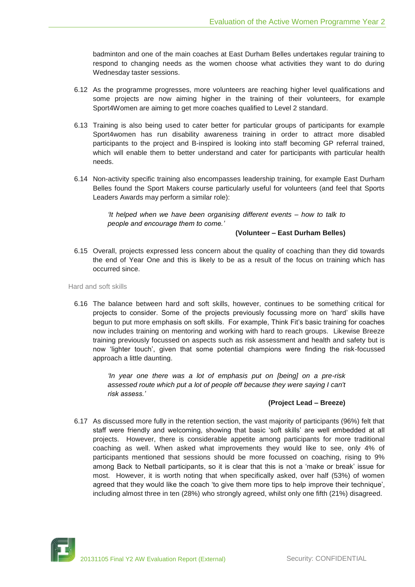badminton and one of the main coaches at East Durham Belles undertakes regular training to respond to changing needs as the women choose what activities they want to do during Wednesday taster sessions.

- 6.12 As the programme progresses, more volunteers are reaching higher level qualifications and some projects are now aiming higher in the training of their volunteers, for example Sport4Women are aiming to get more coaches qualified to Level 2 standard.
- 6.13 Training is also being used to cater better for particular groups of participants for example Sport4women has run disability awareness training in order to attract more disabled participants to the project and B-inspired is looking into staff becoming GP referral trained, which will enable them to better understand and cater for participants with particular health needs.
- 6.14 Non-activity specific training also encompasses leadership training, for example East Durham Belles found the Sport Makers course particularly useful for volunteers (and feel that Sports Leaders Awards may perform a similar role):

*'It helped when we have been organising different events – how to talk to people and encourage them to come.'*

#### **(Volunteer – East Durham Belles)**

6.15 Overall, projects expressed less concern about the quality of coaching than they did towards the end of Year One and this is likely to be as a result of the focus on training which has occurred since.

Hard and soft skills

6.16 The balance between hard and soft skills, however, continues to be something critical for projects to consider. Some of the projects previously focussing more on 'hard' skills have begun to put more emphasis on soft skills. For example, Think Fit's basic training for coaches now includes training on mentoring and working with hard to reach groups. Likewise Breeze training previously focussed on aspects such as risk assessment and health and safety but is now 'lighter touch', given that some potential champions were finding the risk-focussed approach a little daunting.

> *'In year one there was a lot of emphasis put on [being] on a pre-risk assessed route which put a lot of people off because they were saying I can't risk assess.'*

## **(Project Lead – Breeze)**

6.17 As discussed more fully in the retention section, the vast majority of participants (96%) felt that staff were friendly and welcoming, showing that basic 'soft skills' are well embedded at all projects. However, there is considerable appetite among participants for more traditional coaching as well. When asked what improvements they would like to see, only 4% of participants mentioned that sessions should be more focussed on coaching, rising to 9% among Back to Netball participants, so it is clear that this is not a 'make or break' issue for most. However, it is worth noting that when specifically asked, over half (53%) of women agreed that they would like the coach 'to give them more tips to help improve their technique', including almost three in ten (28%) who strongly agreed, whilst only one fifth (21%) disagreed.

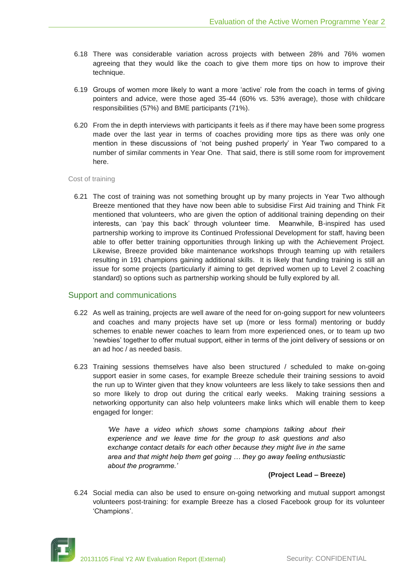- 6.18 There was considerable variation across projects with between 28% and 76% women agreeing that they would like the coach to give them more tips on how to improve their technique.
- 6.19 Groups of women more likely to want a more 'active' role from the coach in terms of giving pointers and advice, were those aged 35-44 (60% vs. 53% average), those with childcare responsibilities (57%) and BME participants (71%).
- 6.20 From the in depth interviews with participants it feels as if there may have been some progress made over the last year in terms of coaches providing more tips as there was only one mention in these discussions of 'not being pushed properly' in Year Two compared to a number of similar comments in Year One. That said, there is still some room for improvement here.

#### Cost of training

6.21 The cost of training was not something brought up by many projects in Year Two although Breeze mentioned that they have now been able to subsidise First Aid training and Think Fit mentioned that volunteers, who are given the option of additional training depending on their interests, can 'pay this back' through volunteer time. Meanwhile, B-inspired has used partnership working to improve its Continued Professional Development for staff, having been able to offer better training opportunities through linking up with the Achievement Project. Likewise, Breeze provided bike maintenance workshops through teaming up with retailers resulting in 191 champions gaining additional skills. It is likely that funding training is still an issue for some projects (particularly if aiming to get deprived women up to Level 2 coaching standard) so options such as partnership working should be fully explored by all.

## Support and communications

- 6.22 As well as training, projects are well aware of the need for on-going support for new volunteers and coaches and many projects have set up (more or less formal) mentoring or buddy schemes to enable newer coaches to learn from more experienced ones, or to team up two 'newbies' together to offer mutual support, either in terms of the joint delivery of sessions or on an ad hoc / as needed basis.
- 6.23 Training sessions themselves have also been structured / scheduled to make on-going support easier in some cases, for example Breeze schedule their training sessions to avoid the run up to Winter given that they know volunteers are less likely to take sessions then and so more likely to drop out during the critical early weeks. Making training sessions a networking opportunity can also help volunteers make links which will enable them to keep engaged for longer:

*'We have a video which shows some champions talking about their experience and we leave time for the group to ask questions and also exchange contact details for each other because they might live in the same area and that might help them get going … they go away feeling enthusiastic about the programme.'*

## **(Project Lead – Breeze)**

6.24 Social media can also be used to ensure on-going networking and mutual support amongst volunteers post-training: for example Breeze has a closed Facebook group for its volunteer 'Champions'.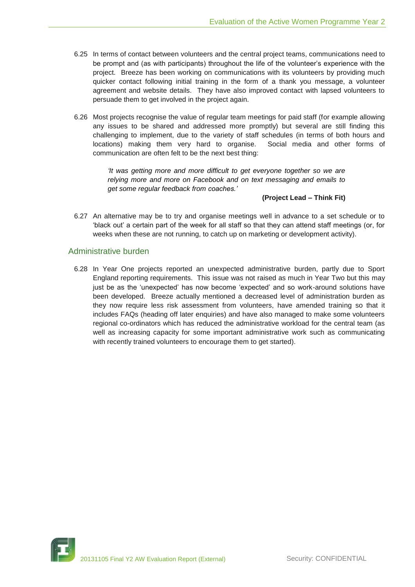- 6.25 In terms of contact between volunteers and the central project teams, communications need to be prompt and (as with participants) throughout the life of the volunteer's experience with the project. Breeze has been working on communications with its volunteers by providing much quicker contact following initial training in the form of a thank you message, a volunteer agreement and website details. They have also improved contact with lapsed volunteers to persuade them to get involved in the project again.
- 6.26 Most projects recognise the value of regular team meetings for paid staff (for example allowing any issues to be shared and addressed more promptly) but several are still finding this challenging to implement, due to the variety of staff schedules (in terms of both hours and locations) making them very hard to organise. Social media and other forms of communication are often felt to be the next best thing:

*'It was getting more and more difficult to get everyone together so we are relying more and more on Facebook and on text messaging and emails to get some regular feedback from coaches.'*

## **(Project Lead – Think Fit)**

6.27 An alternative may be to try and organise meetings well in advance to a set schedule or to 'black out' a certain part of the week for all staff so that they can attend staff meetings (or, for weeks when these are not running, to catch up on marketing or development activity).

# Administrative burden

6.28 In Year One projects reported an unexpected administrative burden, partly due to Sport England reporting requirements. This issue was not raised as much in Year Two but this may just be as the 'unexpected' has now become 'expected' and so work-around solutions have been developed. Breeze actually mentioned a decreased level of administration burden as they now require less risk assessment from volunteers, have amended training so that it includes FAQs (heading off later enquiries) and have also managed to make some volunteers regional co-ordinators which has reduced the administrative workload for the central team (as well as increasing capacity for some important administrative work such as communicating with recently trained volunteers to encourage them to get started).

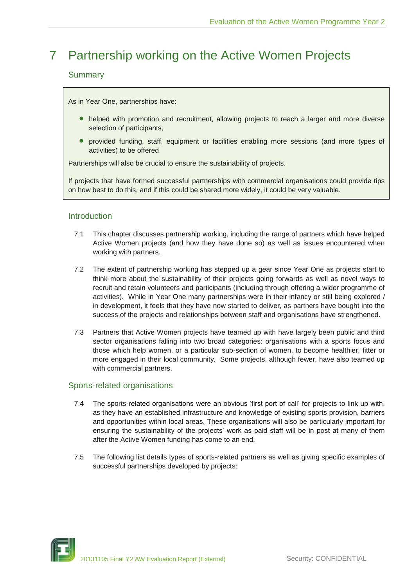# 7 Partnership working on the Active Women Projects

# Summary

As in Year One, partnerships have:

- helped with promotion and recruitment, allowing projects to reach a larger and more diverse selection of participants,
- provided funding, staff, equipment or facilities enabling more sessions (and more types of activities) to be offered

Partnerships will also be crucial to ensure the sustainability of projects.

If projects that have formed successful partnerships with commercial organisations could provide tips on how best to do this, and if this could be shared more widely, it could be very valuable.

# **Introduction**

- 7.1 This chapter discusses partnership working, including the range of partners which have helped Active Women projects (and how they have done so) as well as issues encountered when working with partners.
- 7.2 The extent of partnership working has stepped up a gear since Year One as projects start to think more about the sustainability of their projects going forwards as well as novel ways to recruit and retain volunteers and participants (including through offering a wider programme of activities). While in Year One many partnerships were in their infancy or still being explored / in development, it feels that they have now started to deliver, as partners have bought into the success of the projects and relationships between staff and organisations have strengthened.
- 7.3 Partners that Active Women projects have teamed up with have largely been public and third sector organisations falling into two broad categories: organisations with a sports focus and those which help women, or a particular sub-section of women, to become healthier, fitter or more engaged in their local community. Some projects, although fewer, have also teamed up with commercial partners.

# Sports-related organisations

- 7.4 The sports-related organisations were an obvious 'first port of call' for projects to link up with, as they have an established infrastructure and knowledge of existing sports provision, barriers and opportunities within local areas. These organisations will also be particularly important for ensuring the sustainability of the projects' work as paid staff will be in post at many of them after the Active Women funding has come to an end.
- 7.5 The following list details types of sports-related partners as well as giving specific examples of successful partnerships developed by projects:

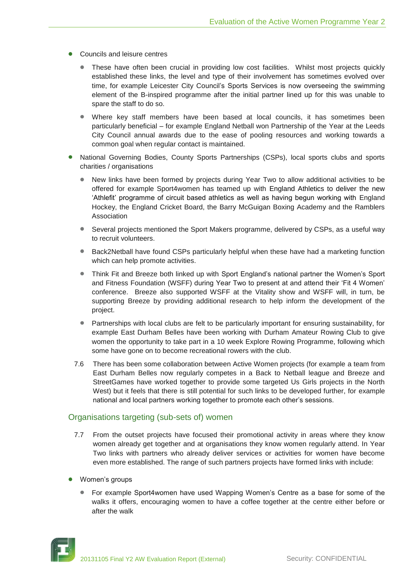- Councils and leisure centres
	- These have often been crucial in providing low cost facilities. Whilst most projects quickly established these links, the level and type of their involvement has sometimes evolved over time, for example Leicester City Council's Sports Services is now overseeing the swimming element of the B-inspired programme after the initial partner lined up for this was unable to spare the staff to do so.
	- Where key staff members have been based at local councils, it has sometimes been particularly beneficial – for example England Netball won Partnership of the Year at the Leeds City Council annual awards due to the ease of pooling resources and working towards a common goal when regular contact is maintained.
- National Governing Bodies, County Sports Partnerships (CSPs), local sports clubs and sports charities / organisations
	- New links have been formed by projects during Year Two to allow additional activities to be offered for example Sport4women has teamed up with England Athletics to deliver the new 'Athlefit' programme of circuit based athletics as well as having begun working with England Hockey, the England Cricket Board, the Barry McGuigan Boxing Academy and the Ramblers Association
	- Several projects mentioned the Sport Makers programme, delivered by CSPs, as a useful way to recruit volunteers.
	- Back2Netball have found CSPs particularly helpful when these have had a marketing function  $\qquad \qquad \bullet$ which can help promote activities.
	- Think Fit and Breeze both linked up with Sport England's national partner the Women's Sport  $\bullet$ and Fitness Foundation (WSFF) during Year Two to present at and attend their 'Fit 4 Women' conference. Breeze also supported WSFF at the Vitality show and WSFF will, in turn, be supporting Breeze by providing additional research to help inform the development of the project.
	- Partnerships with local clubs are felt to be particularly important for ensuring sustainability, for example East Durham Belles have been working with Durham Amateur Rowing Club to give women the opportunity to take part in a 10 week Explore Rowing Programme, following which some have gone on to become recreational rowers with the club.
	- 7.6 There has been some collaboration between Active Women projects (for example a team from East Durham Belles now regularly competes in a Back to Netball league and Breeze and StreetGames have worked together to provide some targeted Us Girls projects in the North West) but it feels that there is still potential for such links to be developed further, for example national and local partners working together to promote each other's sessions.

# Organisations targeting (sub-sets of) women

- 7.7 From the outset projects have focused their promotional activity in areas where they know women already get together and at organisations they know women regularly attend. In Year Two links with partners who already deliver services or activities for women have become even more established. The range of such partners projects have formed links with include:
- Women's groups
	- For example Sport4women have used Wapping Women's Centre as a base for some of the walks it offers, encouraging women to have a coffee together at the centre either before or after the walk

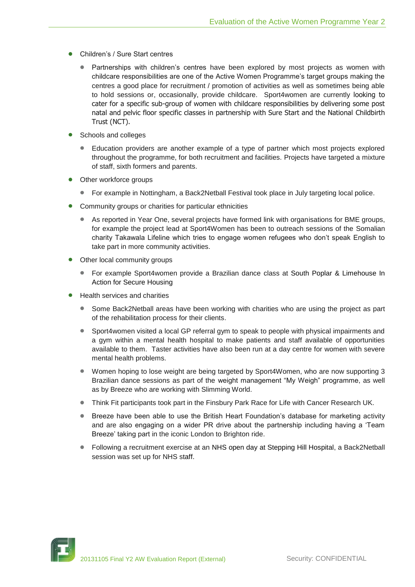- Children's / Sure Start centres
	- Partnerships with children's centres have been explored by most projects as women with childcare responsibilities are one of the Active Women Programme's target groups making the centres a good place for recruitment / promotion of activities as well as sometimes being able to hold sessions or, occasionally, provide childcare. Sport4women are currently looking to cater for a specific sub-group of women with childcare responsibilities by delivering some post natal and pelvic floor specific classes in partnership with Sure Start and the National Childbirth Trust (NCT).
- Schools and colleges
	- Education providers are another example of a type of partner which most projects explored throughout the programme, for both recruitment and facilities. Projects have targeted a mixture of staff, sixth formers and parents.
- Other workforce groups
	- $\bullet$ For example in Nottingham, a Back2Netball Festival took place in July targeting local police.
- Community groups or charities for particular ethnicities
	- As reported in Year One, several projects have formed link with organisations for BME groups, for example the project lead at Sport4Women has been to outreach sessions of the Somalian charity Takawala Lifeline which tries to engage women refugees who don't speak English to take part in more community activities.
- Other local community groups
	- For example Sport4women provide a Brazilian dance class at South Poplar & Limehouse In Action for Secure Housing
- Health services and charities
	- $\bullet$ Some Back2Netball areas have been working with charities who are using the project as part of the rehabilitation process for their clients.
	- Sport4women visited a local GP referral gym to speak to people with physical impairments and a gym within a mental health hospital to make patients and staff available of opportunities available to them. Taster activities have also been run at a day centre for women with severe mental health problems.
	- $\bullet$ Women hoping to lose weight are being targeted by Sport4Women, who are now supporting 3 Brazilian dance sessions as part of the weight management "My Weigh" programme, as well as by Breeze who are working with Slimming World.
	- Think Fit participants took part in the Finsbury Park Race for Life with Cancer Research UK.  $\qquad \qquad \bullet$
	- Breeze have been able to use the British Heart Foundation's database for marketing activity and are also engaging on a wider PR drive about the partnership including having a 'Team Breeze' taking part in the iconic London to Brighton ride.
	- Following a recruitment exercise at an NHS open day at Stepping Hill Hospital, a Back2Netball session was set up for NHS staff.

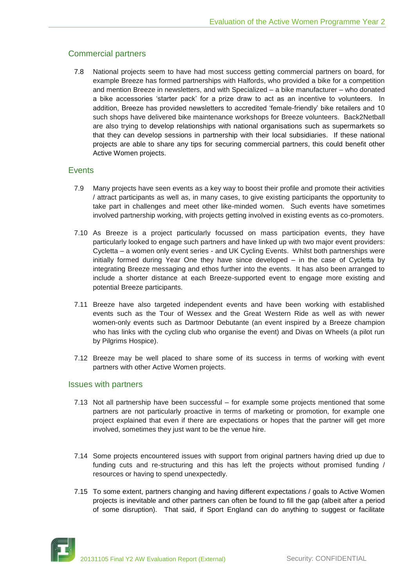# Commercial partners

7.8 National projects seem to have had most success getting commercial partners on board, for example Breeze has formed partnerships with Halfords, who provided a bike for a competition and mention Breeze in newsletters, and with Specialized – a bike manufacturer – who donated a bike accessories 'starter pack' for a prize draw to act as an incentive to volunteers. In addition, Breeze has provided newsletters to accredited 'female-friendly' bike retailers and 10 such shops have delivered bike maintenance workshops for Breeze volunteers. Back2Netball are also trying to develop relationships with national organisations such as supermarkets so that they can develop sessions in partnership with their local subsidiaries. If these national projects are able to share any tips for securing commercial partners, this could benefit other Active Women projects.

## **Events**

- 7.9 Many projects have seen events as a key way to boost their profile and promote their activities / attract participants as well as, in many cases, to give existing participants the opportunity to take part in challenges and meet other like-minded women. Such events have sometimes involved partnership working, with projects getting involved in existing events as co-promoters.
- 7.10 As Breeze is a project particularly focussed on mass participation events, they have particularly looked to engage such partners and have linked up with two major event providers: Cycletta – a women only event series - and UK Cycling Events. Whilst both partnerships were initially formed during Year One they have since developed – in the case of Cycletta by integrating Breeze messaging and ethos further into the events. It has also been arranged to include a shorter distance at each Breeze-supported event to engage more existing and potential Breeze participants.
- 7.11 Breeze have also targeted independent events and have been working with established events such as the Tour of Wessex and the Great Western Ride as well as with newer women-only events such as Dartmoor Debutante (an event inspired by a Breeze champion who has links with the cycling club who organise the event) and Divas on Wheels (a pilot run by Pilgrims Hospice).
- 7.12 Breeze may be well placed to share some of its success in terms of working with event partners with other Active Women projects.

## Issues with partners

- 7.13 Not all partnership have been successful for example some projects mentioned that some partners are not particularly proactive in terms of marketing or promotion, for example one project explained that even if there are expectations or hopes that the partner will get more involved, sometimes they just want to be the venue hire.
- 7.14 Some projects encountered issues with support from original partners having dried up due to funding cuts and re-structuring and this has left the projects without promised funding / resources or having to spend unexpectedly.
- 7.15 To some extent, partners changing and having different expectations / goals to Active Women projects is inevitable and other partners can often be found to fill the gap (albeit after a period of some disruption). That said, if Sport England can do anything to suggest or facilitate

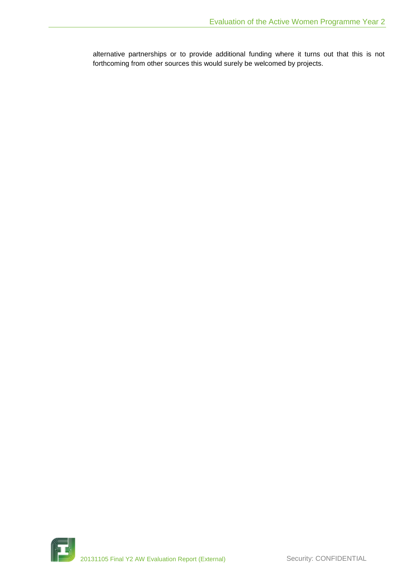alternative partnerships or to provide additional funding where it turns out that this is not forthcoming from other sources this would surely be welcomed by projects.

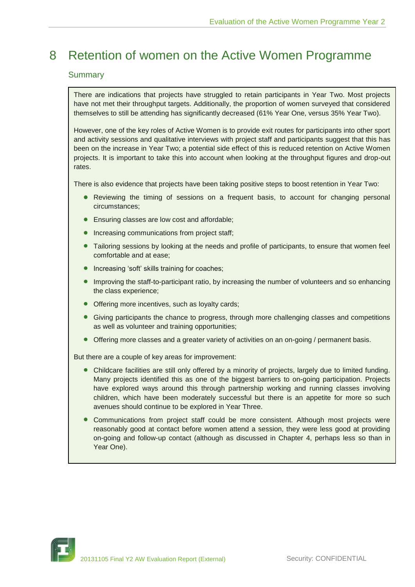# 8 Retention of women on the Active Women Programme

# Summary

There are indications that projects have struggled to retain participants in Year Two. Most projects have not met their throughput targets. Additionally, the proportion of women surveyed that considered themselves to still be attending has significantly decreased (61% Year One, versus 35% Year Two).

However, one of the key roles of Active Women is to provide exit routes for participants into other sport and activity sessions and qualitative interviews with project staff and participants suggest that this has been on the increase in Year Two; a potential side effect of this is reduced retention on Active Women projects. It is important to take this into account when looking at the throughput figures and drop-out rates.

There is also evidence that projects have been taking positive steps to boost retention in Year Two:

- Reviewing the timing of sessions on a frequent basis, to account for changing personal circumstances;
- **Ensuring classes are low cost and affordable;**
- Increasing communications from project staff;
- **•** Tailoring sessions by looking at the needs and profile of participants, to ensure that women feel comfortable and at ease;
- **•** Increasing 'soft' skills training for coaches;
- Improving the staff-to-participant ratio, by increasing the number of volunteers and so enhancing the class experience;
- Offering more incentives, such as loyalty cards;
- Giving participants the chance to progress, through more challenging classes and competitions as well as volunteer and training opportunities;
- Offering more classes and a greater variety of activities on an on-going / permanent basis.

But there are a couple of key areas for improvement:

- Childcare facilities are still only offered by a minority of projects, largely due to limited funding. Many projects identified this as one of the biggest barriers to on-going participation. Projects have explored ways around this through partnership working and running classes involving children, which have been moderately successful but there is an appetite for more so such avenues should continue to be explored in Year Three.
- Communications from project staff could be more consistent. Although most projects were reasonably good at contact before women attend a session, they were less good at providing on-going and follow-up contact (although as discussed in Chapter 4, perhaps less so than in Year One).

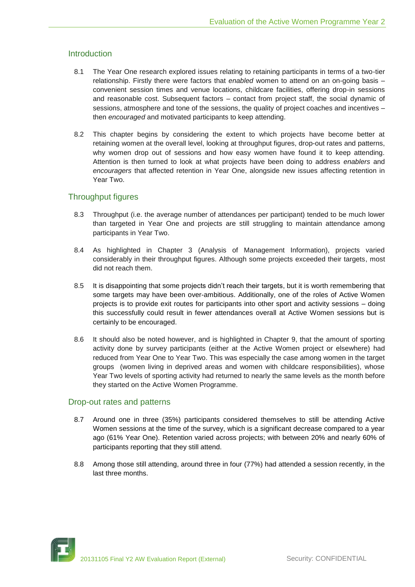# Introduction

- 8.1 The Year One research explored issues relating to retaining participants in terms of a two-tier relationship. Firstly there were factors that *enabled* women to attend on an on-going basis – convenient session times and venue locations, childcare facilities, offering drop-in sessions and reasonable cost. Subsequent factors – contact from project staff, the social dynamic of sessions, atmosphere and tone of the sessions, the quality of project coaches and incentives – then *encouraged* and motivated participants to keep attending.
- 8.2 This chapter begins by considering the extent to which projects have become better at retaining women at the overall level, looking at throughput figures, drop-out rates and patterns, why women drop out of sessions and how easy women have found it to keep attending. Attention is then turned to look at what projects have been doing to address *enablers* and *encouragers* that affected retention in Year One, alongside new issues affecting retention in Year Two.

# Throughput figures

- 8.3 Throughput (i.e. the average number of attendances per participant) tended to be much lower than targeted in Year One and projects are still struggling to maintain attendance among participants in Year Two.
- 8.4 As highlighted in Chapter 3 (Analysis of Management Information), projects varied considerably in their throughput figures. Although some projects exceeded their targets, most did not reach them.
- 8.5 It is disappointing that some projects didn't reach their targets, but it is worth remembering that some targets may have been over-ambitious. Additionally, one of the roles of Active Women projects is to provide exit routes for participants into other sport and activity sessions – doing this successfully could result in fewer attendances overall at Active Women sessions but is certainly to be encouraged.
- 8.6 It should also be noted however, and is highlighted in Chapter 9, that the amount of sporting activity done by survey participants (either at the Active Women project or elsewhere) had reduced from Year One to Year Two. This was especially the case among women in the target groups (women living in deprived areas and women with childcare responsibilities), whose Year Two levels of sporting activity had returned to nearly the same levels as the month before they started on the Active Women Programme.

# Drop-out rates and patterns

- 8.7 Around one in three (35%) participants considered themselves to still be attending Active Women sessions at the time of the survey, which is a significant decrease compared to a year ago (61% Year One). Retention varied across projects; with between 20% and nearly 60% of participants reporting that they still attend.
- 8.8 Among those still attending, around three in four (77%) had attended a session recently, in the last three months.

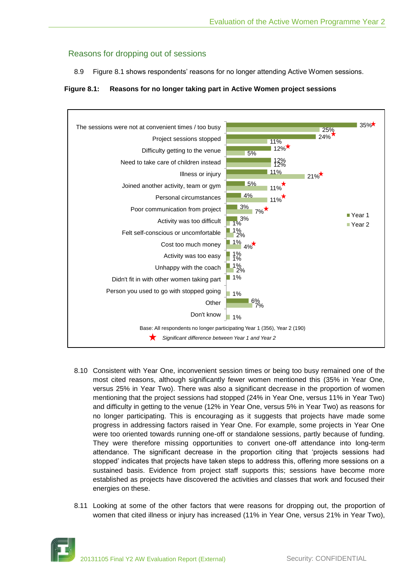# Reasons for dropping out of sessions

8.9 Figure 8.1 shows respondents' reasons for no longer attending Active Women sessions.

# **Figure 8.1: Reasons for no longer taking part in Active Women project sessions**



- 8.10 Consistent with Year One, inconvenient session times or being too busy remained one of the most cited reasons, although significantly fewer women mentioned this (35% in Year One, versus 25% in Year Two). There was also a significant decrease in the proportion of women mentioning that the project sessions had stopped (24% in Year One, versus 11% in Year Two) and difficulty in getting to the venue (12% in Year One, versus 5% in Year Two) as reasons for no longer participating. This is encouraging as it suggests that projects have made some progress in addressing factors raised in Year One. For example, some projects in Year One were too oriented towards running one-off or standalone sessions, partly because of funding. They were therefore missing opportunities to convert one-off attendance into long-term attendance. The significant decrease in the proportion citing that 'projects sessions had stopped' indicates that projects have taken steps to address this, offering more sessions on a sustained basis. Evidence from project staff supports this; sessions have become more established as projects have discovered the activities and classes that work and focused their energies on these.
- 8.11 Looking at some of the other factors that were reasons for dropping out, the proportion of women that cited illness or injury has increased (11% in Year One, versus 21% in Year Two),

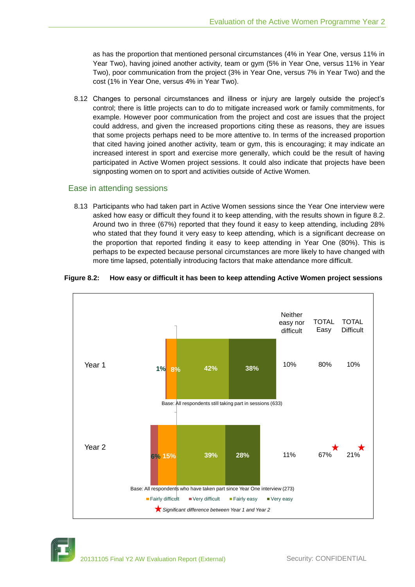as has the proportion that mentioned personal circumstances (4% in Year One, versus 11% in Year Two), having joined another activity, team or gym (5% in Year One, versus 11% in Year Two), poor communication from the project (3% in Year One, versus 7% in Year Two) and the cost (1% in Year One, versus 4% in Year Two).

8.12 Changes to personal circumstances and illness or injury are largely outside the project's control; there is little projects can to do to mitigate increased work or family commitments, for example. However poor communication from the project and cost are issues that the project could address, and given the increased proportions citing these as reasons, they are issues that some projects perhaps need to be more attentive to. In terms of the increased proportion that cited having joined another activity, team or gym, this is encouraging; it may indicate an increased interest in sport and exercise more generally, which could be the result of having participated in Active Women project sessions. It could also indicate that projects have been signposting women on to sport and activities outside of Active Women.

# Ease in attending sessions

8.13 Participants who had taken part in Active Women sessions since the Year One interview were asked how easy or difficult they found it to keep attending, with the results shown in figure 8.2. Around two in three (67%) reported that they found it easy to keep attending, including 28% who stated that they found it very easy to keep attending, which is a significant decrease on the proportion that reported finding it easy to keep attending in Year One (80%). This is perhaps to be expected because personal circumstances are more likely to have changed with more time lapsed, potentially introducing factors that make attendance more difficult.



#### **Figure 8.2: How easy or difficult it has been to keep attending Active Women project sessions**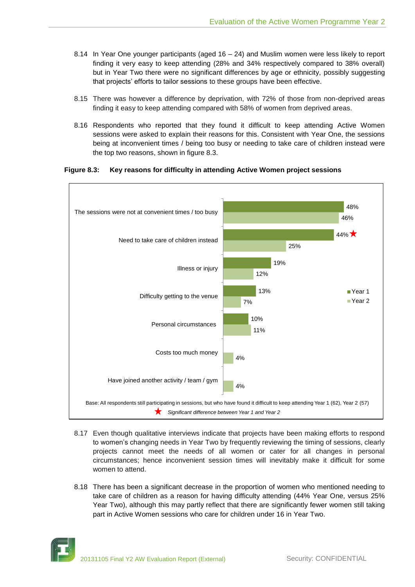- 8.14 In Year One younger participants (aged 16 24) and Muslim women were less likely to report finding it very easy to keep attending (28% and 34% respectively compared to 38% overall) but in Year Two there were no significant differences by age or ethnicity, possibly suggesting that projects' efforts to tailor sessions to these groups have been effective.
- 8.15 There was however a difference by deprivation, with 72% of those from non-deprived areas finding it easy to keep attending compared with 58% of women from deprived areas.
- 8.16 Respondents who reported that they found it difficult to keep attending Active Women sessions were asked to explain their reasons for this. Consistent with Year One, the sessions being at inconvenient times / being too busy or needing to take care of children instead were the top two reasons, shown in figure 8.3.

**Figure 8.3: Key reasons for difficulty in attending Active Women project sessions**



- 8.17 Even though qualitative interviews indicate that projects have been making efforts to respond to women's changing needs in Year Two by frequently reviewing the timing of sessions, clearly projects cannot meet the needs of all women or cater for all changes in personal circumstances; hence inconvenient session times will inevitably make it difficult for some women to attend.
- 8.18 There has been a significant decrease in the proportion of women who mentioned needing to take care of children as a reason for having difficulty attending (44% Year One, versus 25% Year Two), although this may partly reflect that there are significantly fewer women still taking part in Active Women sessions who care for children under 16 in Year Two.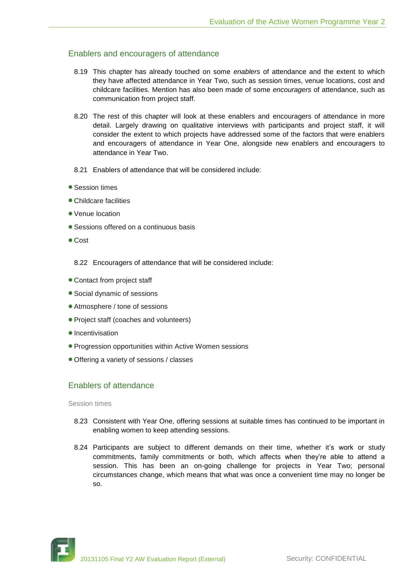# Enablers and encouragers of attendance

- 8.19 This chapter has already touched on some *enablers* of attendance and the extent to which they have affected attendance in Year Two, such as session times, venue locations, cost and childcare facilities*.* Mention has also been made of some *encouragers* of attendance, such as communication from project staff.
- 8.20 The rest of this chapter will look at these enablers and encouragers of attendance in more detail. Largely drawing on qualitative interviews with participants and project staff, it will consider the extent to which projects have addressed some of the factors that were enablers and encouragers of attendance in Year One, alongside new enablers and encouragers to attendance in Year Two.
- 8.21 Enablers of attendance that will be considered include:
- Session times
- Childcare facilities
- Venue location
- Sessions offered on a continuous basis
- Cost
	- 8.22 Encouragers of attendance that will be considered include:
- Contact from project staff
- Social dynamic of sessions
- Atmosphere / tone of sessions
- Project staff (coaches and volunteers)
- $\bullet$  Incentivisation
- Progression opportunities within Active Women sessions
- Offering a variety of sessions / classes

# Enablers of attendance

#### Session times

- 8.23 Consistent with Year One, offering sessions at suitable times has continued to be important in enabling women to keep attending sessions.
- 8.24 Participants are subject to different demands on their time, whether it's work or study commitments, family commitments or both, which affects when they're able to attend a session. This has been an on-going challenge for projects in Year Two; personal circumstances change, which means that what was once a convenient time may no longer be so.

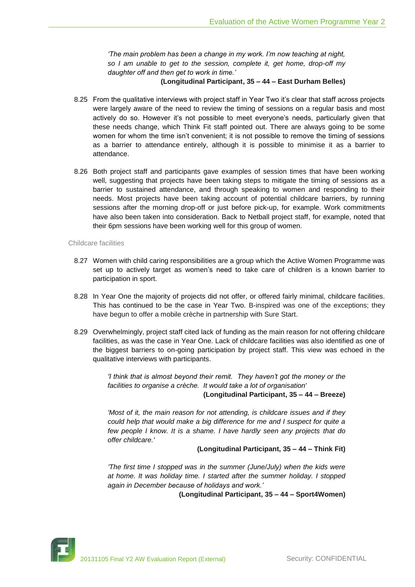*'The main problem has been a change in my work. I'm now teaching at night, so I am unable to get to the session, complete it, get home, drop-off my daughter off and then get to work in time.'*

#### **(Longitudinal Participant, 35 – 44 – East Durham Belles)**

- 8.25 From the qualitative interviews with project staff in Year Two it's clear that staff across projects were largely aware of the need to review the timing of sessions on a regular basis and most actively do so. However it's not possible to meet everyone's needs, particularly given that these needs change, which Think Fit staff pointed out. There are always going to be some women for whom the time isn't convenient; it is not possible to remove the timing of sessions as a barrier to attendance entirely, although it is possible to minimise it as a barrier to attendance.
- 8.26 Both project staff and participants gave examples of session times that have been working well, suggesting that projects have been taking steps to mitigate the timing of sessions as a barrier to sustained attendance, and through speaking to women and responding to their needs. Most projects have been taking account of potential childcare barriers, by running sessions after the morning drop-off or just before pick-up, for example. Work commitments have also been taken into consideration. Back to Netball project staff, for example, noted that their 6pm sessions have been working well for this group of women.

#### Childcare facilities

- 8.27 Women with child caring responsibilities are a group which the Active Women Programme was set up to actively target as women's need to take care of children is a known barrier to participation in sport.
- 8.28 In Year One the majority of projects did not offer, or offered fairly minimal, childcare facilities. This has continued to be the case in Year Two. B-inspired was one of the exceptions; they have begun to offer a mobile crèche in partnership with Sure Start.
- 8.29 Overwhelmingly, project staff cited lack of funding as the main reason for not offering childcare facilities, as was the case in Year One. Lack of childcare facilities was also identified as one of the biggest barriers to on-going participation by project staff. This view was echoed in the qualitative interviews with participants.

*'I think that is almost beyond their remit. They haven't got the money or the facilities to organise a crèche. It would take a lot of organisation'*  **(Longitudinal Participant, 35 – 44 – Breeze)**

*'Most of it, the main reason for not attending, is childcare issues and if they could help that would make a big difference for me and I suspect for quite a few people I know. It is a shame. I have hardly seen any projects that do offer childcare.'*

#### **(Longitudinal Participant, 35 – 44 – Think Fit)**

*'The first time I stopped was in the summer (June/July) when the kids were at home. It was holiday time. I started after the summer holiday. I stopped again in December because of holidays and work.'* 

**(Longitudinal Participant, 35 – 44 – Sport4Women)**

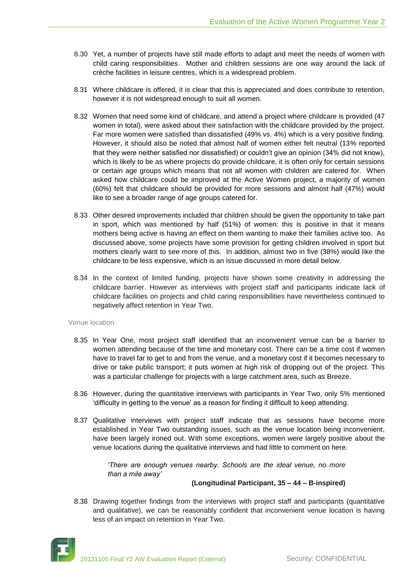- 8.30 Yet, a number of projects have still made efforts to adapt and meet the needs of women with child caring responsibilities. Mother and children sessions are one way around the lack of crèche facilities in leisure centres, which is a widespread problem.
- 8.31 Where childcare is offered, it is clear that this is appreciated and does contribute to retention, however it is not widespread enough to suit all women.
- 8.32 Women that need some kind of childcare, and attend a project where childcare is provided (47 women in total), were asked about their satisfaction with the childcare provided by the project. Far more women were satisfied than dissatisfied (49% vs. 4%) which is a very positive finding. However, it should also be noted that almost half of women either felt neutral (13% reported that they were neither satisfied nor dissatisfied) or couldn't give an opinion (34% did not know), which is likely to be as where projects do provide childcare, it is often only for certain sessions or certain age groups which means that not all women with children are catered for. When asked how childcare could be improved at the Active Women project, a majority of women (60%) felt that childcare should be provided for more sessions and almost half (47%) would like to see a broader range of age groups catered for.
- 8.33 Other desired improvements included that children should be given the opportunity to take part in sport, which was mentioned by half (51%) of women: this is positive in that it means mothers being active is having an effect on them wanting to make their families active too. As discussed above, some projects have some provision for getting children involved in sport but mothers clearly want to see more of this. In addition, almost two in five (38%) would like the childcare to be less expensive, which is an issue discussed in more detail below.
- 8.34 In the context of limited funding, projects have shown some creativity in addressing the childcare barrier. However as interviews with project staff and participants indicate lack of childcare facilities on projects and child caring responsibilities have nevertheless continued to negatively affect retention in Year Two.

#### Venue location

- 8.35 In Year One, most project staff identified that an inconvenient venue can be a barrier to women attending because of the time and monetary cost. There can be a time cost if women have to travel far to get to and from the venue, and a monetary cost if it becomes necessary to drive or take public transport; it puts women at high risk of dropping out of the project. This was a particular challenge for projects with a large catchment area, such as Breeze.
- 8.36 However, during the quantitative interviews with participants in Year Two, only 5% mentioned 'difficulty in getting to the venue' as a reason for finding it difficult to keep attending.
- 8.37 Qualitative interviews with project staff indicate that as sessions have become more established in Year Two outstanding issues, such as the venue location being inconvenient, have been largely ironed out. With some exceptions, women were largely positive about the venue locations during the qualitative interviews and had little to comment on here.

*'There are enough venues nearby. Schools are the ideal venue, no more than a mile away'* 

## **(Longitudinal Participant, 35 – 44 – B-inspired)**

8.38 Drawing together findings from the interviews with project staff and participants (quantitative and qualitative), we can be reasonably confident that inconvenient venue location is having less of an impact on retention in Year Two.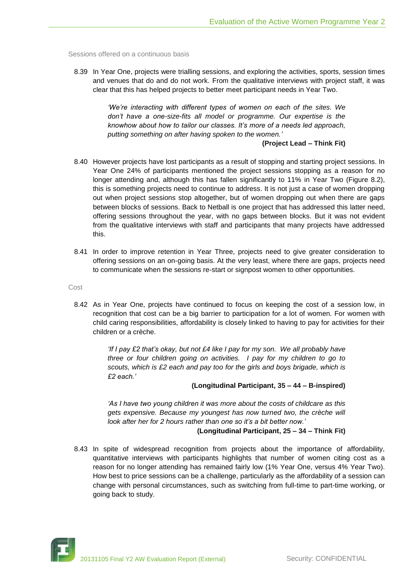Sessions offered on a continuous basis

8.39 In Year One, projects were trialling sessions, and exploring the activities, sports, session times and venues that do and do not work. From the qualitative interviews with project staff, it was clear that this has helped projects to better meet participant needs in Year Two.

> *'We're interacting with different types of women on each of the sites. We don't have a one-size-fits all model or programme. Our expertise is the knowhow about how to tailor our classes. It's more of a needs led approach, putting something on after having spoken to the women.'*

**(Project Lead – Think Fit)**

- 8.40 However projects have lost participants as a result of stopping and starting project sessions. In Year One 24% of participants mentioned the project sessions stopping as a reason for no longer attending and, although this has fallen significantly to 11% in Year Two (Figure 8.2), this is something projects need to continue to address. It is not just a case of women dropping out when project sessions stop altogether, but of women dropping out when there are gaps between blocks of sessions. Back to Netball is one project that has addressed this latter need, offering sessions throughout the year, with no gaps between blocks. But it was not evident from the qualitative interviews with staff and participants that many projects have addressed this.
- 8.41 In order to improve retention in Year Three, projects need to give greater consideration to offering sessions on an on-going basis. At the very least, where there are gaps, projects need to communicate when the sessions re-start or signpost women to other opportunities.

Cost

8.42 As in Year One, projects have continued to focus on keeping the cost of a session low, in recognition that cost can be a big barrier to participation for a lot of women. For women with child caring responsibilities, affordability is closely linked to having to pay for activities for their children or a crèche.

> *'If I pay £2 that's okay, but not £4 like I pay for my son. We all probably have three or four children going on activities. I pay for my children to go to scouts, which is £2 each and pay too for the girls and boys brigade, which is £2 each.'*

#### **(Longitudinal Participant, 35 – 44 – B-inspired)**

*'As I have two young children it was more about the costs of childcare as this gets expensive. Because my youngest has now turned two, the crèche will look after her for 2 hours rather than one so it's a bit better now.'* 

## **(Longitudinal Participant, 25 – 34 – Think Fit)**

8.43 In spite of widespread recognition from projects about the importance of affordability, quantitative interviews with participants highlights that number of women citing cost as a reason for no longer attending has remained fairly low (1% Year One, versus 4% Year Two). How best to price sessions can be a challenge, particularly as the affordability of a session can change with personal circumstances, such as switching from full-time to part-time working, or going back to study.

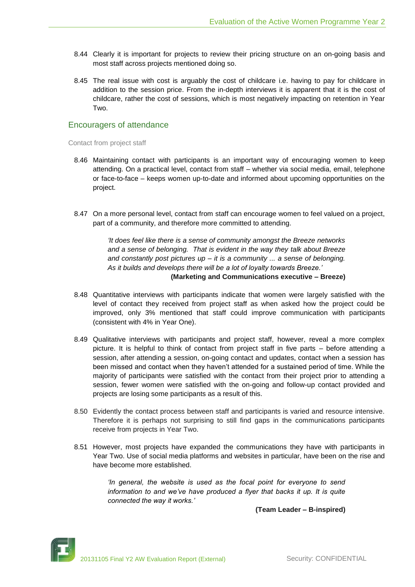- 8.44 Clearly it is important for projects to review their pricing structure on an on-going basis and most staff across projects mentioned doing so.
- 8.45 The real issue with cost is arguably the cost of childcare i.e. having to pay for childcare in addition to the session price. From the in-depth interviews it is apparent that it is the cost of childcare, rather the cost of sessions, which is most negatively impacting on retention in Year Two.

## Encouragers of attendance

Contact from project staff

- 8.46 Maintaining contact with participants is an important way of encouraging women to keep attending. On a practical level, contact from staff – whether via social media, email, telephone or face-to-face – keeps women up-to-date and informed about upcoming opportunities on the project.
- 8.47 On a more personal level, contact from staff can encourage women to feel valued on a project, part of a community, and therefore more committed to attending.

*'It does feel like there is a sense of community amongst the Breeze networks and a sense of belonging. That is evident in the way they talk about Breeze and constantly post pictures up – it is a community ... a sense of belonging. As it builds and develops there will be a lot of loyalty towards Breeze.'*  **(Marketing and Communications executive – Breeze)**

- 8.48 Quantitative interviews with participants indicate that women were largely satisfied with the level of contact they received from project staff as when asked how the project could be improved, only 3% mentioned that staff could improve communication with participants (consistent with 4% in Year One).
- 8.49 Qualitative interviews with participants and project staff, however, reveal a more complex picture. It is helpful to think of contact from project staff in five parts – before attending a session, after attending a session, on-going contact and updates, contact when a session has been missed and contact when they haven't attended for a sustained period of time. While the majority of participants were satisfied with the contact from their project prior to attending a session, fewer women were satisfied with the on-going and follow-up contact provided and projects are losing some participants as a result of this.
- 8.50 Evidently the contact process between staff and participants is varied and resource intensive. Therefore it is perhaps not surprising to still find gaps in the communications participants receive from projects in Year Two.
- 8.51 However, most projects have expanded the communications they have with participants in Year Two. Use of social media platforms and websites in particular, have been on the rise and have become more established.

*'In general, the website is used as the focal point for everyone to send* information to and we've have produced a flyer that backs it up. It is quite *connected the way it works.'* 

**(Team Leader – B-inspired)**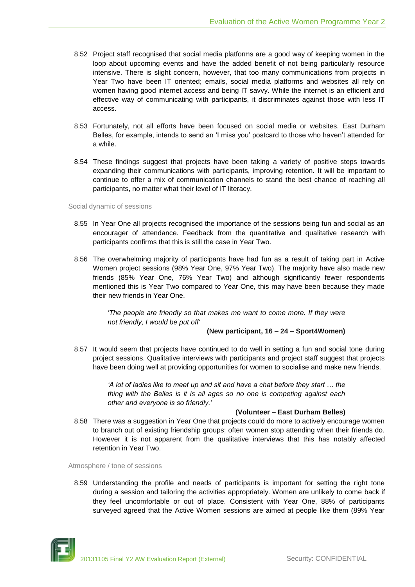- 8.52 Project staff recognised that social media platforms are a good way of keeping women in the loop about upcoming events and have the added benefit of not being particularly resource intensive. There is slight concern, however, that too many communications from projects in Year Two have been IT oriented; emails, social media platforms and websites all rely on women having good internet access and being IT savvy. While the internet is an efficient and effective way of communicating with participants, it discriminates against those with less IT access.
- 8.53 Fortunately, not all efforts have been focused on social media or websites. East Durham Belles, for example, intends to send an 'I miss you' postcard to those who haven't attended for a while.
- 8.54 These findings suggest that projects have been taking a variety of positive steps towards expanding their communications with participants, improving retention. It will be important to continue to offer a mix of communication channels to stand the best chance of reaching all participants, no matter what their level of IT literacy.

Social dynamic of sessions

- 8.55 In Year One all projects recognised the importance of the sessions being fun and social as an encourager of attendance. Feedback from the quantitative and qualitative research with participants confirms that this is still the case in Year Two.
- 8.56 The overwhelming majority of participants have had fun as a result of taking part in Active Women project sessions (98% Year One, 97% Year Two). The majority have also made new friends (85% Year One, 76% Year Two) and although significantly fewer respondents mentioned this is Year Two compared to Year One, this may have been because they made their new friends in Year One.

*'The people are friendly so that makes me want to come more. If they were not friendly, I would be put off'* 

## **(New participant, 16 – 24 – Sport4Women)**

8.57 It would seem that projects have continued to do well in setting a fun and social tone during project sessions. Qualitative interviews with participants and project staff suggest that projects have been doing well at providing opportunities for women to socialise and make new friends.

> *'A lot of ladies like to meet up and sit and have a chat before they start … the thing with the Belles is it is all ages so no one is competing against each other and everyone is so friendly.'*

## **(Volunteer – East Durham Belles)**

8.58 There was a suggestion in Year One that projects could do more to actively encourage women to branch out of existing friendship groups; often women stop attending when their friends do. However it is not apparent from the qualitative interviews that this has notably affected retention in Year Two.

Atmosphere / tone of sessions

8.59 Understanding the profile and needs of participants is important for setting the right tone during a session and tailoring the activities appropriately. Women are unlikely to come back if they feel uncomfortable or out of place. Consistent with Year One, 88% of participants surveyed agreed that the Active Women sessions are aimed at people like them (89% Year

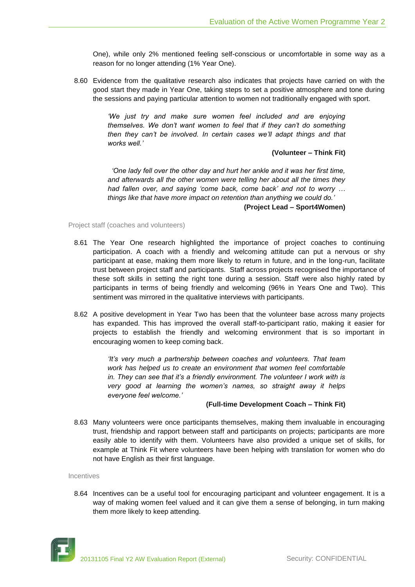One), while only 2% mentioned feeling self-conscious or uncomfortable in some way as a reason for no longer attending (1% Year One).

8.60 Evidence from the qualitative research also indicates that projects have carried on with the good start they made in Year One, taking steps to set a positive atmosphere and tone during the sessions and paying particular attention to women not traditionally engaged with sport.

> *'We just try and make sure women feel included and are enjoying themselves. We don't want women to feel that if they can't do something then they can't be involved. In certain cases we'll adapt things and that works well.'*

#### **(Volunteer – Think Fit)**

 *'One lady fell over the other day and hurt her ankle and it was her first time, and afterwards all the other women were telling her about all the times they had fallen over, and saying 'come back, come back' and not to worry … things like that have more impact on retention than anything we could do.'*  **(Project Lead – Sport4Women)**

Project staff (coaches and volunteers)

- 8.61 The Year One research highlighted the importance of project coaches to continuing participation. A coach with a friendly and welcoming attitude can put a nervous or shy participant at ease, making them more likely to return in future, and in the long-run, facilitate trust between project staff and participants. Staff across projects recognised the importance of these soft skills in setting the right tone during a session. Staff were also highly rated by participants in terms of being friendly and welcoming (96% in Years One and Two). This sentiment was mirrored in the qualitative interviews with participants.
- 8.62 A positive development in Year Two has been that the volunteer base across many projects has expanded. This has improved the overall staff-to-participant ratio, making it easier for projects to establish the friendly and welcoming environment that is so important in encouraging women to keep coming back.

*'It's very much a partnership between coaches and volunteers. That team work has helped us to create an environment that women feel comfortable in. They can see that it's a friendly environment. The volunteer I work with is very good at learning the women's names, so straight away it helps everyone feel welcome.'* 

## **(Full-time Development Coach – Think Fit)**

8.63 Many volunteers were once participants themselves, making them invaluable in encouraging trust, friendship and rapport between staff and participants on projects; participants are more easily able to identify with them. Volunteers have also provided a unique set of skills, for example at Think Fit where volunteers have been helping with translation for women who do not have English as their first language.

#### Incentives

8.64 Incentives can be a useful tool for encouraging participant and volunteer engagement. It is a way of making women feel valued and it can give them a sense of belonging, in turn making them more likely to keep attending.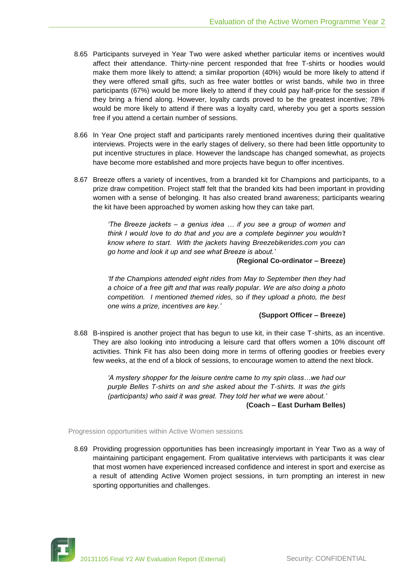- 8.65 Participants surveyed in Year Two were asked whether particular items or incentives would affect their attendance. Thirty-nine percent responded that free T-shirts or hoodies would make them more likely to attend; a similar proportion (40%) would be more likely to attend if they were offered small gifts, such as free water bottles or wrist bands, while two in three participants (67%) would be more likely to attend if they could pay half-price for the session if they bring a friend along. However, loyalty cards proved to be the greatest incentive; 78% would be more likely to attend if there was a loyalty card, whereby you get a sports session free if you attend a certain number of sessions.
- 8.66 In Year One project staff and participants rarely mentioned incentives during their qualitative interviews. Projects were in the early stages of delivery, so there had been little opportunity to put incentive structures in place. However the landscape has changed somewhat, as projects have become more established and more projects have begun to offer incentives.
- 8.67 Breeze offers a variety of incentives, from a branded kit for Champions and participants, to a prize draw competition. Project staff felt that the branded kits had been important in providing women with a sense of belonging. It has also created brand awareness; participants wearing the kit have been approached by women asking how they can take part.

*'The Breeze jackets – a genius idea … if you see a group of women and think I would love to do that and you are a complete beginner you wouldn't know where to start. With the jackets having Breezebikerides.com you can go home and look it up and see what Breeze is about.'* 

**(Regional Co-ordinator – Breeze)**

*'If the Champions attended eight rides from May to September then they had a choice of a free gift and that was really popular. We are also doing a photo competition. I mentioned themed rides, so if they upload a photo, the best one wins a prize, incentives are key.'* 

#### **(Support Officer – Breeze)**

8.68 B-inspired is another project that has begun to use kit, in their case T-shirts, as an incentive. They are also looking into introducing a leisure card that offers women a 10% discount off activities. Think Fit has also been doing more in terms of offering goodies or freebies every few weeks, at the end of a block of sessions, to encourage women to attend the next block.

> *'A mystery shopper for the leisure centre came to my spin class…we had our purple Belles T-shirts on and she asked about the T-shirts. It was the girls (participants) who said it was great. They told her what we were about.'* **(Coach – East Durham Belles)**

Progression opportunities within Active Women sessions

8.69 Providing progression opportunities has been increasingly important in Year Two as a way of maintaining participant engagement. From qualitative interviews with participants it was clear that most women have experienced increased confidence and interest in sport and exercise as a result of attending Active Women project sessions, in turn prompting an interest in new sporting opportunities and challenges.

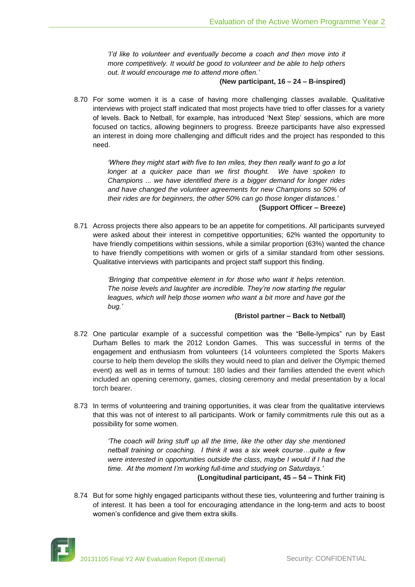*'I'd like to volunteer and eventually become a coach and then move into it more competitively. It would be good to volunteer and be able to help others out. It would encourage me to attend more often.'* 

#### **(New participant, 16 – 24 – B-inspired)**

8.70 For some women it is a case of having more challenging classes available. Qualitative interviews with project staff indicated that most projects have tried to offer classes for a variety of levels. Back to Netball, for example, has introduced 'Next Step' sessions, which are more focused on tactics, allowing beginners to progress. Breeze participants have also expressed an interest in doing more challenging and difficult rides and the project has responded to this need.

> *'Where they might start with five to ten miles, they then really want to go a lot*  longer at a quicker pace than we first thought. We have spoken to *Champions ... we have identified there is a bigger demand for longer rides and have changed the volunteer agreements for new Champions so 50% of their rides are for beginners, the other 50% can go those longer distances.'*  **(Support Officer – Breeze)**

8.71 Across projects there also appears to be an appetite for competitions. All participants surveyed were asked about their interest in competitive opportunities; 62% wanted the opportunity to have friendly competitions within sessions, while a similar proportion (63%) wanted the chance to have friendly competitions with women or girls of a similar standard from other sessions. Qualitative interviews with participants and project staff support this finding.

> *'Bringing that competitive element in for those who want it helps retention. The noise levels and laughter are incredible. They're now starting the regular*  leagues, which will help those women who want a bit more and have got the *bug.'*

## **(Bristol partner – Back to Netball)**

- 8.72 One particular example of a successful competition was the "Belle-lympics" run by East Durham Belles to mark the 2012 London Games. This was successful in terms of the engagement and enthusiasm from volunteers (14 volunteers completed the Sports Makers course to help them develop the skills they would need to plan and deliver the Olympic themed event) as well as in terms of turnout: 180 ladies and their families attended the event which included an opening ceremony, games, closing ceremony and medal presentation by a local torch bearer.
- 8.73 In terms of volunteering and training opportunities, it was clear from the qualitative interviews that this was not of interest to all participants. Work or family commitments rule this out as a possibility for some women.

*'The coach will bring stuff up all the time, like the other day she mentioned netball training or coaching. I think it was a six week course…quite a few were interested in opportunities outside the class, maybe I would if I had the time. At the moment I'm working full-time and studying on Saturdays.'*  **(Longitudinal participant, 45 – 54 – Think Fit)**

8.74 But for some highly engaged participants without these ties, volunteering and further training is of interest. It has been a tool for encouraging attendance in the long-term and acts to boost women's confidence and give them extra skills.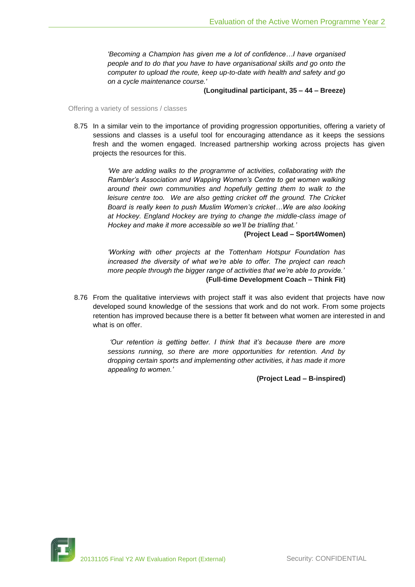*'Becoming a Champion has given me a lot of confidence…I have organised people and to do that you have to have organisational skills and go onto the computer to upload the route, keep up-to-date with health and safety and go on a cycle maintenance course.'* 

**(Longitudinal participant, 35 – 44 – Breeze)**

Offering a variety of sessions / classes

8.75 In a similar vein to the importance of providing progression opportunities, offering a variety of sessions and classes is a useful tool for encouraging attendance as it keeps the sessions fresh and the women engaged. Increased partnership working across projects has given projects the resources for this.

> *'We are adding walks to the programme of activities, collaborating with the Rambler's Association and Wapping Women's Centre to get women walking around their own communities and hopefully getting them to walk to the leisure centre too. We are also getting cricket off the ground. The Cricket Board is really keen to push Muslim Women's cricket…We are also looking at Hockey. England Hockey are trying to change the middle-class image of Hockey and make it more accessible so we'll be trialling that.'*

> > **(Project Lead – Sport4Women)**

*'Working with other projects at the Tottenham Hotspur Foundation has increased the diversity of what we're able to offer. The project can reach more people through the bigger range of activities that we're able to provide.'*  **(Full-time Development Coach – Think Fit)**

8.76 From the qualitative interviews with project staff it was also evident that projects have now developed sound knowledge of the sessions that work and do not work. From some projects retention has improved because there is a better fit between what women are interested in and what is on offer.

> *'Our retention is getting better. I think that it's because there are more sessions running, so there are more opportunities for retention. And by dropping certain sports and implementing other activities, it has made it more appealing to women.'*

> > **(Project Lead – B-inspired)**

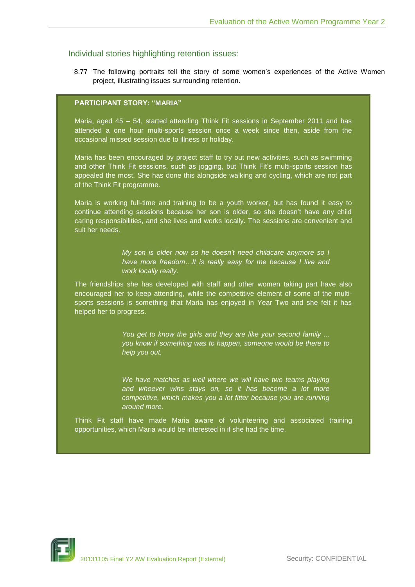# Individual stories highlighting retention issues:

8.77 The following portraits tell the story of some women's experiences of the Active Women project, illustrating issues surrounding retention.

## **PARTICIPANT STORY: "MARIA"**

Maria, aged 45 – 54, started attending Think Fit sessions in September 2011 and has attended a one hour multi-sports session once a week since then, aside from the occasional missed session due to illness or holiday.

Maria has been encouraged by project staff to try out new activities, such as swimming and other Think Fit sessions, such as jogging, but Think Fit's multi-sports session has appealed the most. She has done this alongside walking and cycling, which are not part of the Think Fit programme.

Maria is working full-time and training to be a youth worker, but has found it easy to continue attending sessions because her son is older, so she doesn't have any child caring responsibilities, and she lives and works locally. The sessions are convenient and suit her needs.

> *My son is older now so he doesn't need childcare anymore so I have more freedom…It is really easy for me because I live and work locally really.*

The friendships she has developed with staff and other women taking part have also encouraged her to keep attending, while the competitive element of some of the multisports sessions is something that Maria has enjoyed in Year Two and she felt it has helped her to progress.

> *You get to know the girls and they are like your second family ... you know if something was to happen, someone would be there to help you out.*

> *We have matches as well where we will have two teams playing and whoever wins stays on, so it has become a lot more competitive, which makes you a lot fitter because you are running around more.*

Think Fit staff have made Maria aware of volunteering and associated training opportunities, which Maria would be interested in if she had the time.

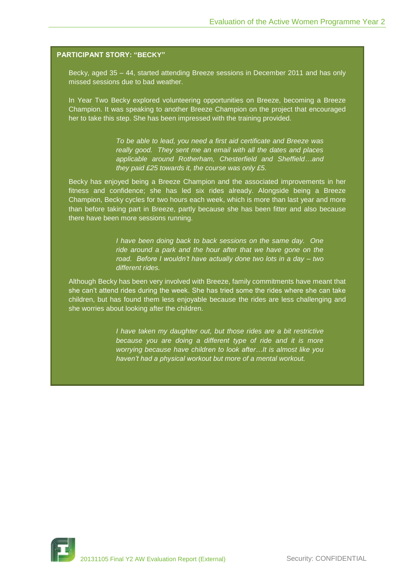## **PARTICIPANT STORY: "BECKY"**

Becky, aged 35 – 44, started attending Breeze sessions in December 2011 and has only missed sessions due to bad weather.

In Year Two Becky explored volunteering opportunities on Breeze, becoming a Breeze Champion. It was speaking to another Breeze Champion on the project that encouraged her to take this step. She has been impressed with the training provided.

> *To be able to lead, you need a first aid certificate and Breeze was really good. They sent me an email with all the dates and places applicable around Rotherham, Chesterfield and Sheffield…and they paid £25 towards it, the course was only £5.*

Becky has enjoyed being a Breeze Champion and the associated improvements in her fitness and confidence; she has led six rides already. Alongside being a Breeze Champion, Becky cycles for two hours each week, which is more than last year and more than before taking part in Breeze, partly because she has been fitter and also because there have been more sessions running.

> *I have been doing back to back sessions on the same day. One ride around a park and the hour after that we have gone on the road. Before I wouldn't have actually done two lots in a day – two different rides.*

Although Becky has been very involved with Breeze, family commitments have meant that she can't attend rides during the week. She has tried some the rides where she can take children, but has found them less enjoyable because the rides are less challenging and she worries about looking after the children.

> *I have taken my daughter out, but those rides are a bit restrictive because you are doing a different type of ride and it is more worrying because have children to look after…It is almost like you haven't had a physical workout but more of a mental workout.*

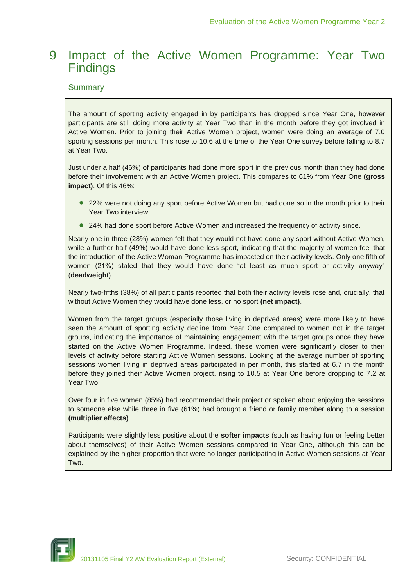# 9 Impact of the Active Women Programme: Year Two **Findings**

# **Summary**

The amount of sporting activity engaged in by participants has dropped since Year One, however participants are still doing more activity at Year Two than in the month before they got involved in Active Women. Prior to joining their Active Women project, women were doing an average of 7.0 sporting sessions per month. This rose to 10.6 at the time of the Year One survey before falling to 8.7 at Year Two.

Just under a half (46%) of participants had done more sport in the previous month than they had done before their involvement with an Active Women project. This compares to 61% from Year One **(gross impact)**. Of this 46%:

- 22% were not doing any sport before Active Women but had done so in the month prior to their Year Two interview.
- 24% had done sport before Active Women and increased the frequency of activity since.

Nearly one in three (28%) women felt that they would not have done any sport without Active Women, while a further half (49%) would have done less sport, indicating that the majority of women feel that the introduction of the Active Woman Programme has impacted on their activity levels. Only one fifth of women (21%) stated that they would have done "at least as much sport or activity anyway" (**deadweigh**t)

Nearly two-fifths (38%) of all participants reported that both their activity levels rose and, crucially, that without Active Women they would have done less, or no sport **(net impact)**.

Women from the target groups (especially those living in deprived areas) were more likely to have seen the amount of sporting activity decline from Year One compared to women not in the target groups, indicating the importance of maintaining engagement with the target groups once they have started on the Active Women Programme. Indeed, these women were significantly closer to their levels of activity before starting Active Women sessions. Looking at the average number of sporting sessions women living in deprived areas participated in per month, this started at 6.7 in the month before they joined their Active Women project, rising to 10.5 at Year One before dropping to 7.2 at Year Two.

Over four in five women (85%) had recommended their project or spoken about enjoying the sessions to someone else while three in five (61%) had brought a friend or family member along to a session **(multiplier effects)**.

Participants were slightly less positive about the **softer impacts** (such as having fun or feeling better about themselves) of their Active Women sessions compared to Year One, although this can be explained by the higher proportion that were no longer participating in Active Women sessions at Year Two.

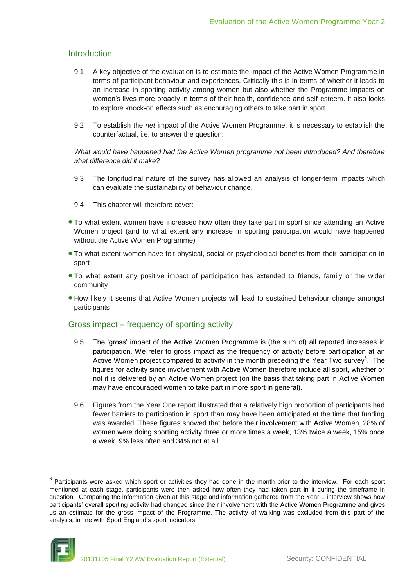# Introduction

- 9.1 A key objective of the evaluation is to estimate the impact of the Active Women Programme in terms of participant behaviour and experiences. Critically this is in terms of whether it leads to an increase in sporting activity among women but also whether the Programme impacts on women's lives more broadly in terms of their health, confidence and self-esteem. It also looks to explore knock-on effects such as encouraging others to take part in sport.
- 9.2 To establish the *net* impact of the Active Women Programme, it is necessary to establish the counterfactual, i.e. to answer the question:

*What would have happened had the Active Women programme not been introduced? And therefore what difference did it make?*

- 9.3 The longitudinal nature of the survey has allowed an analysis of longer-term impacts which can evaluate the sustainability of behaviour change.
- 9.4 This chapter will therefore cover:
- To what extent women have increased how often they take part in sport since attending an Active Women project (and to what extent any increase in sporting participation would have happened without the Active Women Programme)
- To what extent women have felt physical, social or psychological benefits from their participation in sport
- To what extent any positive impact of participation has extended to friends, family or the wider community
- How likely it seems that Active Women projects will lead to sustained behaviour change amongst participants

# Gross impact – frequency of sporting activity

- 9.5 The 'gross' impact of the Active Women Programme is (the sum of) all reported increases in participation. We refer to gross impact as the frequency of activity before participation at an Active Women project compared to activity in the month preceding the Year Two survey $6$ . The figures for activity since involvement with Active Women therefore include all sport, whether or not it is delivered by an Active Women project (on the basis that taking part in Active Women may have encouraged women to take part in more sport in general).
- 9.6 Figures from the Year One report illustrated that a relatively high proportion of participants had fewer barriers to participation in sport than may have been anticipated at the time that funding was awarded. These figures showed that before their involvement with Active Women, 28% of women were doing sporting activity three or more times a week, 13% twice a week, 15% once a week, 9% less often and 34% not at all.

 $6$  Participants were asked which sport or activities they had done in the month prior to the interview. For each sport mentioned at each stage, participants were then asked how often they had taken part in it during the timeframe in question. Comparing the information given at this stage and information gathered from the Year 1 interview shows how participants' overall sporting activity had changed since their involvement with the Active Women Programme and gives us an estimate for the gross impact of the Programme. The activity of walking was excluded from this part of the analysis, in line with Sport England's sport indicators.

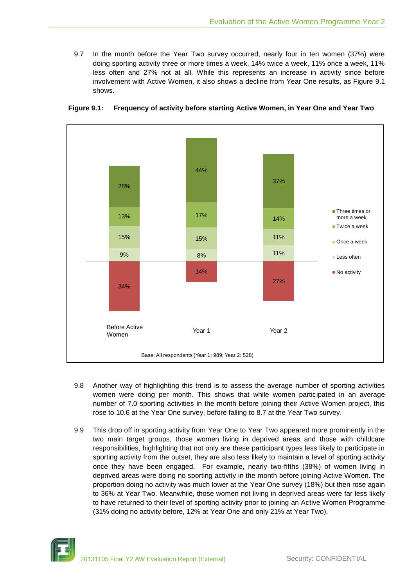9.7 In the month before the Year Two survey occurred, nearly four in ten women (37%) were doing sporting activity three or more times a week, 14% twice a week, 11% once a week, 11% less often and 27% not at all. While this represents an increase in activity since before involvement with Active Women, it also shows a decline from Year One results, as Figure 9.1 shows.



**Figure 9.1: Frequency of activity before starting Active Women, in Year One and Year Two**

- 9.8 Another way of highlighting this trend is to assess the average number of sporting activities women were doing per month. This shows that while women participated in an average number of 7.0 sporting activities in the month before joining their Active Women project, this rose to 10.6 at the Year One survey, before falling to 8.7 at the Year Two survey.
- 9.9 This drop off in sporting activity from Year One to Year Two appeared more prominently in the two main target groups, those women living in deprived areas and those with childcare responsibilities, highlighting that not only are these participant types less likely to participate in sporting activity from the outset, they are also less likely to maintain a level of sporting activity once they have been engaged. For example, nearly two-fifths (38%) of women living in deprived areas were doing no sporting activity in the month before joining Active Women. The proportion doing no activity was much lower at the Year One survey (18%) but then rose again to 36% at Year Two. Meanwhile, those women not living in deprived areas were far less likely to have returned to their level of sporting activity prior to joining an Active Women Programme (31% doing no activity before, 12% at Year One and only 21% at Year Two).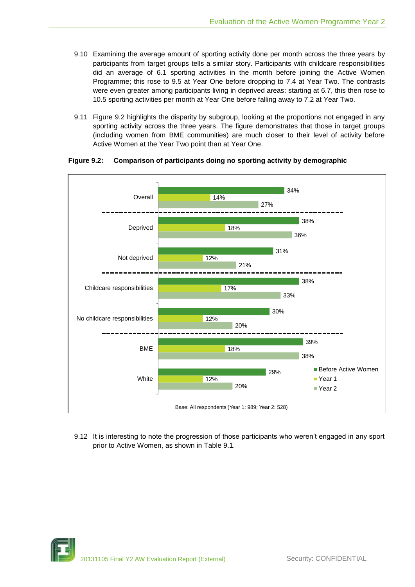- 9.10 Examining the average amount of sporting activity done per month across the three years by participants from target groups tells a similar story. Participants with childcare responsibilities did an average of 6.1 sporting activities in the month before joining the Active Women Programme; this rose to 9.5 at Year One before dropping to 7.4 at Year Two. The contrasts were even greater among participants living in deprived areas: starting at 6.7, this then rose to 10.5 sporting activities per month at Year One before falling away to 7.2 at Year Two.
- 9.11 Figure 9.2 highlights the disparity by subgroup, looking at the proportions not engaged in any sporting activity across the three years. The figure demonstrates that those in target groups (including women from BME communities) are much closer to their level of activity before Active Women at the Year Two point than at Year One.



## **Figure 9.2: Comparison of participants doing no sporting activity by demographic**

9.12 It is interesting to note the progression of those participants who weren't engaged in any sport prior to Active Women, as shown in Table 9.1.

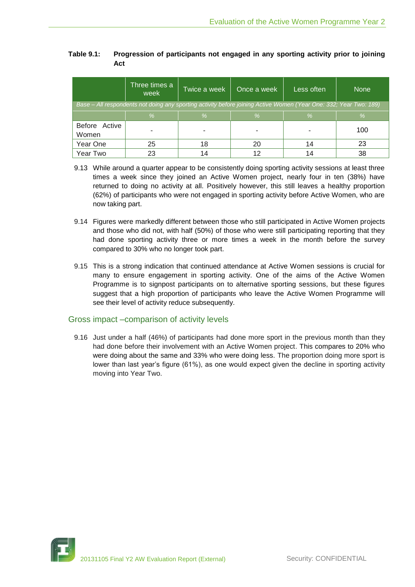| Table 9.1: | Progression of participants not engaged in any sporting activity prior to joining |
|------------|-----------------------------------------------------------------------------------|
|            | Act                                                                               |

|                                                                                                                   | Three times a<br>week | Twice a week | Once a week | Less often | <b>None</b> |  |  |
|-------------------------------------------------------------------------------------------------------------------|-----------------------|--------------|-------------|------------|-------------|--|--|
| Base – All respondents not doing any sporting activity before joining Active Women (Year One: 332; Year Two: 189) |                       |              |             |            |             |  |  |
|                                                                                                                   | %                     | %            | $\%$        | %          | %           |  |  |
| Before Active<br>Women                                                                                            |                       |              |             |            | 100         |  |  |
| Year One                                                                                                          | 25                    | 18           | 20          | 14         | 23          |  |  |
| Year Two                                                                                                          | 23                    |              | ィつ          | 14         | 38          |  |  |

- 9.13 While around a quarter appear to be consistently doing sporting activity sessions at least three times a week since they joined an Active Women project, nearly four in ten (38%) have returned to doing no activity at all. Positively however, this still leaves a healthy proportion (62%) of participants who were not engaged in sporting activity before Active Women, who are now taking part.
- 9.14 Figures were markedly different between those who still participated in Active Women projects and those who did not, with half (50%) of those who were still participating reporting that they had done sporting activity three or more times a week in the month before the survey compared to 30% who no longer took part.
- 9.15 This is a strong indication that continued attendance at Active Women sessions is crucial for many to ensure engagement in sporting activity. One of the aims of the Active Women Programme is to signpost participants on to alternative sporting sessions, but these figures suggest that a high proportion of participants who leave the Active Women Programme will see their level of activity reduce subsequently.

# Gross impact –comparison of activity levels

9.16 Just under a half (46%) of participants had done more sport in the previous month than they had done before their involvement with an Active Women project. This compares to 20% who were doing about the same and 33% who were doing less. The proportion doing more sport is lower than last year's figure (61%), as one would expect given the decline in sporting activity moving into Year Two.

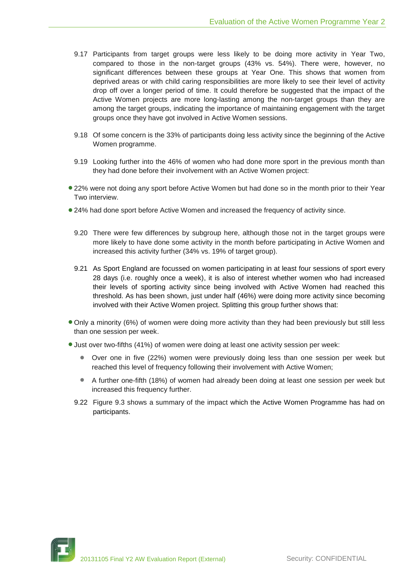- 9.17 Participants from target groups were less likely to be doing more activity in Year Two, compared to those in the non-target groups (43% vs. 54%). There were, however, no significant differences between these groups at Year One. This shows that women from deprived areas or with child caring responsibilities are more likely to see their level of activity drop off over a longer period of time. It could therefore be suggested that the impact of the Active Women projects are more long-lasting among the non-target groups than they are among the target groups, indicating the importance of maintaining engagement with the target groups once they have got involved in Active Women sessions.
- 9.18 Of some concern is the 33% of participants doing less activity since the beginning of the Active Women programme.
- 9.19 Looking further into the 46% of women who had done more sport in the previous month than they had done before their involvement with an Active Women project:
- 22% were not doing any sport before Active Women but had done so in the month prior to their Year Two interview.
- 24% had done sport before Active Women and increased the frequency of activity since.
	- 9.20 There were few differences by subgroup here, although those not in the target groups were more likely to have done some activity in the month before participating in Active Women and increased this activity further (34% vs. 19% of target group).
	- 9.21 As Sport England are focussed on women participating in at least four sessions of sport every 28 days (i.e. roughly once a week), it is also of interest whether women who had increased their levels of sporting activity since being involved with Active Women had reached this threshold. As has been shown, just under half (46%) were doing more activity since becoming involved with their Active Women project. Splitting this group further shows that:
- Only a minority (6%) of women were doing more activity than they had been previously but still less than one session per week.
- Just over two-fifths (41%) of women were doing at least one activity session per week:
	- Over one in five (22%) women were previously doing less than one session per week but reached this level of frequency following their involvement with Active Women;
	- A further one-fifth (18%) of women had already been doing at least one session per week but increased this frequency further.
	- 9.22 Figure 9.3 shows a summary of the impact which the Active Women Programme has had on participants.

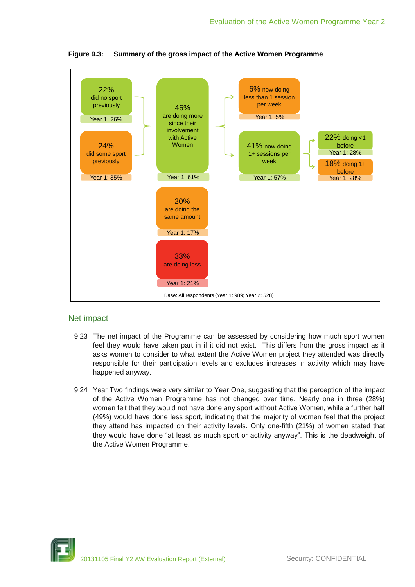

**Figure 9.3: Summary of the gross impact of the Active Women Programme**

# Net impact

- 9.23 The net impact of the Programme can be assessed by considering how much sport women feel they would have taken part in if it did not exist. This differs from the gross impact as it asks women to consider to what extent the Active Women project they attended was directly responsible for their participation levels and excludes increases in activity which may have happened anyway.
- 9.24 Year Two findings were very similar to Year One, suggesting that the perception of the impact of the Active Women Programme has not changed over time. Nearly one in three (28%) women felt that they would not have done any sport without Active Women, while a further half (49%) would have done less sport, indicating that the majority of women feel that the project they attend has impacted on their activity levels. Only one-fifth (21%) of women stated that they would have done "at least as much sport or activity anyway". This is the deadweight of the Active Women Programme.

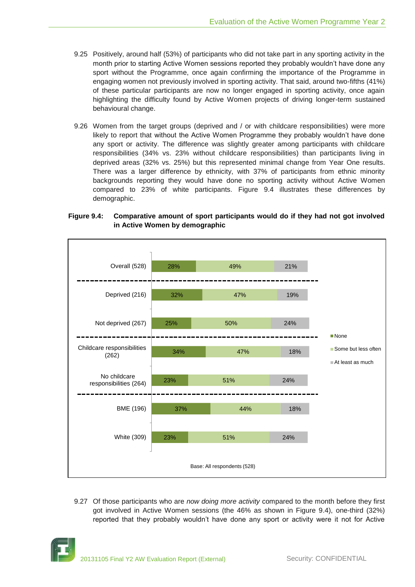- 9.25 Positively, around half (53%) of participants who did not take part in any sporting activity in the month prior to starting Active Women sessions reported they probably wouldn't have done any sport without the Programme, once again confirming the importance of the Programme in engaging women not previously involved in sporting activity. That said, around two-fifths (41%) of these particular participants are now no longer engaged in sporting activity, once again highlighting the difficulty found by Active Women projects of driving longer-term sustained behavioural change.
- 9.26 Women from the target groups (deprived and / or with childcare responsibilities) were more likely to report that without the Active Women Programme they probably wouldn't have done any sport or activity. The difference was slightly greater among participants with childcare responsibilities (34% vs. 23% without childcare responsibilities) than participants living in deprived areas (32% vs. 25%) but this represented minimal change from Year One results. There was a larger difference by ethnicity, with 37% of participants from ethnic minority backgrounds reporting they would have done no sporting activity without Active Women compared to 23% of white participants. Figure 9.4 illustrates these differences by demographic.



## **Figure 9.4: Comparative amount of sport participants would do if they had not got involved in Active Women by demographic**

9.27 Of those participants who are *now doing more activity* compared to the month before they first got involved in Active Women sessions (the 46% as shown in Figure 9.4), one-third (32%) reported that they probably wouldn't have done any sport or activity were it not for Active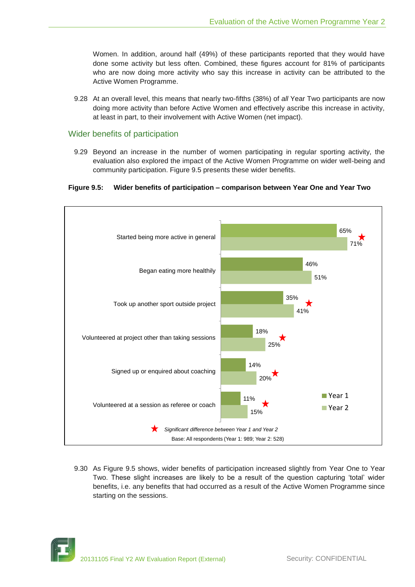Women. In addition, around half (49%) of these participants reported that they would have done some activity but less often. Combined, these figures account for 81% of participants who are now doing more activity who say this increase in activity can be attributed to the Active Women Programme.

9.28 At an overall level, this means that nearly two-fifths (38%) of *all* Year Two participants are now doing more activity than before Active Women and effectively ascribe this increase in activity, at least in part, to their involvement with Active Women (net impact).

## Wider benefits of participation

9.29 Beyond an increase in the number of women participating in regular sporting activity, the evaluation also explored the impact of the Active Women Programme on wider well-being and community participation. Figure 9.5 presents these wider benefits.

#### **Figure 9.5: Wider benefits of participation – comparison between Year One and Year Two**



9.30 As Figure 9.5 shows, wider benefits of participation increased slightly from Year One to Year Two. These slight increases are likely to be a result of the question capturing 'total' wider benefits, i.e. any benefits that had occurred as a result of the Active Women Programme since starting on the sessions.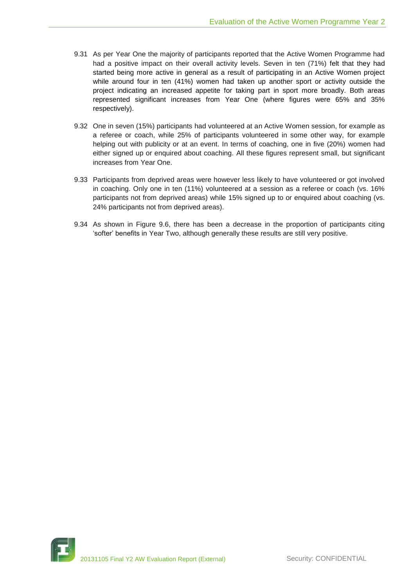- 9.31 As per Year One the majority of participants reported that the Active Women Programme had had a positive impact on their overall activity levels. Seven in ten (71%) felt that they had started being more active in general as a result of participating in an Active Women project while around four in ten (41%) women had taken up another sport or activity outside the project indicating an increased appetite for taking part in sport more broadly. Both areas represented significant increases from Year One (where figures were 65% and 35% respectively).
- 9.32 One in seven (15%) participants had volunteered at an Active Women session, for example as a referee or coach, while 25% of participants volunteered in some other way, for example helping out with publicity or at an event. In terms of coaching, one in five (20%) women had either signed up or enquired about coaching. All these figures represent small, but significant increases from Year One.
- 9.33 Participants from deprived areas were however less likely to have volunteered or got involved in coaching. Only one in ten (11%) volunteered at a session as a referee or coach (vs. 16% participants not from deprived areas) while 15% signed up to or enquired about coaching (vs. 24% participants not from deprived areas).
- 9.34 As shown in Figure 9.6, there has been a decrease in the proportion of participants citing 'softer' benefits in Year Two, although generally these results are still very positive.

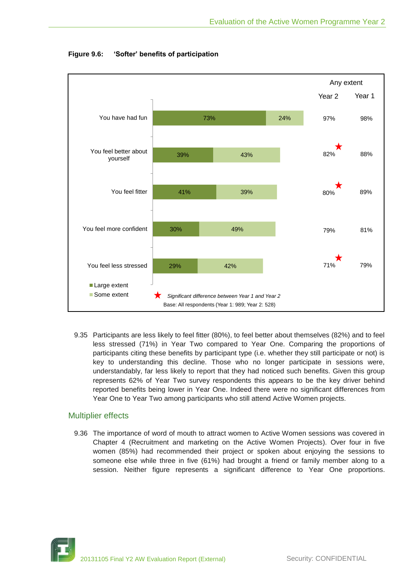

**Figure 9.6: 'Softer' benefits of participation**

9.35 Participants are less likely to feel fitter (80%), to feel better about themselves (82%) and to feel less stressed (71%) in Year Two compared to Year One. Comparing the proportions of participants citing these benefits by participant type (i.e. whether they still participate or not) is key to understanding this decline. Those who no longer participate in sessions were, understandably, far less likely to report that they had noticed such benefits. Given this group represents 62% of Year Two survey respondents this appears to be the key driver behind reported benefits being lower in Year One. Indeed there were no significant differences from Year One to Year Two among participants who still attend Active Women projects.

# Multiplier effects

9.36 The importance of word of mouth to attract women to Active Women sessions was covered in Chapter 4 (Recruitment and marketing on the Active Women Projects). Over four in five women (85%) had recommended their project or spoken about enjoying the sessions to someone else while three in five (61%) had brought a friend or family member along to a session. Neither figure represents a significant difference to Year One proportions.

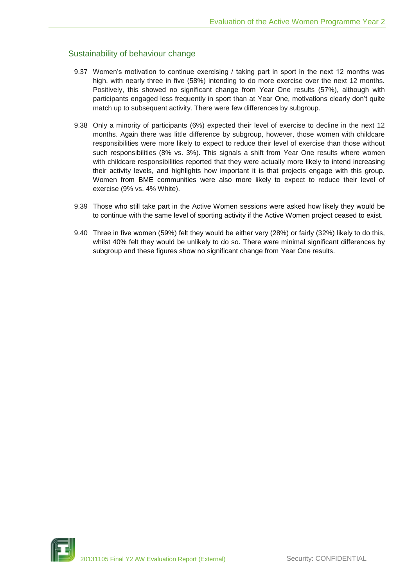# Sustainability of behaviour change

- 9.37 Women's motivation to continue exercising / taking part in sport in the next 12 months was high, with nearly three in five (58%) intending to do more exercise over the next 12 months. Positively, this showed no significant change from Year One results (57%), although with participants engaged less frequently in sport than at Year One, motivations clearly don't quite match up to subsequent activity. There were few differences by subgroup.
- 9.38 Only a minority of participants (6%) expected their level of exercise to decline in the next 12 months. Again there was little difference by subgroup, however, those women with childcare responsibilities were more likely to expect to reduce their level of exercise than those without such responsibilities (8% vs. 3%). This signals a shift from Year One results where women with childcare responsibilities reported that they were actually more likely to intend increasing their activity levels, and highlights how important it is that projects engage with this group. Women from BME communities were also more likely to expect to reduce their level of exercise (9% vs. 4% White).
- 9.39 Those who still take part in the Active Women sessions were asked how likely they would be to continue with the same level of sporting activity if the Active Women project ceased to exist.
- 9.40 Three in five women (59%) felt they would be either very (28%) or fairly (32%) likely to do this, whilst 40% felt they would be unlikely to do so. There were minimal significant differences by subgroup and these figures show no significant change from Year One results.

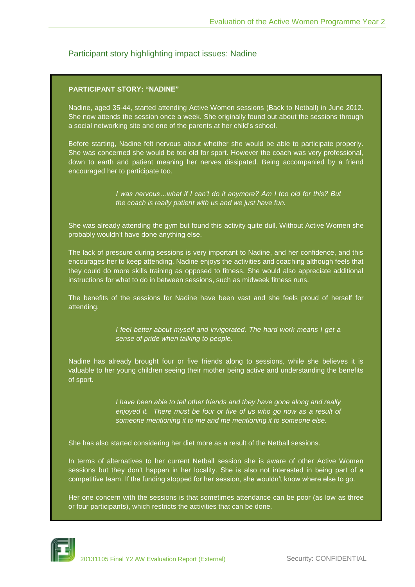# Participant story highlighting impact issues: Nadine

## **PARTICIPANT STORY: "NADINE"**

Nadine, aged 35-44, started attending Active Women sessions (Back to Netball) in June 2012. She now attends the session once a week. She originally found out about the sessions through a social networking site and one of the parents at her child's school.

Before starting, Nadine felt nervous about whether she would be able to participate properly. She was concerned she would be too old for sport. However the coach was very professional, down to earth and patient meaning her nerves dissipated. Being accompanied by a friend encouraged her to participate too.

> *I was nervous…what if I can't do it anymore? Am I too old for this? But the coach is really patient with us and we just have fun.*

She was already attending the gym but found this activity quite dull. Without Active Women she probably wouldn't have done anything else.

The lack of pressure during sessions is very important to Nadine, and her confidence, and this encourages her to keep attending. Nadine enjoys the activities and coaching although feels that they could do more skills training as opposed to fitness. She would also appreciate additional instructions for what to do in between sessions, such as midweek fitness runs.

The benefits of the sessions for Nadine have been vast and she feels proud of herself for attending.

> *I feel better about myself and invigorated. The hard work means I get a sense of pride when talking to people.*

Nadine has already brought four or five friends along to sessions, while she believes it is valuable to her young children seeing their mother being active and understanding the benefits of sport.

> *I have been able to tell other friends and they have gone along and really enjoyed it. There must be four or five of us who go now as a result of someone mentioning it to me and me mentioning it to someone else.*

She has also started considering her diet more as a result of the Netball sessions.

In terms of alternatives to her current Netball session she is aware of other Active Women sessions but they don't happen in her locality. She is also not interested in being part of a competitive team. If the funding stopped for her session, she wouldn't know where else to go.

Her one concern with the sessions is that sometimes attendance can be poor (as low as three or four participants), which restricts the activities that can be done.

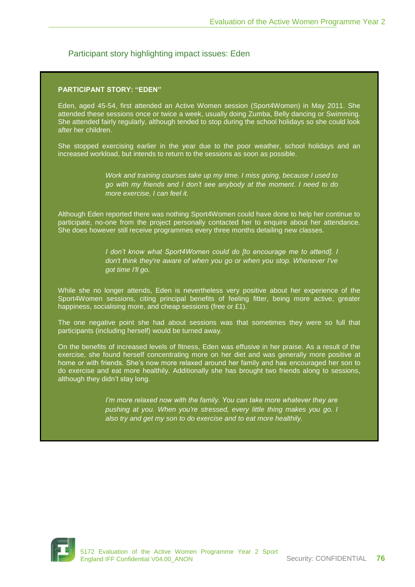# Participant story highlighting impact issues: Eden

## **PARTICIPANT STORY: "EDEN"**

Eden, aged 45-54, first attended an Active Women session (Sport4Women) in May 2011. She attended these sessions once or twice a week, usually doing Zumba, Belly dancing or Swimming. She attended fairly regularly, although tended to stop during the school holidays so she could look after her children.

She stopped exercising earlier in the year due to the poor weather, school holidays and an increased workload, but intends to return to the sessions as soon as possible.

> *Work and training courses take up my time. I miss going, because I used to go with my friends and I don't see anybody at the moment. I need to do more exercise, I can feel it.*

Although Eden reported there was nothing Sport4Women could have done to help her continue to participate, no-one from the project personally contacted her to enquire about her attendance. She does however still receive programmes every three months detailing new classes.

> *I don't know what Sport4Women could do [to encourage me to attend]. I don't think they're aware of when you go or when you stop. Whenever I've got time I'll go.*

While she no longer attends, Eden is nevertheless very positive about her experience of the Sport4Women sessions, citing principal benefits of feeling fitter, being more active, greater happiness, socialising more, and cheap sessions (free or £1).

The one negative point she had about sessions was that sometimes they were so full that participants (including herself) would be turned away.

On the benefits of increased levels of fitness, Eden was effusive in her praise. As a result of the exercise, she found herself concentrating more on her diet and was generally more positive at home or with friends. She's now more relaxed around her family and has encouraged her son to do exercise and eat more healthily. Additionally she has brought two friends along to sessions, although they didn't stay long.

> *I'm more relaxed now with the family. You can take more whatever they are pushing at you. When you're stressed, every little thing makes you go. I also try and get my son to do exercise and to eat more healthily.*

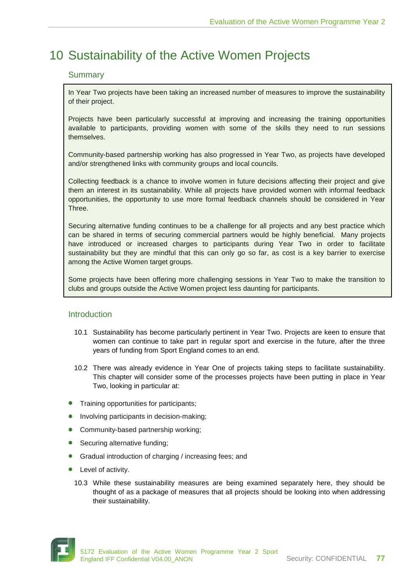# 10 Sustainability of the Active Women Projects

# **Summary**

In Year Two projects have been taking an increased number of measures to improve the sustainability of their project.

Projects have been particularly successful at improving and increasing the training opportunities available to participants, providing women with some of the skills they need to run sessions themselves.

Community-based partnership working has also progressed in Year Two, as projects have developed and/or strengthened links with community groups and local councils.

Collecting feedback is a chance to involve women in future decisions affecting their project and give them an interest in its sustainability. While all projects have provided women with informal feedback opportunities, the opportunity to use more formal feedback channels should be considered in Year Three.

Securing alternative funding continues to be a challenge for all projects and any best practice which can be shared in terms of securing commercial partners would be highly beneficial. Many projects have introduced or increased charges to participants during Year Two in order to facilitate sustainability but they are mindful that this can only go so far, as cost is a key barrier to exercise among the Active Women target groups.

Some projects have been offering more challenging sessions in Year Two to make the transition to clubs and groups outside the Active Women project less daunting for participants.

# **Introduction**

- 10.1 Sustainability has become particularly pertinent in Year Two. Projects are keen to ensure that women can continue to take part in regular sport and exercise in the future, after the three years of funding from Sport England comes to an end.
- 10.2 There was already evidence in Year One of projects taking steps to facilitate sustainability. This chapter will consider some of the processes projects have been putting in place in Year Two, looking in particular at:
- Training opportunities for participants;
- Involving participants in decision-making;
- Community-based partnership working;
- Securing alternative funding;
- Gradual introduction of charging / increasing fees; and
- Level of activity.
	- 10.3 While these sustainability measures are being examined separately here, they should be thought of as a package of measures that all projects should be looking into when addressing their sustainability.

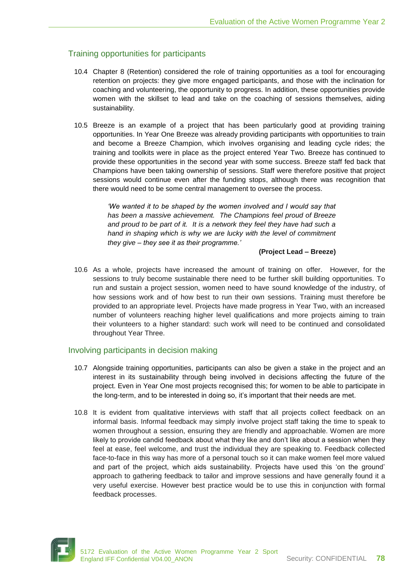# Training opportunities for participants

- 10.4 Chapter 8 (Retention) considered the role of training opportunities as a tool for encouraging retention on projects: they give more engaged participants, and those with the inclination for coaching and volunteering, the opportunity to progress. In addition, these opportunities provide women with the skillset to lead and take on the coaching of sessions themselves, aiding sustainability.
- 10.5 Breeze is an example of a project that has been particularly good at providing training opportunities. In Year One Breeze was already providing participants with opportunities to train and become a Breeze Champion, which involves organising and leading cycle rides; the training and toolkits were in place as the project entered Year Two. Breeze has continued to provide these opportunities in the second year with some success. Breeze staff fed back that Champions have been taking ownership of sessions. Staff were therefore positive that project sessions would continue even after the funding stops, although there was recognition that there would need to be some central management to oversee the process.

*'We wanted it to be shaped by the women involved and I would say that has been a massive achievement. The Champions feel proud of Breeze and proud to be part of it. It is a network they feel they have had such a hand in shaping which is why we are lucky with the level of commitment they give – they see it as their programme.'* 

## **(Project Lead – Breeze)**

10.6 As a whole, projects have increased the amount of training on offer. However, for the sessions to truly become sustainable there need to be further skill building opportunities. To run and sustain a project session, women need to have sound knowledge of the industry, of how sessions work and of how best to run their own sessions. Training must therefore be provided to an appropriate level. Projects have made progress in Year Two, with an increased number of volunteers reaching higher level qualifications and more projects aiming to train their volunteers to a higher standard: such work will need to be continued and consolidated throughout Year Three.

# Involving participants in decision making

- 10.7 Alongside training opportunities, participants can also be given a stake in the project and an interest in its sustainability through being involved in decisions affecting the future of the project. Even in Year One most projects recognised this; for women to be able to participate in the long-term, and to be interested in doing so, it's important that their needs are met.
- 10.8 It is evident from qualitative interviews with staff that all projects collect feedback on an informal basis. Informal feedback may simply involve project staff taking the time to speak to women throughout a session, ensuring they are friendly and approachable. Women are more likely to provide candid feedback about what they like and don't like about a session when they feel at ease, feel welcome, and trust the individual they are speaking to. Feedback collected face-to-face in this way has more of a personal touch so it can make women feel more valued and part of the project, which aids sustainability. Projects have used this 'on the ground' approach to gathering feedback to tailor and improve sessions and have generally found it a very useful exercise. However best practice would be to use this in conjunction with formal feedback processes.

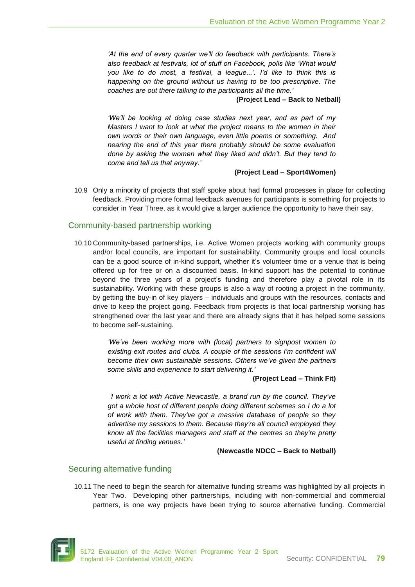*'At the end of every quarter we'll do feedback with participants. There's also feedback at festivals, lot of stuff on Facebook, polls like 'What would you like to do most, a festival, a league...'. I'd like to think this is happening on the ground without us having to be too prescriptive. The coaches are out there talking to the participants all the time.'*

#### **(Project Lead – Back to Netball)**

*'We'll be looking at doing case studies next year, and as part of my Masters I want to look at what the project means to the women in their own words or their own language, even little poems or something. And nearing the end of this year there probably should be some evaluation done by asking the women what they liked and didn't. But they tend to come and tell us that anyway.'* 

#### **(Project Lead – Sport4Women)**

10.9 Only a minority of projects that staff spoke about had formal processes in place for collecting feedback. Providing more formal feedback avenues for participants is something for projects to consider in Year Three, as it would give a larger audience the opportunity to have their say.

## Community-based partnership working

10.10 Community-based partnerships, i.e. Active Women projects working with community groups and/or local councils, are important for sustainability. Community groups and local councils can be a good source of in-kind support, whether it's volunteer time or a venue that is being offered up for free or on a discounted basis. In-kind support has the potential to continue beyond the three years of a project's funding and therefore play a pivotal role in its sustainability. Working with these groups is also a way of rooting a project in the community, by getting the buy-in of key players – individuals and groups with the resources, contacts and drive to keep the project going. Feedback from projects is that local partnership working has strengthened over the last year and there are already signs that it has helped some sessions to become self-sustaining.

> *'We've been working more with (local) partners to signpost women to*  existing exit routes and clubs. A couple of the sessions I'm confident will *become their own sustainable sessions. Others we've given the partners some skills and experience to start delivering it.'*

> > **(Project Lead – Think Fit)**

*'I work a lot with Active Newcastle, a brand run by the council. They've got a whole host of different people doing different schemes so I do a lot of work with them. They've got a massive database of people so they advertise my sessions to them. Because they're all council employed they know all the facilities managers and staff at the centres so they're pretty useful at finding venues.'*

**(Newcastle NDCC – Back to Netball)**

## Securing alternative funding

10.11 The need to begin the search for alternative funding streams was highlighted by all projects in Year Two. Developing other partnerships, including with non-commercial and commercial partners, is one way projects have been trying to source alternative funding. Commercial

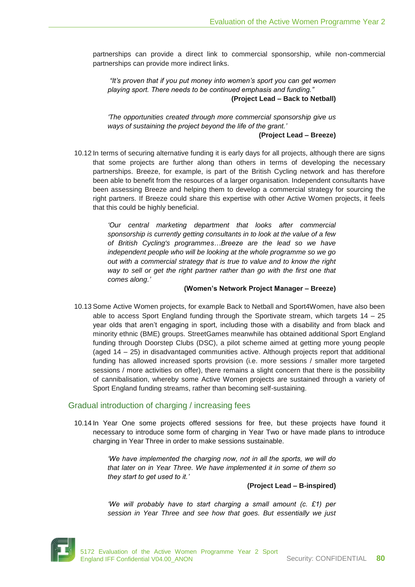partnerships can provide a direct link to commercial sponsorship, while non-commercial partnerships can provide more indirect links.

*"It's proven that if you put money into women's sport you can get women playing sport. There needs to be continued emphasis and funding."*  **(Project Lead – Back to Netball)**

*'The opportunities created through more commercial sponsorship give us ways of sustaining the project beyond the life of the grant.'* 

**(Project Lead – Breeze)**

10.12 In terms of securing alternative funding it is early days for all projects, although there are signs that some projects are further along than others in terms of developing the necessary partnerships. Breeze, for example, is part of the British Cycling network and has therefore been able to benefit from the resources of a larger organisation. Independent consultants have been assessing Breeze and helping them to develop a commercial strategy for sourcing the right partners. If Breeze could share this expertise with other Active Women projects, it feels that this could be highly beneficial.

> *'Our central marketing department that looks after commercial sponsorship is currently getting consultants in to look at the value of a few of British Cycling's programmes…Breeze are the lead so we have independent people who will be looking at the whole programme so we go out with a commercial strategy that is true to value and to know the right way to sell or get the right partner rather than go with the first one that comes along.'*

#### **(Women's Network Project Manager – Breeze)**

10.13 Some Active Women projects, for example Back to Netball and Sport4Women, have also been able to access Sport England funding through the Sportivate stream, which targets  $14 - 25$ year olds that aren't engaging in sport, including those with a disability and from black and minority ethnic (BME) groups. StreetGames meanwhile has obtained additional Sport England funding through Doorstep Clubs (DSC), a pilot scheme aimed at getting more young people (aged 14 – 25) in disadvantaged communities active. Although projects report that additional funding has allowed increased sports provision (i.e. more sessions / smaller more targeted sessions / more activities on offer), there remains a slight concern that there is the possibility of cannibalisation, whereby some Active Women projects are sustained through a variety of Sport England funding streams, rather than becoming self-sustaining.

# Gradual introduction of charging / increasing fees

10.14 In Year One some projects offered sessions for free, but these projects have found it necessary to introduce some form of charging in Year Two or have made plans to introduce charging in Year Three in order to make sessions sustainable.

> *'We have implemented the charging now, not in all the sports, we will do that later on in Year Three. We have implemented it in some of them so they start to get used to it.'*

## **(Project Lead – B-inspired)**

*'We will probably have to start charging a small amount (c. £1) per session in Year Three and see how that goes. But essentially we just* 

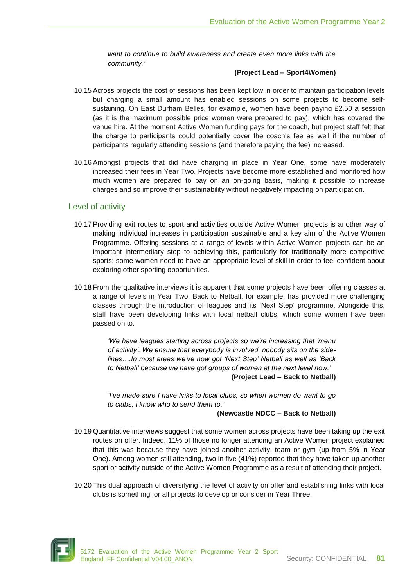*want to continue to build awareness and create even more links with the community.'*

## **(Project Lead – Sport4Women)**

- 10.15 Across projects the cost of sessions has been kept low in order to maintain participation levels but charging a small amount has enabled sessions on some projects to become selfsustaining. On East Durham Belles, for example, women have been paying £2.50 a session (as it is the maximum possible price women were prepared to pay), which has covered the venue hire. At the moment Active Women funding pays for the coach, but project staff felt that the charge to participants could potentially cover the coach's fee as well if the number of participants regularly attending sessions (and therefore paying the fee) increased.
- 10.16 Amongst projects that did have charging in place in Year One, some have moderately increased their fees in Year Two. Projects have become more established and monitored how much women are prepared to pay on an on-going basis, making it possible to increase charges and so improve their sustainability without negatively impacting on participation.

## Level of activity

- 10.17 Providing exit routes to sport and activities outside Active Women projects is another way of making individual increases in participation sustainable and a key aim of the Active Women Programme. Offering sessions at a range of levels within Active Women projects can be an important intermediary step to achieving this, particularly for traditionally more competitive sports; some women need to have an appropriate level of skill in order to feel confident about exploring other sporting opportunities.
- 10.18 From the qualitative interviews it is apparent that some projects have been offering classes at a range of levels in Year Two. Back to Netball, for example, has provided more challenging classes through the introduction of leagues and its 'Next Step' programme. Alongside this, staff have been developing links with local netball clubs, which some women have been passed on to.

*'We have leagues starting across projects so we're increasing that 'menu of activity'. We ensure that everybody is involved, nobody sits on the sidelines….In most areas we've now got 'Next Step' Netball as well as 'Back to Netball' because we have got groups of women at the next level now.'* **(Project Lead – Back to Netball)**

*'I've made sure I have links to local clubs, so when women do want to go to clubs, I know who to send them to.'* 

#### **(Newcastle NDCC – Back to Netball)**

- 10.19 Quantitative interviews suggest that some women across projects have been taking up the exit routes on offer. Indeed, 11% of those no longer attending an Active Women project explained that this was because they have joined another activity, team or gym (up from 5% in Year One). Among women still attending, two in five (41%) reported that they have taken up another sport or activity outside of the Active Women Programme as a result of attending their project.
- 10.20 This dual approach of diversifying the level of activity on offer and establishing links with local clubs is something for all projects to develop or consider in Year Three.

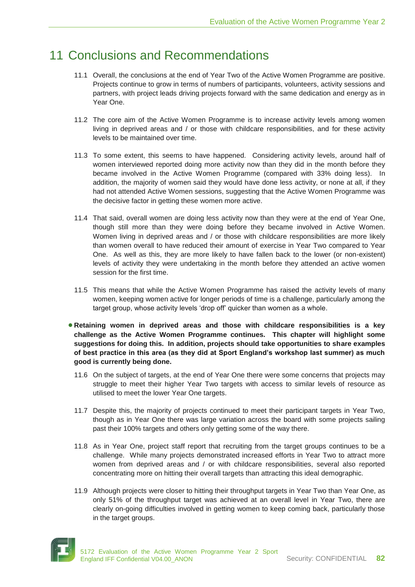# 11 Conclusions and Recommendations

- 11.1 Overall, the conclusions at the end of Year Two of the Active Women Programme are positive. Projects continue to grow in terms of numbers of participants, volunteers, activity sessions and partners, with project leads driving projects forward with the same dedication and energy as in Year One.
- 11.2 The core aim of the Active Women Programme is to increase activity levels among women living in deprived areas and / or those with childcare responsibilities, and for these activity levels to be maintained over time.
- 11.3 To some extent, this seems to have happened. Considering activity levels, around half of women interviewed reported doing more activity now than they did in the month before they became involved in the Active Women Programme (compared with 33% doing less). In addition, the majority of women said they would have done less activity, or none at all, if they had not attended Active Women sessions, suggesting that the Active Women Programme was the decisive factor in getting these women more active.
- 11.4 That said, overall women are doing less activity now than they were at the end of Year One, though still more than they were doing before they became involved in Active Women. Women living in deprived areas and / or those with childcare responsibilities are more likely than women overall to have reduced their amount of exercise in Year Two compared to Year One. As well as this, they are more likely to have fallen back to the lower (or non-existent) levels of activity they were undertaking in the month before they attended an active women session for the first time.
- 11.5 This means that while the Active Women Programme has raised the activity levels of many women, keeping women active for longer periods of time is a challenge, particularly among the target group, whose activity levels 'drop off' quicker than women as a whole.
- **Retaining women in deprived areas and those with childcare responsibilities is a key challenge as the Active Women Programme continues. This chapter will highlight some suggestions for doing this. In addition, projects should take opportunities to share examples of best practice in this area (as they did at Sport England's workshop last summer) as much good is currently being done.**
	- 11.6 On the subject of targets, at the end of Year One there were some concerns that projects may struggle to meet their higher Year Two targets with access to similar levels of resource as utilised to meet the lower Year One targets.
	- 11.7 Despite this, the majority of projects continued to meet their participant targets in Year Two, though as in Year One there was large variation across the board with some projects sailing past their 100% targets and others only getting some of the way there.
	- 11.8 As in Year One, project staff report that recruiting from the target groups continues to be a challenge. While many projects demonstrated increased efforts in Year Two to attract more women from deprived areas and / or with childcare responsibilities, several also reported concentrating more on hitting their overall targets than attracting this ideal demographic.
	- 11.9 Although projects were closer to hitting their throughput targets in Year Two than Year One, as only 51% of the throughput target was achieved at an overall level in Year Two, there are clearly on-going difficulties involved in getting women to keep coming back, particularly those in the target groups.

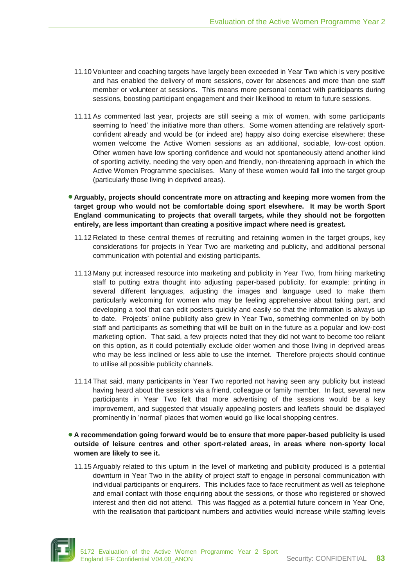- 11.10 Volunteer and coaching targets have largely been exceeded in Year Two which is very positive and has enabled the delivery of more sessions, cover for absences and more than one staff member or volunteer at sessions. This means more personal contact with participants during sessions, boosting participant engagement and their likelihood to return to future sessions.
- 11.11 As commented last year, projects are still seeing a mix of women, with some participants seeming to 'need' the initiative more than others. Some women attending are relatively sportconfident already and would be (or indeed are) happy also doing exercise elsewhere; these women welcome the Active Women sessions as an additional, sociable, low-cost option. Other women have low sporting confidence and would not spontaneously attend another kind of sporting activity, needing the very open and friendly, non-threatening approach in which the Active Women Programme specialises. Many of these women would fall into the target group (particularly those living in deprived areas).

**Arguably, projects should concentrate more on attracting and keeping more women from the target group who would not be comfortable doing sport elsewhere. It may be worth Sport England communicating to projects that overall targets, while they should not be forgotten entirely, are less important than creating a positive impact where need is greatest.**

- 11.12 Related to these central themes of recruiting and retaining women in the target groups, key considerations for projects in Year Two are marketing and publicity, and additional personal communication with potential and existing participants.
- 11.13 Many put increased resource into marketing and publicity in Year Two, from hiring marketing staff to putting extra thought into adjusting paper-based publicity, for example: printing in several different languages, adjusting the images and language used to make them particularly welcoming for women who may be feeling apprehensive about taking part, and developing a tool that can edit posters quickly and easily so that the information is always up to date. Projects' online publicity also grew in Year Two, something commented on by both staff and participants as something that will be built on in the future as a popular and low-cost marketing option. That said, a few projects noted that they did not want to become too reliant on this option, as it could potentially exclude older women and those living in deprived areas who may be less inclined or less able to use the internet. Therefore projects should continue to utilise all possible publicity channels.
- 11.14 That said, many participants in Year Two reported not having seen any publicity but instead having heard about the sessions via a friend, colleague or family member. In fact, several new participants in Year Two felt that more advertising of the sessions would be a key improvement, and suggested that visually appealing posters and leaflets should be displayed prominently in 'normal' places that women would go like local shopping centres.
- **A recommendation going forward would be to ensure that more paper-based publicity is used outside of leisure centres and other sport-related areas, in areas where non-sporty local women are likely to see it.**
	- 11.15 Arguably related to this upturn in the level of marketing and publicity produced is a potential downturn in Year Two in the ability of project staff to engage in personal communication with individual participants or enquirers. This includes face to face recruitment as well as telephone and email contact with those enquiring about the sessions, or those who registered or showed interest and then did not attend. This was flagged as a potential future concern in Year One, with the realisation that participant numbers and activities would increase while staffing levels

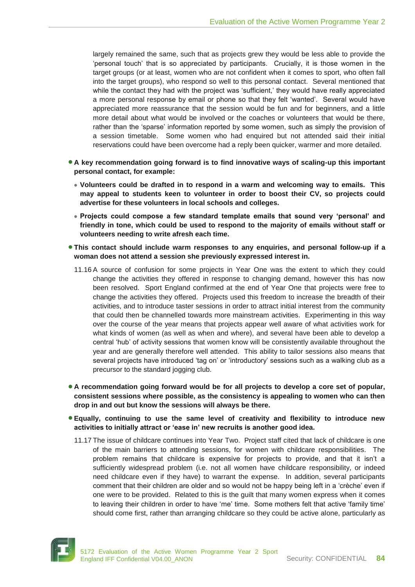largely remained the same, such that as projects grew they would be less able to provide the 'personal touch' that is so appreciated by participants. Crucially, it is those women in the target groups (or at least, women who are not confident when it comes to sport, who often fall into the target groups), who respond so well to this personal contact. Several mentioned that while the contact they had with the project was 'sufficient,' they would have really appreciated a more personal response by email or phone so that they felt 'wanted'. Several would have appreciated more reassurance that the session would be fun and for beginners, and a little more detail about what would be involved or the coaches or volunteers that would be there, rather than the 'sparse' information reported by some women, such as simply the provision of a session timetable. Some women who had enquired but not attended said their initial reservations could have been overcome had a reply been quicker, warmer and more detailed.

- **A key recommendation going forward is to find innovative ways of scaling-up this important personal contact, for example:**
	- **Volunteers could be drafted in to respond in a warm and welcoming way to emails. This may appeal to students keen to volunteer in order to boost their CV, so projects could advertise for these volunteers in local schools and colleges.**
	- **Projects could compose a few standard template emails that sound very 'personal' and friendly in tone, which could be used to respond to the majority of emails without staff or volunteers needing to write afresh each time.**
- **This contact should include warm responses to any enquiries, and personal follow-up if a woman does not attend a session she previously expressed interest in.**
	- 11.16 A source of confusion for some projects in Year One was the extent to which they could change the activities they offered in response to changing demand, however this has now been resolved. Sport England confirmed at the end of Year One that projects were free to change the activities they offered. Projects used this freedom to increase the breadth of their activities, and to introduce taster sessions in order to attract initial interest from the community that could then be channelled towards more mainstream activities. Experimenting in this way over the course of the year means that projects appear well aware of what activities work for what kinds of women (as well as when and where), and several have been able to develop a central 'hub' of activity sessions that women know will be consistently available throughout the year and are generally therefore well attended. This ability to tailor sessions also means that several projects have introduced 'tag on' or 'introductory' sessions such as a walking club as a precursor to the standard jogging club.
- **A recommendation going forward would be for all projects to develop a core set of popular, consistent sessions where possible, as the consistency is appealing to women who can then drop in and out but know the sessions will always be there.**
- **Equally, continuing to use the same level of creativity and flexibility to introduce new activities to initially attract or 'ease in' new recruits is another good idea.**
	- 11.17 The issue of childcare continues into Year Two. Project staff cited that lack of childcare is one of the main barriers to attending sessions, for women with childcare responsibilities. The problem remains that childcare is expensive for projects to provide, and that it isn't a sufficiently widespread problem (i.e. not all women have childcare responsibility, or indeed need childcare even if they have) to warrant the expense. In addition, several participants comment that their children are older and so would not be happy being left in a 'crèche' even if one were to be provided. Related to this is the guilt that many women express when it comes to leaving their children in order to have 'me' time. Some mothers felt that active 'family time' should come first, rather than arranging childcare so they could be active alone, particularly as